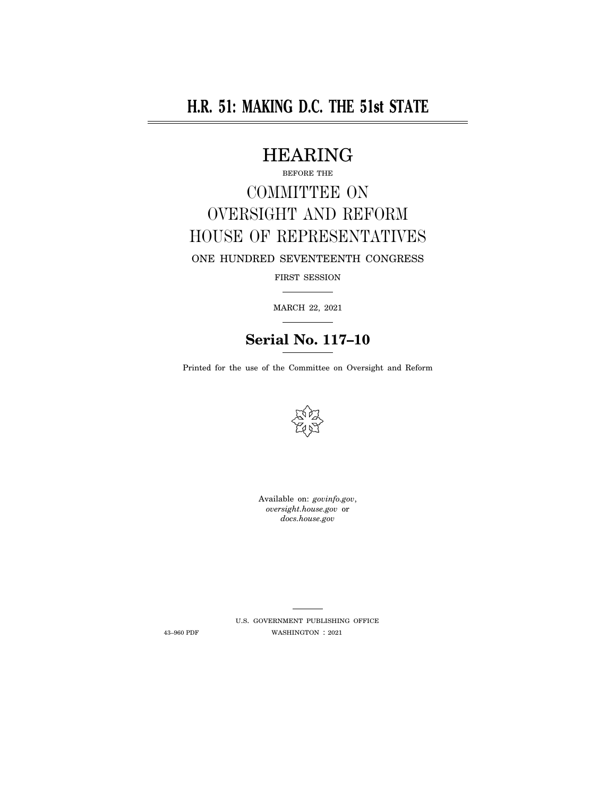# **H.R. 51: MAKING D.C. THE 51st STATE**

## HEARING

BEFORE THE

# COMMITTEE ON OVERSIGHT AND REFORM HOUSE OF REPRESENTATIVES

ONE HUNDRED SEVENTEENTH CONGRESS

FIRST SESSION

MARCH 22, 2021

## **Serial No. 117–10**

Printed for the use of the Committee on Oversight and Reform



Available on: *govinfo.gov*, *oversight.house.gov* or *docs.house.gov* 

U.S. GOVERNMENT PUBLISHING OFFICE 43–960 PDF WASHINGTON : 2021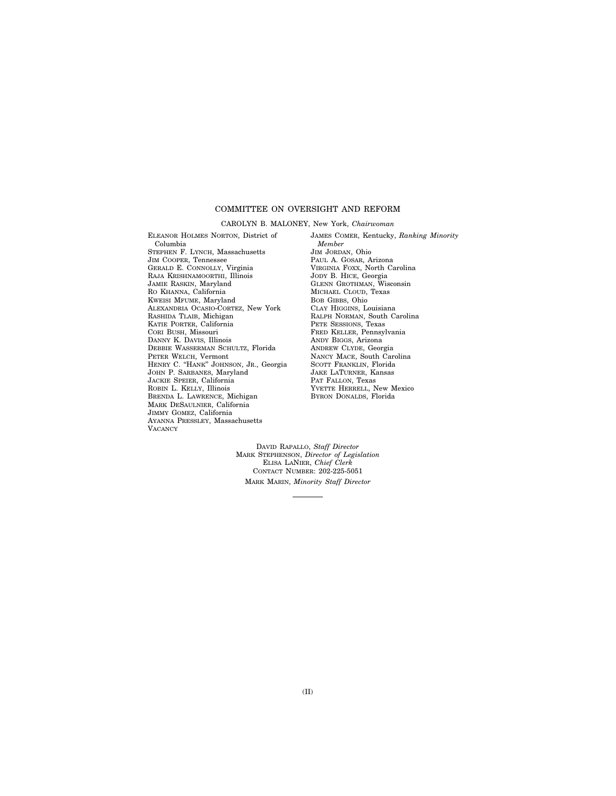#### COMMITTEE ON OVERSIGHT AND REFORM

#### CAROLYN B. MALONEY, New York, *Chairwoman*

ELEANOR HOLMES NORTON, District of Columbia STEPHEN F. LYNCH, Massachusetts JIM COOPER, Tennessee GERALD E. CONNOLLY, Virginia RAJA KRISHNAMOORTHI, Illinois JAMIE RASKIN, Maryland RO KHANNA, California KWEISI MFUME, Maryland ALEXANDRIA OCASIO-CORTEZ, New York RASHIDA TLAIB, Michigan KATIE PORTER, California CORI BUSH, Missouri DANNY K. DAVIS, Illinois DEBBIE WASSERMAN SCHULTZ, Florida PETER WELCH, Vermont HENRY C. ''HANK'' JOHNSON, JR., Georgia JOHN P. SARBANES, Maryland JACKIE SPEIER, California ROBIN L. KELLY, Illinois BRENDA L. LAWRENCE, Michigan MARK DESAULNIER, California JIMMY GOMEZ, California AYANNA PRESSLEY, Massachusetts **VACANCY** 

JAMES COMER, Kentucky, *Ranking Minority Member*  JIM JORDAN, Ohio PAUL A. GOSAR, Arizona VIRGINIA FOXX, North Carolina JODY B. HICE, Georgia GLENN GROTHMAN, Wisconsin MICHAEL CLOUD, Texas BOB GIBBS, Ohio CLAY HIGGINS, Louisiana RALPH NORMAN, South Carolina PETE SESSIONS, Texas FRED KELLER, Pennsylvania ANDY BIGGS, Arizona ANDREW CLYDE, Georgia NANCY MACE, South Carolina SCOTT FRANKLIN, Florida JAKE LATURNER, Kansas PAT FALLON, Texas YVETTE HERRELL, New Mexico BYRON DONALDS, Florida

DAVID RAPALLO, *Staff Director*  MARK STEPHENSON, *Director of Legislation*  ELISA LANIER, *Chief Clerk*  CONTACT NUMBER: 202-225-5051 MARK MARIN, *Minority Staff Director*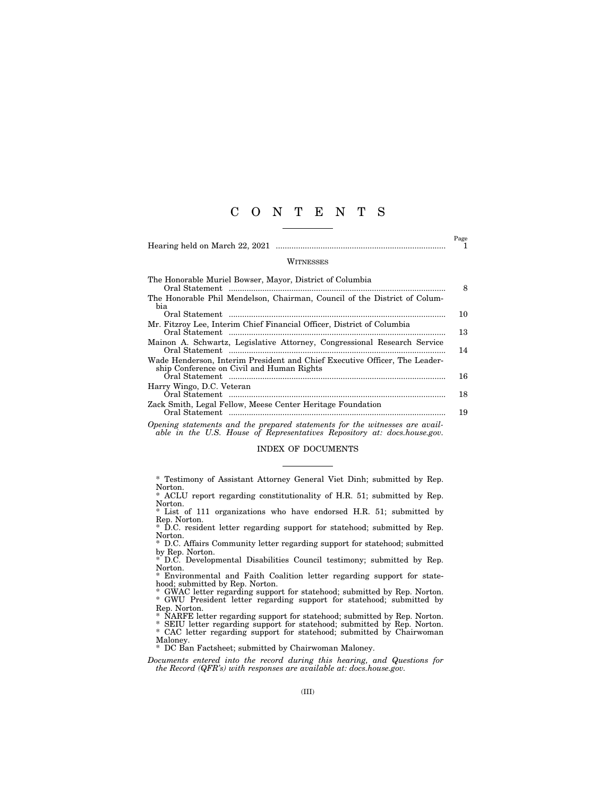## C O N T E N T S

|                                                                                                                         | Page |
|-------------------------------------------------------------------------------------------------------------------------|------|
| WITNESSES                                                                                                               |      |
| The Honorable Muriel Bowser, Mayor, District of Columbia                                                                | 8    |
| The Honorable Phil Mendelson, Chairman, Council of the District of Colum-<br>bia                                        | 10   |
| Mr. Fitzroy Lee, Interim Chief Financial Officer, District of Columbia                                                  | 13   |
| Mainon A. Schwartz, Legislative Attorney, Congressional Research Service                                                | 14   |
| Wade Henderson, Interim President and Chief Executive Officer, The Leader-<br>ship Conference on Civil and Human Rights | 16   |
| Harry Wingo, D.C. Veteran                                                                                               | 18   |
| Zack Smith, Legal Fellow, Meese Center Heritage Foundation                                                              | 19   |
| Opening statements and the prepared statements for the witnesses are avail-                                             |      |

*able in the U.S. House of Representatives Repository at: docs.house.gov.* 

#### INDEX OF DOCUMENTS

\* ACLU report regarding constitutionality of H.R. 51; submitted by Rep. Norton.

\* List of 111 organizations who have endorsed H.R. 51; submitted by Rep. Norton. \* D.C. resident letter regarding support for statehood; submitted by Rep.

Norton. \* D.C. Affairs Community letter regarding support for statehood; submitted

by Rep. Norton. \* D.C. Developmental Disabilities Council testimony; submitted by Rep.

Norton. \* Environmental and Faith Coalition letter regarding support for state-

hood; submitted by Rep. Norton. \* GWAC letter regarding support for statehood; submitted by Rep. Norton.

\* GWU President letter regarding support for statehood; submitted by Rep. Norton.

NARFE letter regarding support for statehood; submitted by Rep. Norton.

\* SEIU letter regarding support for statehood; submitted by Rep. Norton. \* CAC letter regarding support for statehood; submitted by Chairwoman

Maloney.<br>\* DC Bai DC Ban Factsheet; submitted by Chairwoman Maloney.

*Documents entered into the record during this hearing, and Questions for the Record (QFR's) with responses are available at: docs.house.gov.* 

<sup>\*</sup> Testimony of Assistant Attorney General Viet Dinh; submitted by Rep. Norton.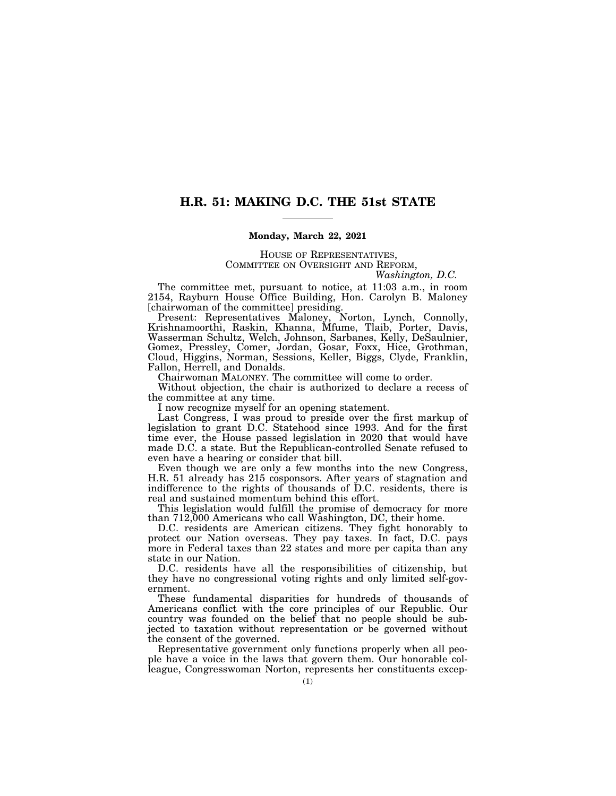### **H.R. 51: MAKING D.C. THE 51st STATE**

#### **Monday, March 22, 2021**

#### HOUSE OF REPRESENTATIVES, COMMITTEE ON OVERSIGHT AND REFORM, *Washington, D.C.*

The committee met, pursuant to notice, at 11:03 a.m., in room 2154, Rayburn House Office Building, Hon. Carolyn B. Maloney [chairwoman of the committee] presiding.

Present: Representatives Maloney, Norton, Lynch, Connolly, Krishnamoorthi, Raskin, Khanna, Mfume, Tlaib, Porter, Davis, Wasserman Schultz, Welch, Johnson, Sarbanes, Kelly, DeSaulnier, Gomez, Pressley, Comer, Jordan, Gosar, Foxx, Hice, Grothman, Cloud, Higgins, Norman, Sessions, Keller, Biggs, Clyde, Franklin, Fallon, Herrell, and Donalds.

Chairwoman MALONEY. The committee will come to order.

Without objection, the chair is authorized to declare a recess of the committee at any time.

I now recognize myself for an opening statement.

Last Congress, I was proud to preside over the first markup of legislation to grant D.C. Statehood since 1993. And for the first time ever, the House passed legislation in 2020 that would have made D.C. a state. But the Republican-controlled Senate refused to even have a hearing or consider that bill.

Even though we are only a few months into the new Congress, H.R. 51 already has 215 cosponsors. After years of stagnation and indifference to the rights of thousands of D.C. residents, there is real and sustained momentum behind this effort.

This legislation would fulfill the promise of democracy for more than 712,000 Americans who call Washington, DC, their home.

D.C. residents are American citizens. They fight honorably to protect our Nation overseas. They pay taxes. In fact, D.C. pays more in Federal taxes than 22 states and more per capita than any state in our Nation.

D.C. residents have all the responsibilities of citizenship, but they have no congressional voting rights and only limited self-government.

These fundamental disparities for hundreds of thousands of Americans conflict with the core principles of our Republic. Our country was founded on the belief that no people should be subjected to taxation without representation or be governed without the consent of the governed.

Representative government only functions properly when all people have a voice in the laws that govern them. Our honorable colleague, Congresswoman Norton, represents her constituents excep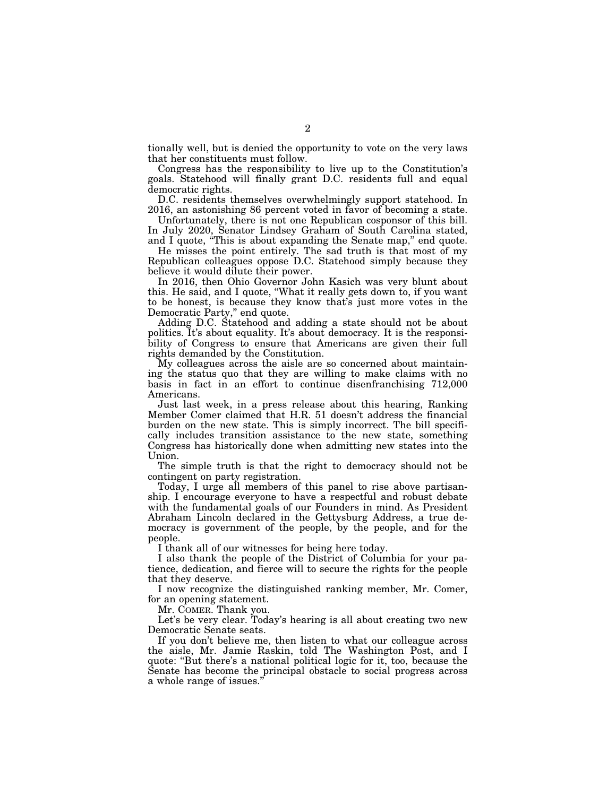tionally well, but is denied the opportunity to vote on the very laws that her constituents must follow.

Congress has the responsibility to live up to the Constitution's goals. Statehood will finally grant D.C. residents full and equal democratic rights.

D.C. residents themselves overwhelmingly support statehood. In 2016, an astonishing 86 percent voted in favor of becoming a state.

Unfortunately, there is not one Republican cosponsor of this bill. In July 2020, Senator Lindsey Graham of South Carolina stated, and I quote, "This is about expanding the Senate map," end quote.

He misses the point entirely. The sad truth is that most of my Republican colleagues oppose D.C. Statehood simply because they believe it would dilute their power.

In 2016, then Ohio Governor John Kasich was very blunt about this. He said, and I quote, ''What it really gets down to, if you want to be honest, is because they know that's just more votes in the Democratic Party," end quote.

Adding D.C. Statehood and adding a state should not be about politics. It's about equality. It's about democracy. It is the responsibility of Congress to ensure that Americans are given their full rights demanded by the Constitution.

My colleagues across the aisle are so concerned about maintaining the status quo that they are willing to make claims with no basis in fact in an effort to continue disenfranchising 712,000 Americans.

Just last week, in a press release about this hearing, Ranking Member Comer claimed that H.R. 51 doesn't address the financial burden on the new state. This is simply incorrect. The bill specifically includes transition assistance to the new state, something Congress has historically done when admitting new states into the Union.

The simple truth is that the right to democracy should not be contingent on party registration.

Today, I urge all members of this panel to rise above partisanship. I encourage everyone to have a respectful and robust debate with the fundamental goals of our Founders in mind. As President Abraham Lincoln declared in the Gettysburg Address, a true democracy is government of the people, by the people, and for the people.

I thank all of our witnesses for being here today.

I also thank the people of the District of Columbia for your patience, dedication, and fierce will to secure the rights for the people that they deserve.

I now recognize the distinguished ranking member, Mr. Comer, for an opening statement.

Mr. COMER. Thank you.

Let's be very clear. Today's hearing is all about creating two new Democratic Senate seats.

If you don't believe me, then listen to what our colleague across the aisle, Mr. Jamie Raskin, told The Washington Post, and I quote: ''But there's a national political logic for it, too, because the Senate has become the principal obstacle to social progress across a whole range of issues.''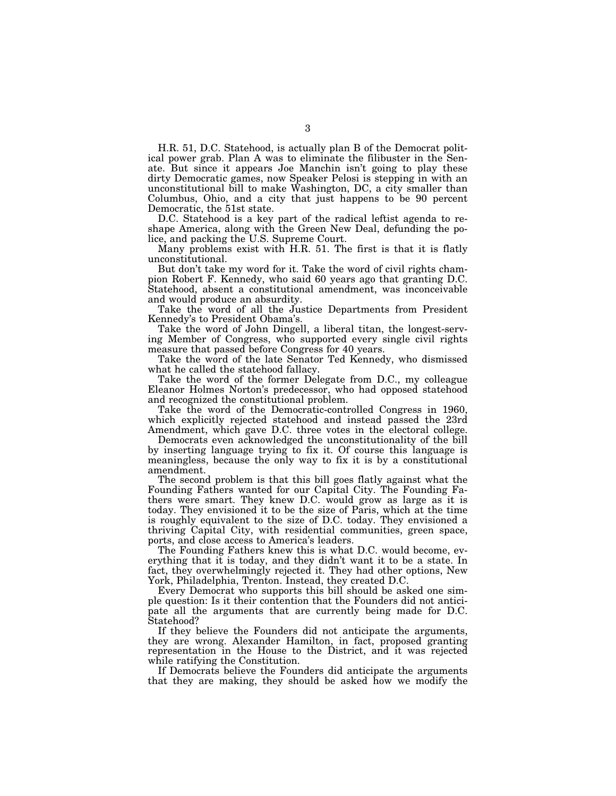H.R. 51, D.C. Statehood, is actually plan B of the Democrat political power grab. Plan A was to eliminate the filibuster in the Senate. But since it appears Joe Manchin isn't going to play these dirty Democratic games, now Speaker Pelosi is stepping in with an unconstitutional bill to make Washington, DC, a city smaller than Columbus, Ohio, and a city that just happens to be 90 percent Democratic, the 51st state.

D.C. Statehood is a key part of the radical leftist agenda to reshape America, along with the Green New Deal, defunding the police, and packing the U.S. Supreme Court.

Many problems exist with H.R. 51. The first is that it is flatly unconstitutional.

But don't take my word for it. Take the word of civil rights champion Robert F. Kennedy, who said 60 years ago that granting D.C. Statehood, absent a constitutional amendment, was inconceivable and would produce an absurdity.

Take the word of all the Justice Departments from President Kennedy's to President Obama's.

Take the word of John Dingell, a liberal titan, the longest-serving Member of Congress, who supported every single civil rights measure that passed before Congress for 40 years.

Take the word of the late Senator Ted Kennedy, who dismissed what he called the statehood fallacy.

Take the word of the former Delegate from D.C., my colleague Eleanor Holmes Norton's predecessor, who had opposed statehood and recognized the constitutional problem.

Take the word of the Democratic-controlled Congress in 1960, which explicitly rejected statehood and instead passed the 23rd Amendment, which gave D.C. three votes in the electoral college.

Democrats even acknowledged the unconstitutionality of the bill by inserting language trying to fix it. Of course this language is meaningless, because the only way to fix it is by a constitutional amendment.

The second problem is that this bill goes flatly against what the Founding Fathers wanted for our Capital City. The Founding Fathers were smart. They knew D.C. would grow as large as it is today. They envisioned it to be the size of Paris, which at the time is roughly equivalent to the size of D.C. today. They envisioned a thriving Capital City, with residential communities, green space, ports, and close access to America's leaders.

The Founding Fathers knew this is what D.C. would become, everything that it is today, and they didn't want it to be a state. In fact, they overwhelmingly rejected it. They had other options, New York, Philadelphia, Trenton. Instead, they created D.C.

Every Democrat who supports this bill should be asked one simple question: Is it their contention that the Founders did not anticipate all the arguments that are currently being made for D.C. Statehood?

If they believe the Founders did not anticipate the arguments, they are wrong. Alexander Hamilton, in fact, proposed granting representation in the House to the District, and it was rejected while ratifying the Constitution.

If Democrats believe the Founders did anticipate the arguments that they are making, they should be asked how we modify the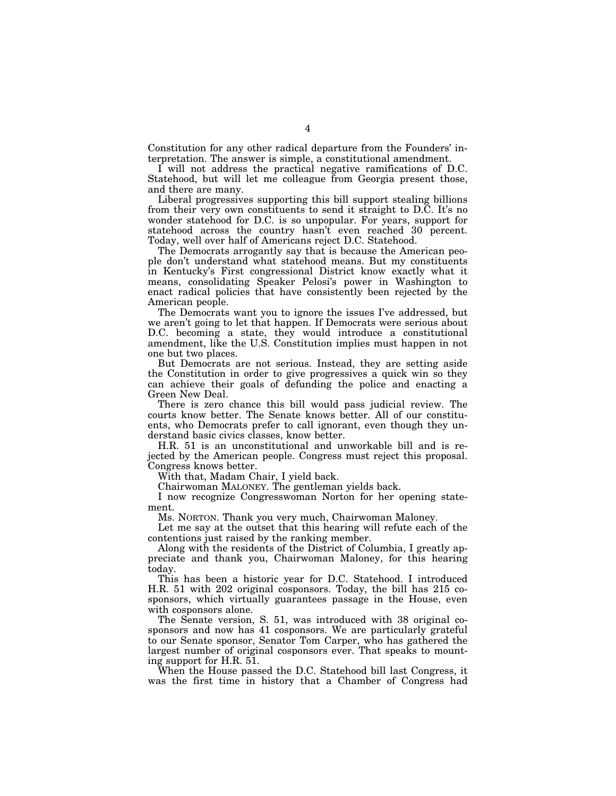Constitution for any other radical departure from the Founders' interpretation. The answer is simple, a constitutional amendment.

I will not address the practical negative ramifications of D.C. Statehood, but will let me colleague from Georgia present those, and there are many.

Liberal progressives supporting this bill support stealing billions from their very own constituents to send it straight to D.C. It's no wonder statehood for D.C. is so unpopular. For years, support for statehood across the country hasn't even reached 30 percent. Today, well over half of Americans reject D.C. Statehood.

The Democrats arrogantly say that is because the American people don't understand what statehood means. But my constituents in Kentucky's First congressional District know exactly what it means, consolidating Speaker Pelosi's power in Washington to enact radical policies that have consistently been rejected by the American people.

The Democrats want you to ignore the issues I've addressed, but we aren't going to let that happen. If Democrats were serious about D.C. becoming a state, they would introduce a constitutional amendment, like the U.S. Constitution implies must happen in not one but two places.

But Democrats are not serious. Instead, they are setting aside the Constitution in order to give progressives a quick win so they can achieve their goals of defunding the police and enacting a Green New Deal.

There is zero chance this bill would pass judicial review. The courts know better. The Senate knows better. All of our constituents, who Democrats prefer to call ignorant, even though they understand basic civics classes, know better.

H.R. 51 is an unconstitutional and unworkable bill and is rejected by the American people. Congress must reject this proposal. Congress knows better.

With that, Madam Chair, I yield back.

Chairwoman MALONEY. The gentleman yields back.

I now recognize Congresswoman Norton for her opening statement.

Ms. NORTON. Thank you very much, Chairwoman Maloney.

Let me say at the outset that this hearing will refute each of the contentions just raised by the ranking member.

Along with the residents of the District of Columbia, I greatly appreciate and thank you, Chairwoman Maloney, for this hearing today.

This has been a historic year for D.C. Statehood. I introduced H.R. 51 with 202 original cosponsors. Today, the bill has 215 cosponsors, which virtually guarantees passage in the House, even with cosponsors alone.

The Senate version, S. 51, was introduced with 38 original cosponsors and now has 41 cosponsors. We are particularly grateful to our Senate sponsor, Senator Tom Carper, who has gathered the largest number of original cosponsors ever. That speaks to mounting support for H.R. 51.

When the House passed the D.C. Statehood bill last Congress, it was the first time in history that a Chamber of Congress had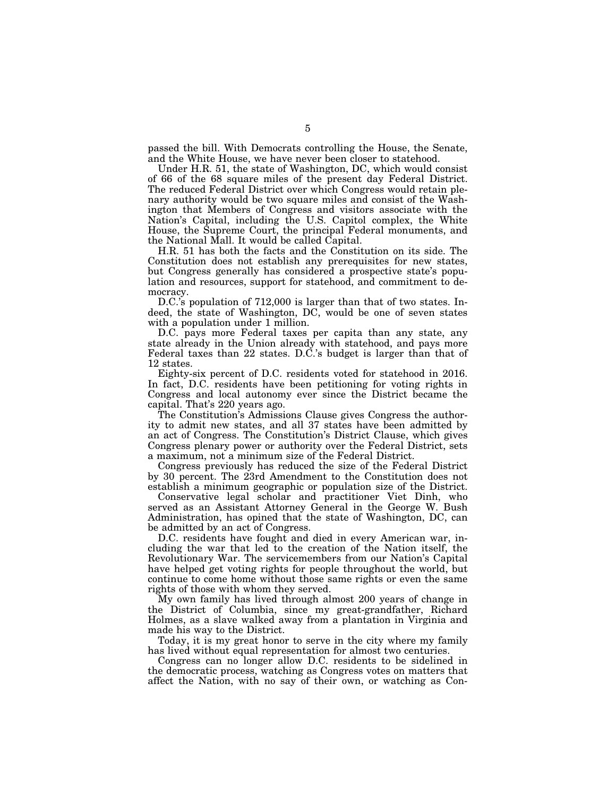passed the bill. With Democrats controlling the House, the Senate, and the White House, we have never been closer to statehood.

Under H.R. 51, the state of Washington, DC, which would consist of 66 of the 68 square miles of the present day Federal District. The reduced Federal District over which Congress would retain plenary authority would be two square miles and consist of the Washington that Members of Congress and visitors associate with the Nation's Capital, including the U.S. Capitol complex, the White House, the Supreme Court, the principal Federal monuments, and the National Mall. It would be called Capital.

H.R. 51 has both the facts and the Constitution on its side. The Constitution does not establish any prerequisites for new states, but Congress generally has considered a prospective state's population and resources, support for statehood, and commitment to democracy.

D.C.'s population of 712,000 is larger than that of two states. Indeed, the state of Washington, DC, would be one of seven states with a population under 1 million.

D.C. pays more Federal taxes per capita than any state, any state already in the Union already with statehood, and pays more Federal taxes than 22 states. D.C.'s budget is larger than that of 12 states.

Eighty-six percent of D.C. residents voted for statehood in 2016. In fact, D.C. residents have been petitioning for voting rights in Congress and local autonomy ever since the District became the capital. That's 220 years ago.

The Constitution's Admissions Clause gives Congress the authority to admit new states, and all 37 states have been admitted by an act of Congress. The Constitution's District Clause, which gives Congress plenary power or authority over the Federal District, sets a maximum, not a minimum size of the Federal District.

Congress previously has reduced the size of the Federal District by 30 percent. The 23rd Amendment to the Constitution does not establish a minimum geographic or population size of the District.

Conservative legal scholar and practitioner Viet Dinh, who served as an Assistant Attorney General in the George W. Bush Administration, has opined that the state of Washington, DC, can be admitted by an act of Congress.

D.C. residents have fought and died in every American war, including the war that led to the creation of the Nation itself, the Revolutionary War. The servicemembers from our Nation's Capital have helped get voting rights for people throughout the world, but continue to come home without those same rights or even the same rights of those with whom they served.

My own family has lived through almost 200 years of change in the District of Columbia, since my great-grandfather, Richard Holmes, as a slave walked away from a plantation in Virginia and made his way to the District.

Today, it is my great honor to serve in the city where my family has lived without equal representation for almost two centuries.

Congress can no longer allow D.C. residents to be sidelined in the democratic process, watching as Congress votes on matters that affect the Nation, with no say of their own, or watching as Con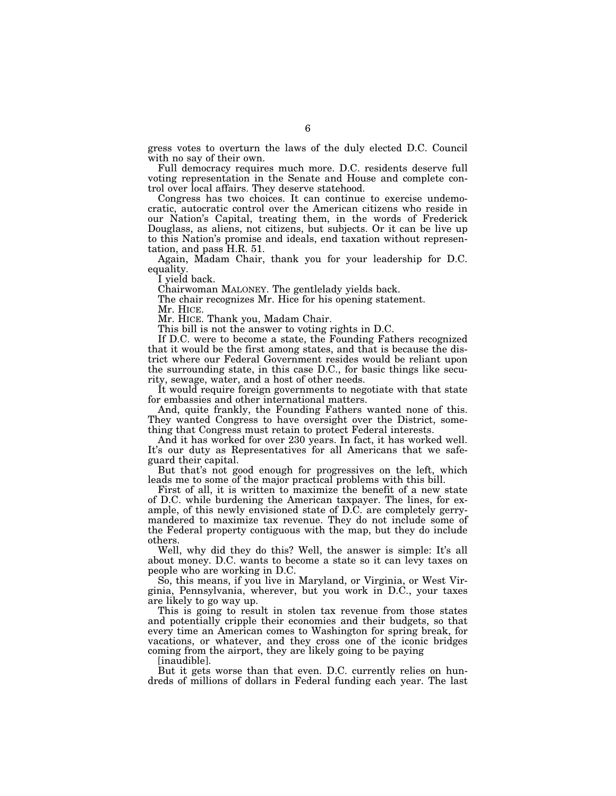gress votes to overturn the laws of the duly elected D.C. Council with no say of their own.

Full democracy requires much more. D.C. residents deserve full voting representation in the Senate and House and complete control over local affairs. They deserve statehood.

Congress has two choices. It can continue to exercise undemocratic, autocratic control over the American citizens who reside in our Nation's Capital, treating them, in the words of Frederick Douglass, as aliens, not citizens, but subjects. Or it can be live up to this Nation's promise and ideals, end taxation without representation, and pass H.R. 51.

Again, Madam Chair, thank you for your leadership for D.C. equality.

I yield back.

Chairwoman MALONEY. The gentlelady yields back.

The chair recognizes Mr. Hice for his opening statement.

Mr. HICE.

Mr. HICE. Thank you, Madam Chair.

This bill is not the answer to voting rights in D.C.

If D.C. were to become a state, the Founding Fathers recognized that it would be the first among states, and that is because the district where our Federal Government resides would be reliant upon the surrounding state, in this case D.C., for basic things like security, sewage, water, and a host of other needs.

It would require foreign governments to negotiate with that state for embassies and other international matters.

And, quite frankly, the Founding Fathers wanted none of this. They wanted Congress to have oversight over the District, something that Congress must retain to protect Federal interests.

And it has worked for over 230 years. In fact, it has worked well. It's our duty as Representatives for all Americans that we safeguard their capital.

But that's not good enough for progressives on the left, which leads me to some of the major practical problems with this bill.

First of all, it is written to maximize the benefit of a new state of D.C. while burdening the American taxpayer. The lines, for example, of this newly envisioned state of D.C. are completely gerrymandered to maximize tax revenue. They do not include some of the Federal property contiguous with the map, but they do include others.

Well, why did they do this? Well, the answer is simple: It's all about money. D.C. wants to become a state so it can levy taxes on people who are working in D.C.

So, this means, if you live in Maryland, or Virginia, or West Virginia, Pennsylvania, wherever, but you work in D.C., your taxes are likely to go way up.

This is going to result in stolen tax revenue from those states and potentially cripple their economies and their budgets, so that every time an American comes to Washington for spring break, for vacations, or whatever, and they cross one of the iconic bridges coming from the airport, they are likely going to be paying

[inaudible].

But it gets worse than that even. D.C. currently relies on hundreds of millions of dollars in Federal funding each year. The last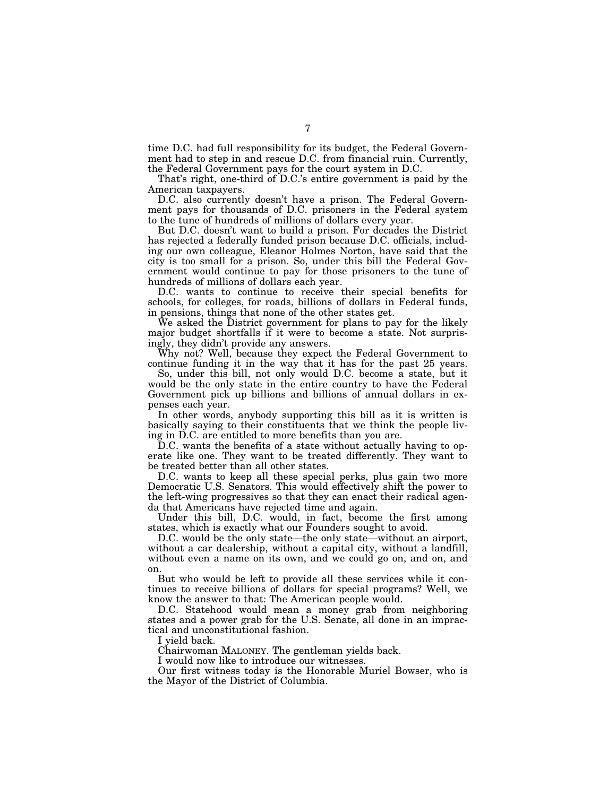time D.C. had full responsibility for its budget, the Federal Government had to step in and rescue D.C. from financial ruin. Currently, the Federal Government pays for the court system in D.C.

That's right, one-third of D.C.'s entire government is paid by the American taxpayers.

D.C. also currently doesn't have a prison. The Federal Government pays for thousands of D.C. prisoners in the Federal system to the tune of hundreds of millions of dollars every year.

But D.C. doesn't want to build a prison. For decades the District has rejected a federally funded prison because D.C. officials, including our own colleague, Eleanor Holmes Norton, have said that the city is too small for a prison. So, under this bill the Federal Government would continue to pay for those prisoners to the tune of hundreds of millions of dollars each year.

D.C. wants to continue to receive their special benefits for schools, for colleges, for roads, billions of dollars in Federal funds, in pensions, things that none of the other states get.

We asked the District government for plans to pay for the likely major budget shortfalls if it were to become a state. Not surprisingly, they didn't provide any answers.

Why not? Well, because they expect the Federal Government to continue funding it in the way that it has for the past 25 years.

So, under this bill, not only would D.C. become a state, but it would be the only state in the entire country to have the Federal Government pick up billions and billions of annual dollars in expenses each year.

In other words, anybody supporting this bill as it is written is basically saying to their constituents that we think the people living in D.C. are entitled to more benefits than you are.

D.C. wants the benefits of a state without actually having to operate like one. They want to be treated differently. They want to be treated better than all other states.

D.C. wants to keep all these special perks, plus gain two more Democratic U.S. Senators. This would effectively shift the power to the left-wing progressives so that they can enact their radical agenda that Americans have rejected time and again.

Under this bill, D.C. would, in fact, become the first among states, which is exactly what our Founders sought to avoid.

D.C. would be the only state—the only state—without an airport, without a car dealership, without a capital city, without a landfill, without even a name on its own, and we could go on, and on, and on.

But who would be left to provide all these services while it continues to receive billions of dollars for special programs? Well, we know the answer to that: The American people would.

D.C. Statehood would mean a money grab from neighboring states and a power grab for the U.S. Senate, all done in an impractical and unconstitutional fashion.

I yield back.

Chairwoman MALONEY. The gentleman yields back.

I would now like to introduce our witnesses.

Our first witness today is the Honorable Muriel Bowser, who is the Mayor of the District of Columbia.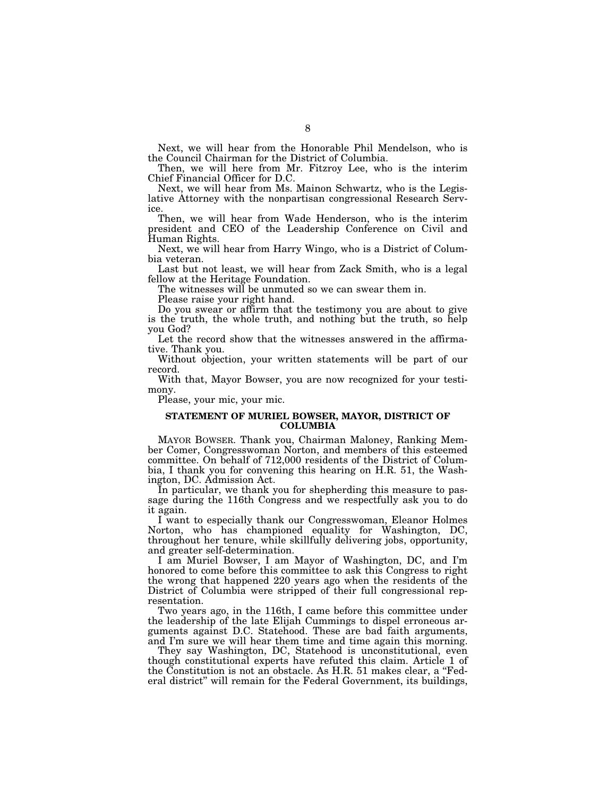Next, we will hear from the Honorable Phil Mendelson, who is the Council Chairman for the District of Columbia.

Then, we will here from Mr. Fitzroy Lee, who is the interim Chief Financial Officer for D.C.

Next, we will hear from Ms. Mainon Schwartz, who is the Legislative Attorney with the nonpartisan congressional Research Service.

Then, we will hear from Wade Henderson, who is the interim president and CEO of the Leadership Conference on Civil and Human Rights.

Next, we will hear from Harry Wingo, who is a District of Columbia veteran.

Last but not least, we will hear from Zack Smith, who is a legal fellow at the Heritage Foundation.

The witnesses will be unmuted so we can swear them in.

Please raise your right hand.

Do you swear or affirm that the testimony you are about to give is the truth, the whole truth, and nothing but the truth, so help you God?

Let the record show that the witnesses answered in the affirmative. Thank you.

Without objection, your written statements will be part of our record.

With that, Mayor Bowser, you are now recognized for your testimony.

Please, your mic, your mic.

#### **STATEMENT OF MURIEL BOWSER, MAYOR, DISTRICT OF COLUMBIA**

MAYOR BOWSER. Thank you, Chairman Maloney, Ranking Member Comer, Congresswoman Norton, and members of this esteemed committee. On behalf of 712,000 residents of the District of Columbia, I thank you for convening this hearing on H.R. 51, the Washington, DC. Admission Act.

In particular, we thank you for shepherding this measure to passage during the 116th Congress and we respectfully ask you to do it again.

I want to especially thank our Congresswoman, Eleanor Holmes Norton, who has championed equality for Washington, DC, throughout her tenure, while skillfully delivering jobs, opportunity, and greater self-determination.

I am Muriel Bowser, I am Mayor of Washington, DC, and I'm honored to come before this committee to ask this Congress to right the wrong that happened 220 years ago when the residents of the District of Columbia were stripped of their full congressional representation.

Two years ago, in the 116th, I came before this committee under the leadership of the late Elijah Cummings to dispel erroneous arguments against D.C. Statehood. These are bad faith arguments, and I'm sure we will hear them time and time again this morning.

They say Washington, DC, Statehood is unconstitutional, even though constitutional experts have refuted this claim. Article 1 of the Constitution is not an obstacle. As H.R. 51 makes clear, a ''Federal district'' will remain for the Federal Government, its buildings,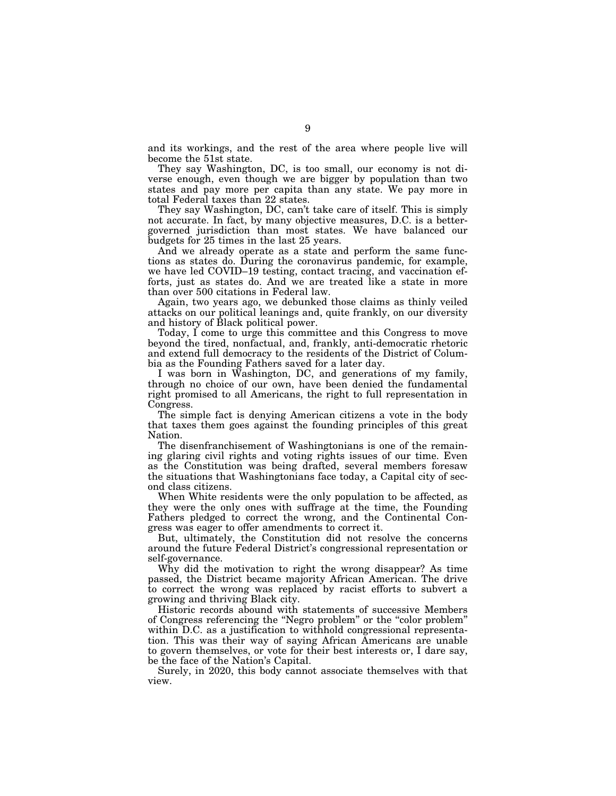and its workings, and the rest of the area where people live will become the 51st state.

They say Washington, DC, is too small, our economy is not diverse enough, even though we are bigger by population than two states and pay more per capita than any state. We pay more in total Federal taxes than 22 states.

They say Washington, DC, can't take care of itself. This is simply not accurate. In fact, by many objective measures, D.C. is a bettergoverned jurisdiction than most states. We have balanced our budgets for 25 times in the last 25 years.

And we already operate as a state and perform the same functions as states do. During the coronavirus pandemic, for example, we have led COVID–19 testing, contact tracing, and vaccination efforts, just as states do. And we are treated like a state in more than over 500 citations in Federal law.

Again, two years ago, we debunked those claims as thinly veiled attacks on our political leanings and, quite frankly, on our diversity and history of Black political power.

Today, I come to urge this committee and this Congress to move beyond the tired, nonfactual, and, frankly, anti-democratic rhetoric and extend full democracy to the residents of the District of Columbia as the Founding Fathers saved for a later day.

I was born in Washington, DC, and generations of my family, through no choice of our own, have been denied the fundamental right promised to all Americans, the right to full representation in Congress.

The simple fact is denying American citizens a vote in the body that taxes them goes against the founding principles of this great Nation.

The disenfranchisement of Washingtonians is one of the remaining glaring civil rights and voting rights issues of our time. Even as the Constitution was being drafted, several members foresaw the situations that Washingtonians face today, a Capital city of second class citizens.

When White residents were the only population to be affected, as they were the only ones with suffrage at the time, the Founding Fathers pledged to correct the wrong, and the Continental Congress was eager to offer amendments to correct it.

But, ultimately, the Constitution did not resolve the concerns around the future Federal District's congressional representation or self-governance.

Why did the motivation to right the wrong disappear? As time passed, the District became majority African American. The drive to correct the wrong was replaced by racist efforts to subvert a growing and thriving Black city.

Historic records abound with statements of successive Members of Congress referencing the ''Negro problem'' or the ''color problem'' within D.C. as a justification to withhold congressional representation. This was their way of saying African Americans are unable to govern themselves, or vote for their best interests or, I dare say, be the face of the Nation's Capital.

Surely, in 2020, this body cannot associate themselves with that view.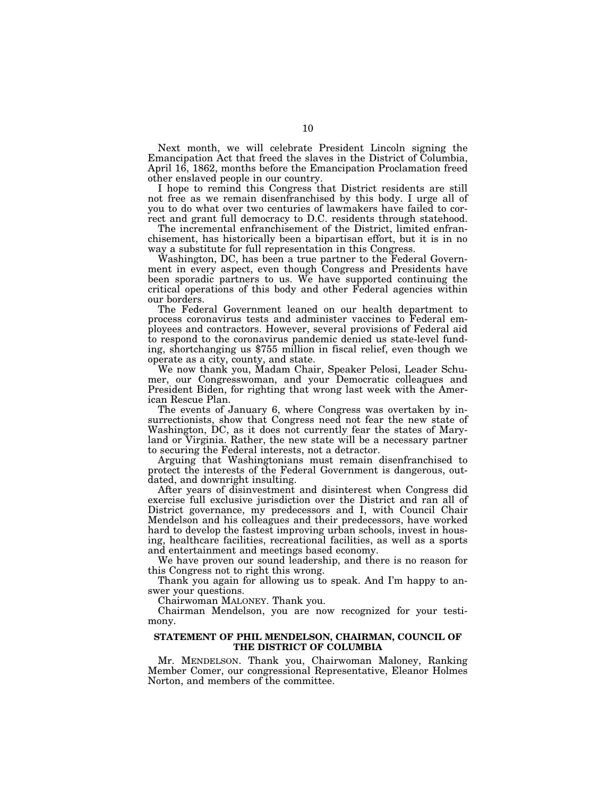Next month, we will celebrate President Lincoln signing the Emancipation Act that freed the slaves in the District of Columbia, April 16, 1862, months before the Emancipation Proclamation freed other enslaved people in our country.

I hope to remind this Congress that District residents are still not free as we remain disenfranchised by this body. I urge all of you to do what over two centuries of lawmakers have failed to correct and grant full democracy to D.C. residents through statehood.

The incremental enfranchisement of the District, limited enfranchisement, has historically been a bipartisan effort, but it is in no way a substitute for full representation in this Congress.

Washington, DC, has been a true partner to the Federal Government in every aspect, even though Congress and Presidents have been sporadic partners to us. We have supported continuing the critical operations of this body and other Federal agencies within our borders.

The Federal Government leaned on our health department to process coronavirus tests and administer vaccines to Federal employees and contractors. However, several provisions of Federal aid to respond to the coronavirus pandemic denied us state-level funding, shortchanging us \$755 million in fiscal relief, even though we operate as a city, county, and state.

We now thank you, Madam Chair, Speaker Pelosi, Leader Schumer, our Congresswoman, and your Democratic colleagues and President Biden, for righting that wrong last week with the American Rescue Plan.

The events of January 6, where Congress was overtaken by insurrectionists, show that Congress need not fear the new state of Washington, DC, as it does not currently fear the states of Maryland or Virginia. Rather, the new state will be a necessary partner to securing the Federal interests, not a detractor.

Arguing that Washingtonians must remain disenfranchised to protect the interests of the Federal Government is dangerous, outdated, and downright insulting.

After years of disinvestment and disinterest when Congress did exercise full exclusive jurisdiction over the District and ran all of District governance, my predecessors and I, with Council Chair Mendelson and his colleagues and their predecessors, have worked hard to develop the fastest improving urban schools, invest in housing, healthcare facilities, recreational facilities, as well as a sports and entertainment and meetings based economy.

We have proven our sound leadership, and there is no reason for this Congress not to right this wrong.

Thank you again for allowing us to speak. And I'm happy to answer your questions.

Chairwoman MALONEY. Thank you.

Chairman Mendelson, you are now recognized for your testimony.

#### **STATEMENT OF PHIL MENDELSON, CHAIRMAN, COUNCIL OF THE DISTRICT OF COLUMBIA**

Mr. MENDELSON. Thank you, Chairwoman Maloney, Ranking Member Comer, our congressional Representative, Eleanor Holmes Norton, and members of the committee.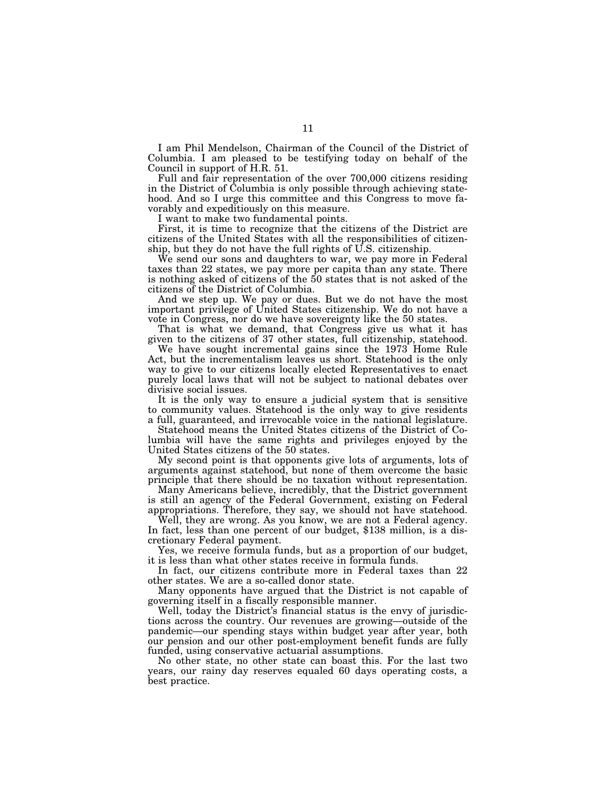I am Phil Mendelson, Chairman of the Council of the District of Columbia. I am pleased to be testifying today on behalf of the Council in support of H.R. 51.

Full and fair representation of the over 700,000 citizens residing in the District of Columbia is only possible through achieving statehood. And so I urge this committee and this Congress to move favorably and expeditiously on this measure.

I want to make two fundamental points.

First, it is time to recognize that the citizens of the District are citizens of the United States with all the responsibilities of citizenship, but they do not have the full rights of U.S. citizenship.

We send our sons and daughters to war, we pay more in Federal taxes than 22 states, we pay more per capita than any state. There is nothing asked of citizens of the 50 states that is not asked of the citizens of the District of Columbia.

And we step up. We pay or dues. But we do not have the most important privilege of United States citizenship. We do not have a vote in Congress, nor do we have sovereignty like the 50 states.

That is what we demand, that Congress give us what it has given to the citizens of 37 other states, full citizenship, statehood.

We have sought incremental gains since the 1973 Home Rule Act, but the incrementalism leaves us short. Statehood is the only way to give to our citizens locally elected Representatives to enact purely local laws that will not be subject to national debates over divisive social issues.

It is the only way to ensure a judicial system that is sensitive to community values. Statehood is the only way to give residents a full, guaranteed, and irrevocable voice in the national legislature.

Statehood means the United States citizens of the District of Columbia will have the same rights and privileges enjoyed by the United States citizens of the 50 states.

My second point is that opponents give lots of arguments, lots of arguments against statehood, but none of them overcome the basic principle that there should be no taxation without representation.

Many Americans believe, incredibly, that the District government is still an agency of the Federal Government, existing on Federal appropriations. Therefore, they say, we should not have statehood.

Well, they are wrong. As you know, we are not a Federal agency. In fact, less than one percent of our budget, \$138 million, is a discretionary Federal payment.

Yes, we receive formula funds, but as a proportion of our budget, it is less than what other states receive in formula funds.

In fact, our citizens contribute more in Federal taxes than 22 other states. We are a so-called donor state.

Many opponents have argued that the District is not capable of governing itself in a fiscally responsible manner.

Well, today the District's financial status is the envy of jurisdictions across the country. Our revenues are growing—outside of the pandemic—our spending stays within budget year after year, both our pension and our other post-employment benefit funds are fully funded, using conservative actuarial assumptions.

No other state, no other state can boast this. For the last two years, our rainy day reserves equaled 60 days operating costs, a best practice.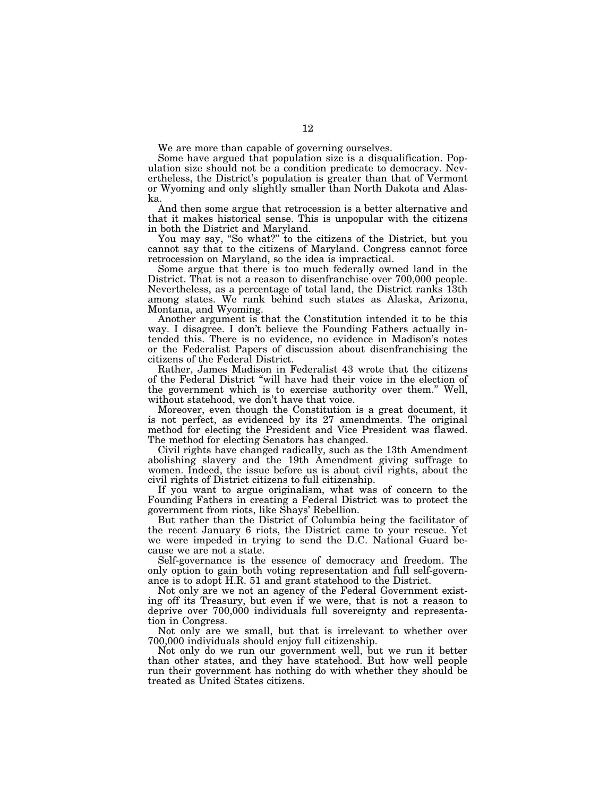We are more than capable of governing ourselves.

Some have argued that population size is a disqualification. Population size should not be a condition predicate to democracy. Nevertheless, the District's population is greater than that of Vermont or Wyoming and only slightly smaller than North Dakota and Alaska.

And then some argue that retrocession is a better alternative and that it makes historical sense. This is unpopular with the citizens in both the District and Maryland.

You may say, "So what?" to the citizens of the District, but you cannot say that to the citizens of Maryland. Congress cannot force retrocession on Maryland, so the idea is impractical.

Some argue that there is too much federally owned land in the District. That is not a reason to disenfranchise over 700,000 people. Nevertheless, as a percentage of total land, the District ranks 13th among states. We rank behind such states as Alaska, Arizona, Montana, and Wyoming.

Another argument is that the Constitution intended it to be this way. I disagree. I don't believe the Founding Fathers actually intended this. There is no evidence, no evidence in Madison's notes or the Federalist Papers of discussion about disenfranchising the citizens of the Federal District.

Rather, James Madison in Federalist 43 wrote that the citizens of the Federal District ''will have had their voice in the election of the government which is to exercise authority over them.'' Well, without statehood, we don't have that voice.

Moreover, even though the Constitution is a great document, it is not perfect, as evidenced by its 27 amendments. The original method for electing the President and Vice President was flawed. The method for electing Senators has changed.

Civil rights have changed radically, such as the 13th Amendment abolishing slavery and the 19th Amendment giving suffrage to women. Indeed, the issue before us is about civil rights, about the civil rights of District citizens to full citizenship.

If you want to argue originalism, what was of concern to the Founding Fathers in creating a Federal District was to protect the government from riots, like Shays' Rebellion.

But rather than the District of Columbia being the facilitator of the recent January 6 riots, the District came to your rescue. Yet we were impeded in trying to send the D.C. National Guard because we are not a state.

Self-governance is the essence of democracy and freedom. The only option to gain both voting representation and full self-governance is to adopt H.R. 51 and grant statehood to the District.

Not only are we not an agency of the Federal Government existing off its Treasury, but even if we were, that is not a reason to deprive over 700,000 individuals full sovereignty and representation in Congress.

Not only are we small, but that is irrelevant to whether over 700,000 individuals should enjoy full citizenship.

Not only do we run our government well, but we run it better than other states, and they have statehood. But how well people run their government has nothing do with whether they should be treated as United States citizens.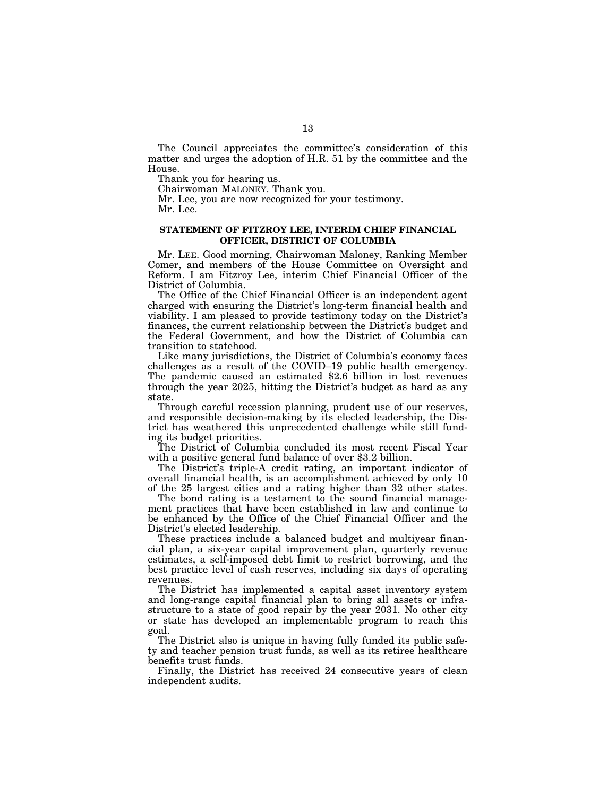The Council appreciates the committee's consideration of this matter and urges the adoption of H.R. 51 by the committee and the House.

Thank you for hearing us.

Chairwoman MALONEY. Thank you.

Mr. Lee, you are now recognized for your testimony.

Mr. Lee.

#### **STATEMENT OF FITZROY LEE, INTERIM CHIEF FINANCIAL OFFICER, DISTRICT OF COLUMBIA**

Mr. LEE. Good morning, Chairwoman Maloney, Ranking Member Comer, and members of the House Committee on Oversight and Reform. I am Fitzroy Lee, interim Chief Financial Officer of the District of Columbia.

The Office of the Chief Financial Officer is an independent agent charged with ensuring the District's long-term financial health and viability. I am pleased to provide testimony today on the District's finances, the current relationship between the District's budget and the Federal Government, and how the District of Columbia can transition to statehood.

Like many jurisdictions, the District of Columbia's economy faces challenges as a result of the COVID–19 public health emergency. The pandemic caused an estimated \$2.6 billion in lost revenues through the year 2025, hitting the District's budget as hard as any state.

Through careful recession planning, prudent use of our reserves, and responsible decision-making by its elected leadership, the District has weathered this unprecedented challenge while still funding its budget priorities.

The District of Columbia concluded its most recent Fiscal Year with a positive general fund balance of over \$3.2 billion.

The District's triple-A credit rating, an important indicator of overall financial health, is an accomplishment achieved by only 10 of the 25 largest cities and a rating higher than 32 other states.

The bond rating is a testament to the sound financial management practices that have been established in law and continue to be enhanced by the Office of the Chief Financial Officer and the District's elected leadership.

These practices include a balanced budget and multivear financial plan, a six-year capital improvement plan, quarterly revenue estimates, a self-imposed debt limit to restrict borrowing, and the best practice level of cash reserves, including six days of operating revenues.

The District has implemented a capital asset inventory system and long-range capital financial plan to bring all assets or infrastructure to a state of good repair by the year 2031. No other city or state has developed an implementable program to reach this goal.

The District also is unique in having fully funded its public safety and teacher pension trust funds, as well as its retiree healthcare benefits trust funds.

Finally, the District has received 24 consecutive years of clean independent audits.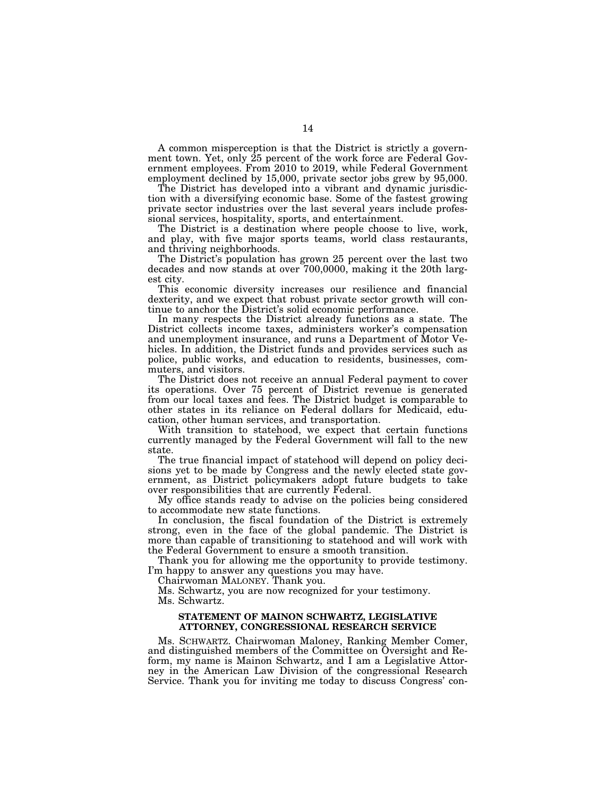A common misperception is that the District is strictly a government town. Yet, only 25 percent of the work force are Federal Government employees. From 2010 to 2019, while Federal Government employment declined by 15,000, private sector jobs grew by 95,000.

The District has developed into a vibrant and dynamic jurisdiction with a diversifying economic base. Some of the fastest growing private sector industries over the last several years include professional services, hospitality, sports, and entertainment.

The District is a destination where people choose to live, work, and play, with five major sports teams, world class restaurants, and thriving neighborhoods.

The District's population has grown 25 percent over the last two decades and now stands at over 700,0000, making it the 20th largest city.

This economic diversity increases our resilience and financial dexterity, and we expect that robust private sector growth will continue to anchor the District's solid economic performance.

In many respects the District already functions as a state. The District collects income taxes, administers worker's compensation and unemployment insurance, and runs a Department of Motor Vehicles. In addition, the District funds and provides services such as police, public works, and education to residents, businesses, commuters, and visitors.

The District does not receive an annual Federal payment to cover its operations. Over 75 percent of District revenue is generated from our local taxes and fees. The District budget is comparable to other states in its reliance on Federal dollars for Medicaid, education, other human services, and transportation.

With transition to statehood, we expect that certain functions currently managed by the Federal Government will fall to the new state.

The true financial impact of statehood will depend on policy decisions yet to be made by Congress and the newly elected state government, as District policymakers adopt future budgets to take over responsibilities that are currently Federal.

My office stands ready to advise on the policies being considered to accommodate new state functions.

In conclusion, the fiscal foundation of the District is extremely strong, even in the face of the global pandemic. The District is more than capable of transitioning to statehood and will work with the Federal Government to ensure a smooth transition.

Thank you for allowing me the opportunity to provide testimony. I'm happy to answer any questions you may have.

Chairwoman MALONEY. Thank you.

Ms. Schwartz, you are now recognized for your testimony. Ms. Schwartz.

#### **STATEMENT OF MAINON SCHWARTZ, LEGISLATIVE ATTORNEY, CONGRESSIONAL RESEARCH SERVICE**

Ms. SCHWARTZ. Chairwoman Maloney, Ranking Member Comer, and distinguished members of the Committee on Oversight and Reform, my name is Mainon Schwartz, and I am a Legislative Attorney in the American Law Division of the congressional Research Service. Thank you for inviting me today to discuss Congress' con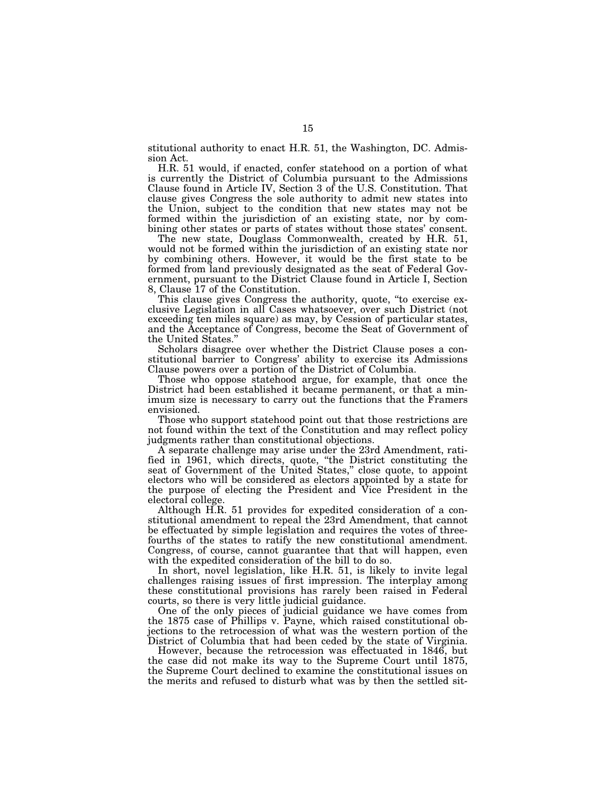stitutional authority to enact H.R. 51, the Washington, DC. Admission Act.

H.R. 51 would, if enacted, confer statehood on a portion of what is currently the District of Columbia pursuant to the Admissions Clause found in Article IV, Section 3 of the U.S. Constitution. That clause gives Congress the sole authority to admit new states into the Union, subject to the condition that new states may not be formed within the jurisdiction of an existing state, nor by combining other states or parts of states without those states' consent.

The new state, Douglass Commonwealth, created by H.R. 51, would not be formed within the jurisdiction of an existing state nor by combining others. However, it would be the first state to be formed from land previously designated as the seat of Federal Government, pursuant to the District Clause found in Article I, Section 8, Clause 17 of the Constitution.

This clause gives Congress the authority, quote, ''to exercise exclusive Legislation in all Cases whatsoever, over such District (not exceeding ten miles square) as may, by Cession of particular states, and the Acceptance of Congress, become the Seat of Government of the United States.''

Scholars disagree over whether the District Clause poses a constitutional barrier to Congress' ability to exercise its Admissions Clause powers over a portion of the District of Columbia.

Those who oppose statehood argue, for example, that once the District had been established it became permanent, or that a minimum size is necessary to carry out the functions that the Framers envisioned.

Those who support statehood point out that those restrictions are not found within the text of the Constitution and may reflect policy judgments rather than constitutional objections.

A separate challenge may arise under the 23rd Amendment, ratified in 1961, which directs, quote, ''the District constituting the seat of Government of the United States,'' close quote, to appoint electors who will be considered as electors appointed by a state for the purpose of electing the President and Vice President in the electoral college.

Although H.R. 51 provides for expedited consideration of a constitutional amendment to repeal the 23rd Amendment, that cannot be effectuated by simple legislation and requires the votes of threefourths of the states to ratify the new constitutional amendment. Congress, of course, cannot guarantee that that will happen, even with the expedited consideration of the bill to do so.

In short, novel legislation, like H.R. 51, is likely to invite legal challenges raising issues of first impression. The interplay among these constitutional provisions has rarely been raised in Federal courts, so there is very little judicial guidance.

One of the only pieces of judicial guidance we have comes from the 1875 case of Phillips v. Payne, which raised constitutional objections to the retrocession of what was the western portion of the District of Columbia that had been ceded by the state of Virginia.

However, because the retrocession was effectuated in 1846, but the case did not make its way to the Supreme Court until 1875, the Supreme Court declined to examine the constitutional issues on the merits and refused to disturb what was by then the settled sit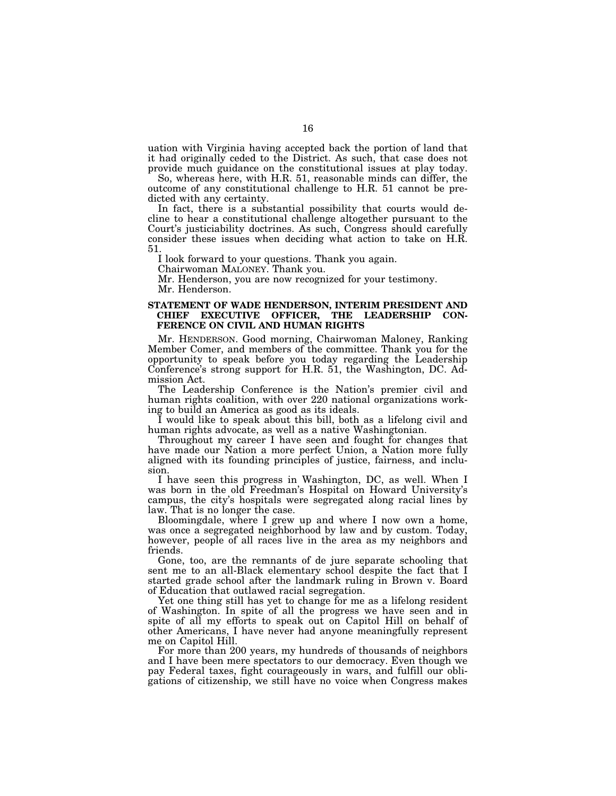uation with Virginia having accepted back the portion of land that it had originally ceded to the District. As such, that case does not provide much guidance on the constitutional issues at play today.

So, whereas here, with H.R. 51, reasonable minds can differ, the outcome of any constitutional challenge to H.R. 51 cannot be predicted with any certainty.

In fact, there is a substantial possibility that courts would decline to hear a constitutional challenge altogether pursuant to the Court's justiciability doctrines. As such, Congress should carefully consider these issues when deciding what action to take on H.R. 51.

I look forward to your questions. Thank you again.

Chairwoman MALONEY. Thank you.

Mr. Henderson, you are now recognized for your testimony. Mr. Henderson.

#### **STATEMENT OF WADE HENDERSON, INTERIM PRESIDENT AND CHIEF EXECUTIVE OFFICER, THE LEADERSHIP CON-FERENCE ON CIVIL AND HUMAN RIGHTS**

Mr. HENDERSON. Good morning, Chairwoman Maloney, Ranking Member Comer, and members of the committee. Thank you for the opportunity to speak before you today regarding the Leadership Conference's strong support for H.R. 51, the Washington, DC. Admission Act.

The Leadership Conference is the Nation's premier civil and human rights coalition, with over 220 national organizations working to build an America as good as its ideals.

I would like to speak about this bill, both as a lifelong civil and human rights advocate, as well as a native Washingtonian.

Throughout my career I have seen and fought for changes that have made our Nation a more perfect Union, a Nation more fully aligned with its founding principles of justice, fairness, and inclusion.

I have seen this progress in Washington, DC, as well. When I was born in the old Freedman's Hospital on Howard University's campus, the city's hospitals were segregated along racial lines by law. That is no longer the case.

Bloomingdale, where I grew up and where I now own a home, was once a segregated neighborhood by law and by custom. Today, however, people of all races live in the area as my neighbors and friends.

Gone, too, are the remnants of de jure separate schooling that sent me to an all-Black elementary school despite the fact that I started grade school after the landmark ruling in Brown v. Board of Education that outlawed racial segregation.

Yet one thing still has yet to change for me as a lifelong resident of Washington. In spite of all the progress we have seen and in spite of all my efforts to speak out on Capitol Hill on behalf of other Americans, I have never had anyone meaningfully represent me on Capitol Hill.

For more than 200 years, my hundreds of thousands of neighbors and I have been mere spectators to our democracy. Even though we pay Federal taxes, fight courageously in wars, and fulfill our obligations of citizenship, we still have no voice when Congress makes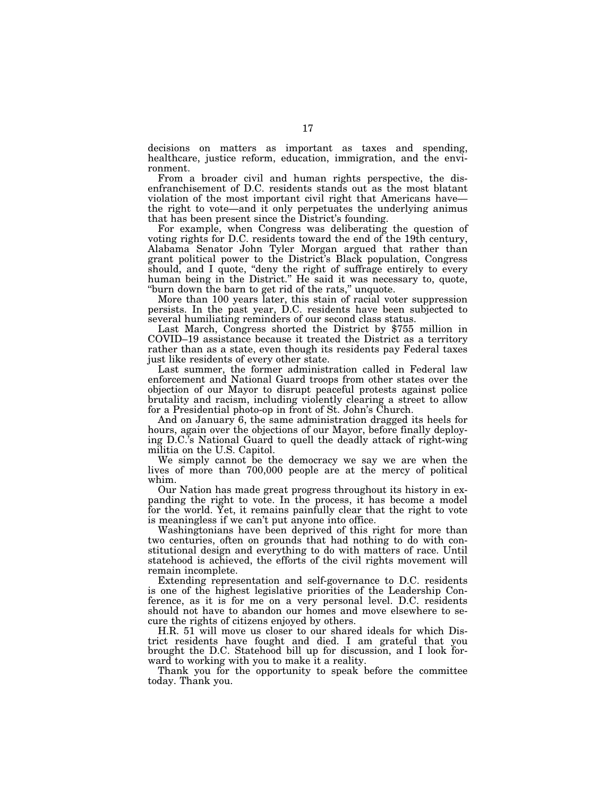decisions on matters as important as taxes and spending, healthcare, justice reform, education, immigration, and the environment.

From a broader civil and human rights perspective, the disenfranchisement of D.C. residents stands out as the most blatant violation of the most important civil right that Americans have the right to vote—and it only perpetuates the underlying animus that has been present since the District's founding.

For example, when Congress was deliberating the question of voting rights for D.C. residents toward the end of the 19th century, Alabama Senator John Tyler Morgan argued that rather than grant political power to the District's Black population, Congress should, and I quote, ''deny the right of suffrage entirely to every human being in the District.'' He said it was necessary to, quote, "burn down the barn to get rid of the rats," unquote.

More than 100 years later, this stain of racial voter suppression persists. In the past year, D.C. residents have been subjected to

Last March, Congress shorted the District by \$755 million in COVID–19 assistance because it treated the District as a territory rather than as a state, even though its residents pay Federal taxes just like residents of every other state.

Last summer, the former administration called in Federal law enforcement and National Guard troops from other states over the objection of our Mayor to disrupt peaceful protests against police brutality and racism, including violently clearing a street to allow for a Presidential photo-op in front of St. John's Church.

And on January 6, the same administration dragged its heels for hours, again over the objections of our Mayor, before finally deploying D.C.'s National Guard to quell the deadly attack of right-wing militia on the U.S. Capitol.

We simply cannot be the democracy we say we are when the lives of more than 700,000 people are at the mercy of political whim.

Our Nation has made great progress throughout its history in expanding the right to vote. In the process, it has become a model for the world. Yet, it remains painfully clear that the right to vote is meaningless if we can't put anyone into office.

Washingtonians have been deprived of this right for more than two centuries, often on grounds that had nothing to do with constitutional design and everything to do with matters of race. Until statehood is achieved, the efforts of the civil rights movement will remain incomplete.

Extending representation and self-governance to D.C. residents is one of the highest legislative priorities of the Leadership Conference, as it is for me on a very personal level. D.C. residents should not have to abandon our homes and move elsewhere to secure the rights of citizens enjoyed by others.

H.R. 51 will move us closer to our shared ideals for which District residents have fought and died. I am grateful that you brought the D.C. Statehood bill up for discussion, and I look forward to working with you to make it a reality.

Thank you for the opportunity to speak before the committee today. Thank you.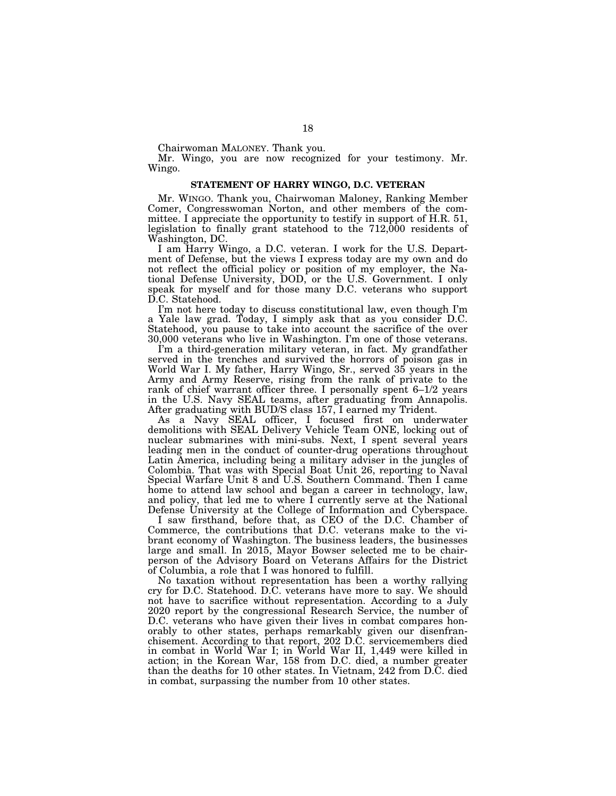Chairwoman MALONEY. Thank you.

Mr. Wingo, you are now recognized for your testimony. Mr. Wingo.

#### **STATEMENT OF HARRY WINGO, D.C. VETERAN**

Mr. WINGO. Thank you, Chairwoman Maloney, Ranking Member Comer, Congresswoman Norton, and other members of the committee. I appreciate the opportunity to testify in support of H.R. 51, legislation to finally grant statehood to the 712,000 residents of Washington, DC.

I am Harry Wingo, a D.C. veteran. I work for the U.S. Department of Defense, but the views I express today are my own and do not reflect the official policy or position of my employer, the National Defense University, DOD, or the U.S. Government. I only speak for myself and for those many D.C. veterans who support D.C. Statehood.

I'm not here today to discuss constitutional law, even though I'm a Yale law grad. Today, I simply ask that as you consider D.C. Statehood, you pause to take into account the sacrifice of the over 30,000 veterans who live in Washington. I'm one of those veterans.

I'm a third-generation military veteran, in fact. My grandfather served in the trenches and survived the horrors of poison gas in World War I. My father, Harry Wingo, Sr., served 35 years in the Army and Army Reserve, rising from the rank of private to the rank of chief warrant officer three. I personally spent 6–1/2 years in the U.S. Navy SEAL teams, after graduating from Annapolis. After graduating with BUD/S class 157, I earned my Trident.

As a Navy SEAL officer, I focused first on underwater demolitions with SEAL Delivery Vehicle Team ONE, locking out of nuclear submarines with mini-subs. Next, I spent several years leading men in the conduct of counter-drug operations throughout Latin America, including being a military adviser in the jungles of Colombia. That was with Special Boat Unit 26, reporting to Naval Special Warfare Unit 8 and U.S. Southern Command. Then I came home to attend law school and began a career in technology, law, and policy, that led me to where I currently serve at the National Defense University at the College of Information and Cyberspace.

I saw firsthand, before that, as CEO of the D.C. Chamber of Commerce, the contributions that D.C. veterans make to the vibrant economy of Washington. The business leaders, the businesses large and small. In 2015, Mayor Bowser selected me to be chairperson of the Advisory Board on Veterans Affairs for the District of Columbia, a role that I was honored to fulfill.

No taxation without representation has been a worthy rallying cry for D.C. Statehood. D.C. veterans have more to say. We should not have to sacrifice without representation. According to a July 2020 report by the congressional Research Service, the number of D.C. veterans who have given their lives in combat compares honorably to other states, perhaps remarkably given our disenfranchisement. According to that report, 202 D.C. servicemembers died in combat in World War I; in World War II, 1,449 were killed in action; in the Korean War, 158 from D.C. died, a number greater than the deaths for 10 other states. In Vietnam, 242 from D.C. died in combat, surpassing the number from 10 other states.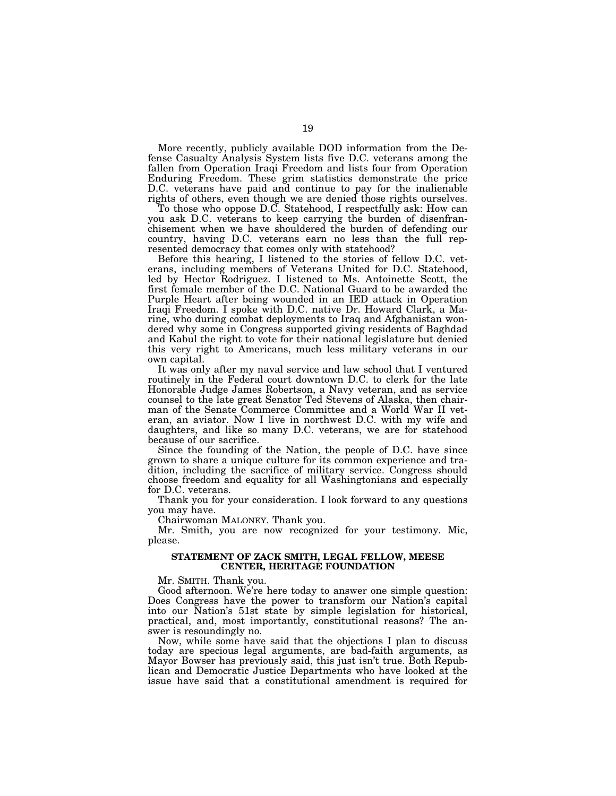More recently, publicly available DOD information from the Defense Casualty Analysis System lists five D.C. veterans among the fallen from Operation Iraqi Freedom and lists four from Operation Enduring Freedom. These grim statistics demonstrate the price D.C. veterans have paid and continue to pay for the inalienable rights of others, even though we are denied those rights ourselves.

To those who oppose D.C. Statehood, I respectfully ask: How can you ask D.C. veterans to keep carrying the burden of disenfranchisement when we have shouldered the burden of defending our country, having D.C. veterans earn no less than the full represented democracy that comes only with statehood?

Before this hearing, I listened to the stories of fellow D.C. veterans, including members of Veterans United for D.C. Statehood, led by Hector Rodriguez. I listened to Ms. Antoinette Scott, the first female member of the D.C. National Guard to be awarded the Purple Heart after being wounded in an IED attack in Operation Iraqi Freedom. I spoke with D.C. native Dr. Howard Clark, a Marine, who during combat deployments to Iraq and Afghanistan wondered why some in Congress supported giving residents of Baghdad and Kabul the right to vote for their national legislature but denied this very right to Americans, much less military veterans in our own capital.

It was only after my naval service and law school that I ventured routinely in the Federal court downtown D.C. to clerk for the late Honorable Judge James Robertson, a Navy veteran, and as service counsel to the late great Senator Ted Stevens of Alaska, then chairman of the Senate Commerce Committee and a World War II veteran, an aviator. Now I live in northwest D.C. with my wife and daughters, and like so many D.C. veterans, we are for statehood because of our sacrifice.

Since the founding of the Nation, the people of D.C. have since grown to share a unique culture for its common experience and tradition, including the sacrifice of military service. Congress should choose freedom and equality for all Washingtonians and especially for D.C. veterans.

Thank you for your consideration. I look forward to any questions you may have.

Chairwoman MALONEY. Thank you.

Mr. Smith, you are now recognized for your testimony. Mic, please.

#### **STATEMENT OF ZACK SMITH, LEGAL FELLOW, MEESE CENTER, HERITAGE FOUNDATION**

Mr. SMITH. Thank you.

Good afternoon. We're here today to answer one simple question: Does Congress have the power to transform our Nation's capital into our Nation's 51st state by simple legislation for historical, practical, and, most importantly, constitutional reasons? The answer is resoundingly no.

Now, while some have said that the objections I plan to discuss today are specious legal arguments, are bad-faith arguments, as Mayor Bowser has previously said, this just isn't true. Both Republican and Democratic Justice Departments who have looked at the issue have said that a constitutional amendment is required for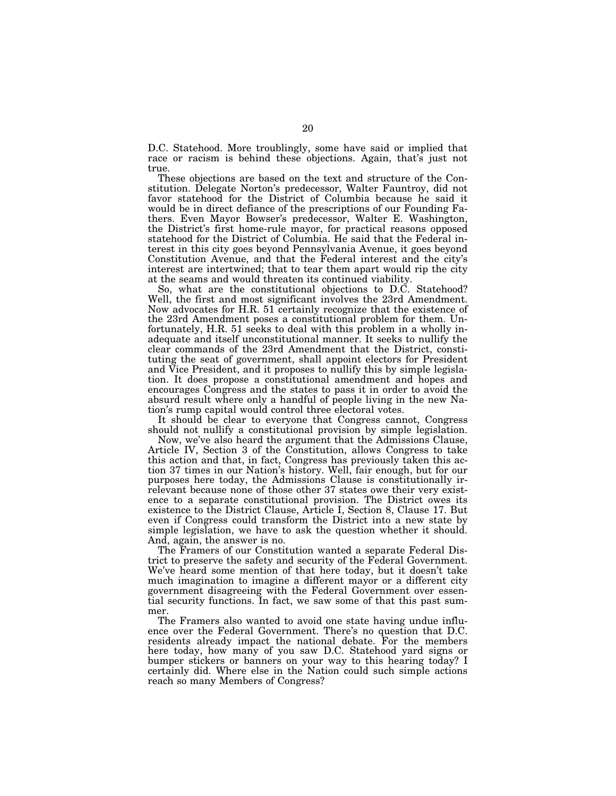D.C. Statehood. More troublingly, some have said or implied that race or racism is behind these objections. Again, that's just not true.

These objections are based on the text and structure of the Constitution. Delegate Norton's predecessor, Walter Fauntroy, did not favor statehood for the District of Columbia because he said it would be in direct defiance of the prescriptions of our Founding Fathers. Even Mayor Bowser's predecessor, Walter E. Washington, the District's first home-rule mayor, for practical reasons opposed statehood for the District of Columbia. He said that the Federal interest in this city goes beyond Pennsylvania Avenue, it goes beyond Constitution Avenue, and that the Federal interest and the city's interest are intertwined; that to tear them apart would rip the city at the seams and would threaten its continued viability.

So, what are the constitutional objections to D.C. Statehood? Well, the first and most significant involves the 23rd Amendment. Now advocates for H.R. 51 certainly recognize that the existence of the 23rd Amendment poses a constitutional problem for them. Unfortunately, H.R. 51 seeks to deal with this problem in a wholly inadequate and itself unconstitutional manner. It seeks to nullify the clear commands of the 23rd Amendment that the District, constituting the seat of government, shall appoint electors for President and Vice President, and it proposes to nullify this by simple legislation. It does propose a constitutional amendment and hopes and encourages Congress and the states to pass it in order to avoid the absurd result where only a handful of people living in the new Nation's rump capital would control three electoral votes.

It should be clear to everyone that Congress cannot, Congress should not nullify a constitutional provision by simple legislation.

Now, we've also heard the argument that the Admissions Clause, Article IV, Section 3 of the Constitution, allows Congress to take this action and that, in fact, Congress has previously taken this action 37 times in our Nation's history. Well, fair enough, but for our purposes here today, the Admissions Clause is constitutionally irrelevant because none of those other 37 states owe their very existence to a separate constitutional provision. The District owes its existence to the District Clause, Article I, Section 8, Clause 17. But even if Congress could transform the District into a new state by simple legislation, we have to ask the question whether it should. And, again, the answer is no.

The Framers of our Constitution wanted a separate Federal District to preserve the safety and security of the Federal Government. We've heard some mention of that here today, but it doesn't take much imagination to imagine a different mayor or a different city government disagreeing with the Federal Government over essential security functions. In fact, we saw some of that this past summer.

The Framers also wanted to avoid one state having undue influence over the Federal Government. There's no question that D.C. residents already impact the national debate. For the members here today, how many of you saw D.C. Statehood yard signs or bumper stickers or banners on your way to this hearing today? I certainly did. Where else in the Nation could such simple actions reach so many Members of Congress?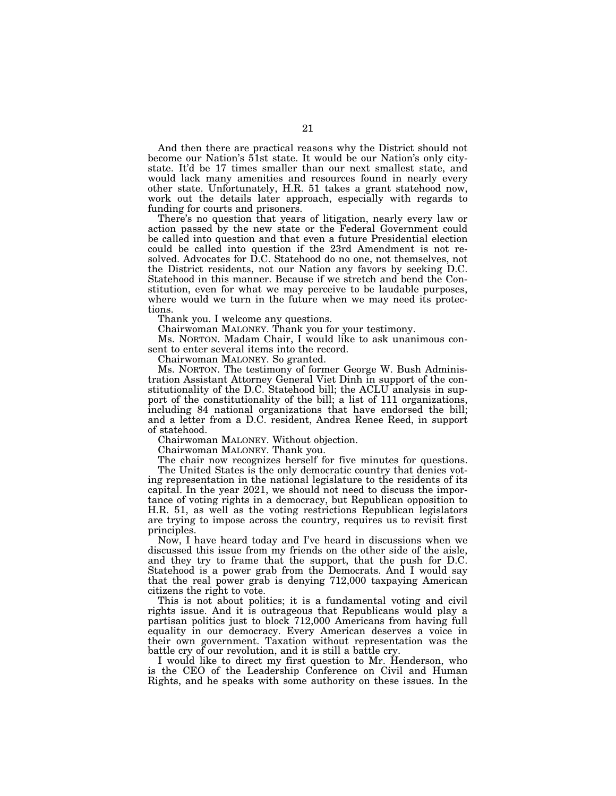And then there are practical reasons why the District should not become our Nation's 51st state. It would be our Nation's only citystate. It'd be 17 times smaller than our next smallest state, and would lack many amenities and resources found in nearly every other state. Unfortunately, H.R. 51 takes a grant statehood now, work out the details later approach, especially with regards to funding for courts and prisoners.

There's no question that years of litigation, nearly every law or action passed by the new state or the Federal Government could be called into question and that even a future Presidential election could be called into question if the 23rd Amendment is not resolved. Advocates for D.C. Statehood do no one, not themselves, not the District residents, not our Nation any favors by seeking D.C. Statehood in this manner. Because if we stretch and bend the Constitution, even for what we may perceive to be laudable purposes, where would we turn in the future when we may need its protections.

Thank you. I welcome any questions.

Chairwoman MALONEY. Thank you for your testimony.

Ms. NORTON. Madam Chair, I would like to ask unanimous consent to enter several items into the record.

Chairwoman MALONEY. So granted.

Ms. NORTON. The testimony of former George W. Bush Administration Assistant Attorney General Viet Dinh in support of the constitutionality of the D.C. Statehood bill; the ACLU analysis in support of the constitutionality of the bill; a list of 111 organizations, including 84 national organizations that have endorsed the bill; and a letter from a D.C. resident, Andrea Renee Reed, in support of statehood.

Chairwoman MALONEY. Without objection.

Chairwoman MALONEY. Thank you.

The chair now recognizes herself for five minutes for questions.

The United States is the only democratic country that denies voting representation in the national legislature to the residents of its capital. In the year 2021, we should not need to discuss the importance of voting rights in a democracy, but Republican opposition to H.R. 51, as well as the voting restrictions Republican legislators are trying to impose across the country, requires us to revisit first principles.

Now, I have heard today and I've heard in discussions when we discussed this issue from my friends on the other side of the aisle, and they try to frame that the support, that the push for D.C. Statehood is a power grab from the Democrats. And I would say that the real power grab is denying 712,000 taxpaying American citizens the right to vote.

This is not about politics; it is a fundamental voting and civil rights issue. And it is outrageous that Republicans would play a partisan politics just to block 712,000 Americans from having full equality in our democracy. Every American deserves a voice in their own government. Taxation without representation was the battle cry of our revolution, and it is still a battle cry.

I would like to direct my first question to Mr. Henderson, who is the CEO of the Leadership Conference on Civil and Human Rights, and he speaks with some authority on these issues. In the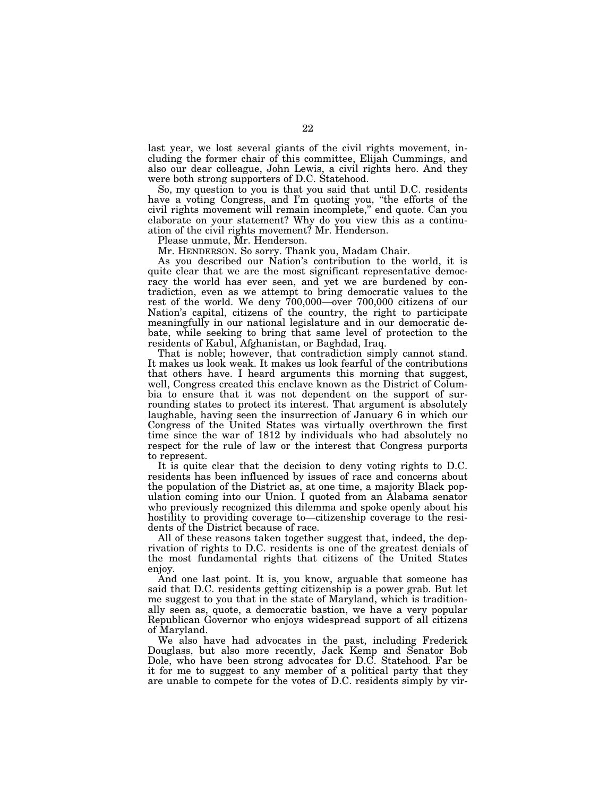last year, we lost several giants of the civil rights movement, including the former chair of this committee, Elijah Cummings, and also our dear colleague, John Lewis, a civil rights hero. And they were both strong supporters of D.C. Statehood.

So, my question to you is that you said that until D.C. residents have a voting Congress, and I'm quoting you, "the efforts of the civil rights movement will remain incomplete,'' end quote. Can you elaborate on your statement? Why do you view this as a continuation of the civil rights movement? Mr. Henderson.

Please unmute, Mr. Henderson.

Mr. HENDERSON. So sorry. Thank you, Madam Chair.

As you described our Nation's contribution to the world, it is quite clear that we are the most significant representative democracy the world has ever seen, and yet we are burdened by contradiction, even as we attempt to bring democratic values to the rest of the world. We deny 700,000—over 700,000 citizens of our Nation's capital, citizens of the country, the right to participate meaningfully in our national legislature and in our democratic debate, while seeking to bring that same level of protection to the residents of Kabul, Afghanistan, or Baghdad, Iraq.

That is noble; however, that contradiction simply cannot stand. It makes us look weak. It makes us look fearful of the contributions that others have. I heard arguments this morning that suggest, well, Congress created this enclave known as the District of Columbia to ensure that it was not dependent on the support of surrounding states to protect its interest. That argument is absolutely laughable, having seen the insurrection of January 6 in which our Congress of the United States was virtually overthrown the first time since the war of 1812 by individuals who had absolutely no respect for the rule of law or the interest that Congress purports to represent.

It is quite clear that the decision to deny voting rights to D.C. residents has been influenced by issues of race and concerns about the population of the District as, at one time, a majority Black population coming into our Union. I quoted from an Alabama senator who previously recognized this dilemma and spoke openly about his hostility to providing coverage to—citizenship coverage to the residents of the District because of race.

All of these reasons taken together suggest that, indeed, the deprivation of rights to D.C. residents is one of the greatest denials of the most fundamental rights that citizens of the United States enjoy.

And one last point. It is, you know, arguable that someone has said that D.C. residents getting citizenship is a power grab. But let me suggest to you that in the state of Maryland, which is traditionally seen as, quote, a democratic bastion, we have a very popular Republican Governor who enjoys widespread support of all citizens of Maryland.

We also have had advocates in the past, including Frederick Douglass, but also more recently, Jack Kemp and Senator Bob Dole, who have been strong advocates for D.C. Statehood. Far be it for me to suggest to any member of a political party that they are unable to compete for the votes of D.C. residents simply by vir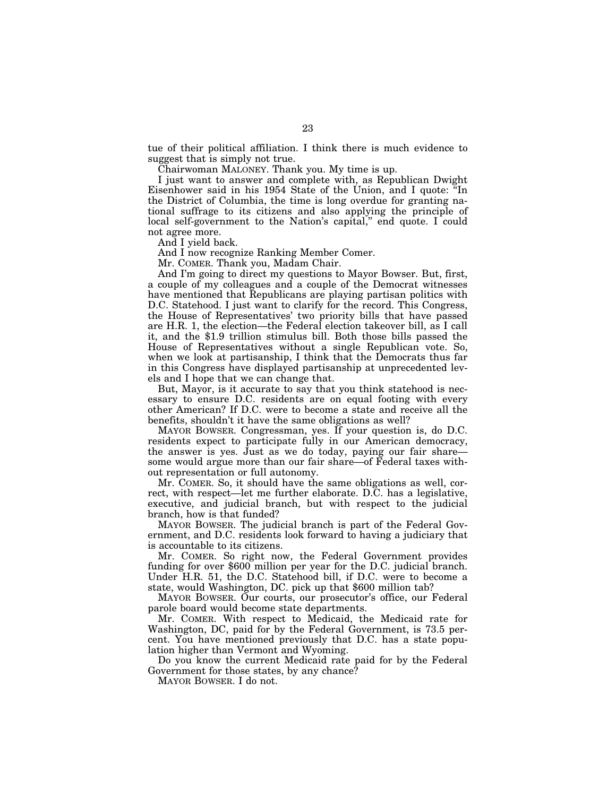tue of their political affiliation. I think there is much evidence to suggest that is simply not true.

Chairwoman MALONEY. Thank you. My time is up.

I just want to answer and complete with, as Republican Dwight Eisenhower said in his 1954 State of the Union, and I quote: ''In the District of Columbia, the time is long overdue for granting national suffrage to its citizens and also applying the principle of local self-government to the Nation's capital," end quote. I could not agree more.

And I yield back.

And I now recognize Ranking Member Comer.

Mr. COMER. Thank you, Madam Chair.

And I'm going to direct my questions to Mayor Bowser. But, first, a couple of my colleagues and a couple of the Democrat witnesses have mentioned that Republicans are playing partisan politics with D.C. Statehood. I just want to clarify for the record. This Congress, the House of Representatives' two priority bills that have passed are H.R. 1, the election—the Federal election takeover bill, as I call it, and the \$1.9 trillion stimulus bill. Both those bills passed the House of Representatives without a single Republican vote. So, when we look at partisanship, I think that the Democrats thus far in this Congress have displayed partisanship at unprecedented levels and I hope that we can change that.

But, Mayor, is it accurate to say that you think statehood is necessary to ensure D.C. residents are on equal footing with every other American? If D.C. were to become a state and receive all the benefits, shouldn't it have the same obligations as well?

MAYOR BOWSER. Congressman, yes. If your question is, do D.C. residents expect to participate fully in our American democracy, the answer is yes. Just as we do today, paying our fair share some would argue more than our fair share—of Federal taxes without representation or full autonomy.

Mr. COMER. So, it should have the same obligations as well, correct, with respect—let me further elaborate. D.C. has a legislative, executive, and judicial branch, but with respect to the judicial branch, how is that funded?

MAYOR BOWSER. The judicial branch is part of the Federal Government, and D.C. residents look forward to having a judiciary that is accountable to its citizens.

Mr. COMER. So right now, the Federal Government provides funding for over \$600 million per year for the D.C. judicial branch. Under H.R. 51, the D.C. Statehood bill, if D.C. were to become a state, would Washington, DC. pick up that \$600 million tab?

MAYOR BOWSER. Our courts, our prosecutor's office, our Federal parole board would become state departments.

Mr. COMER. With respect to Medicaid, the Medicaid rate for Washington, DC, paid for by the Federal Government, is 73.5 percent. You have mentioned previously that D.C. has a state population higher than Vermont and Wyoming.

Do you know the current Medicaid rate paid for by the Federal Government for those states, by any chance?

MAYOR BOWSER. I do not.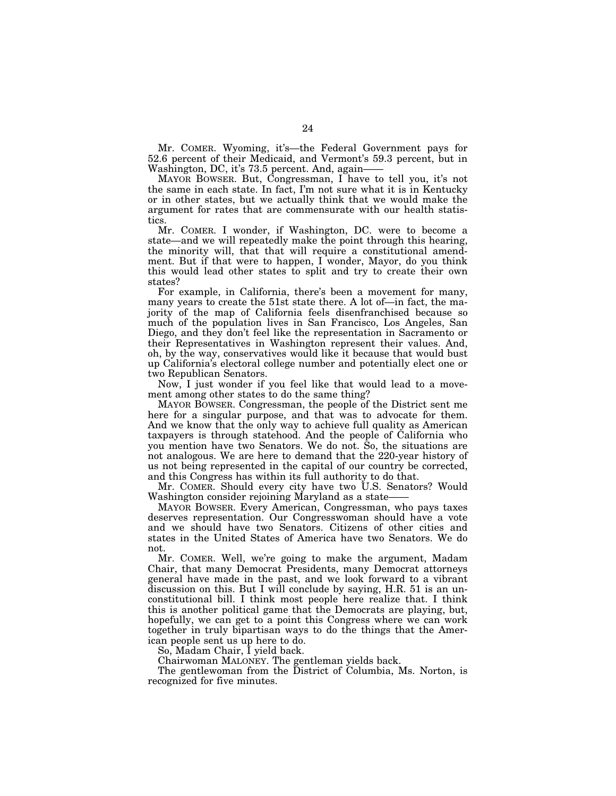Mr. COMER. Wyoming, it's—the Federal Government pays for 52.6 percent of their Medicaid, and Vermont's 59.3 percent, but in Washington, DC, it's 73.5 percent. And, again——

MAYOR BOWSER. But, Congressman, I have to tell you, it's not the same in each state. In fact, I'm not sure what it is in Kentucky or in other states, but we actually think that we would make the argument for rates that are commensurate with our health statistics.

Mr. COMER. I wonder, if Washington, DC. were to become a state—and we will repeatedly make the point through this hearing, the minority will, that that will require a constitutional amendment. But if that were to happen, I wonder, Mayor, do you think this would lead other states to split and try to create their own states?

For example, in California, there's been a movement for many, many years to create the 51st state there. A lot of—in fact, the majority of the map of California feels disenfranchised because so much of the population lives in San Francisco, Los Angeles, San Diego, and they don't feel like the representation in Sacramento or their Representatives in Washington represent their values. And, oh, by the way, conservatives would like it because that would bust up California's electoral college number and potentially elect one or two Republican Senators.

Now, I just wonder if you feel like that would lead to a movement among other states to do the same thing?

MAYOR BOWSER. Congressman, the people of the District sent me here for a singular purpose, and that was to advocate for them. And we know that the only way to achieve full quality as American taxpayers is through statehood. And the people of California who you mention have two Senators. We do not. So, the situations are not analogous. We are here to demand that the 220-year history of us not being represented in the capital of our country be corrected, and this Congress has within its full authority to do that.

Mr. COMER. Should every city have two U.S. Senators? Would Washington consider rejoining Maryland as a state——

MAYOR BOWSER. Every American, Congressman, who pays taxes deserves representation. Our Congresswoman should have a vote and we should have two Senators. Citizens of other cities and states in the United States of America have two Senators. We do not.

Mr. COMER. Well, we're going to make the argument, Madam Chair, that many Democrat Presidents, many Democrat attorneys general have made in the past, and we look forward to a vibrant discussion on this. But I will conclude by saying, H.R. 51 is an unconstitutional bill. I think most people here realize that. I think this is another political game that the Democrats are playing, but, hopefully, we can get to a point this Congress where we can work together in truly bipartisan ways to do the things that the American people sent us up here to do.

So, Madam Chair, I yield back.

Chairwoman MALONEY. The gentleman yields back.

The gentlewoman from the District of Columbia, Ms. Norton, is recognized for five minutes.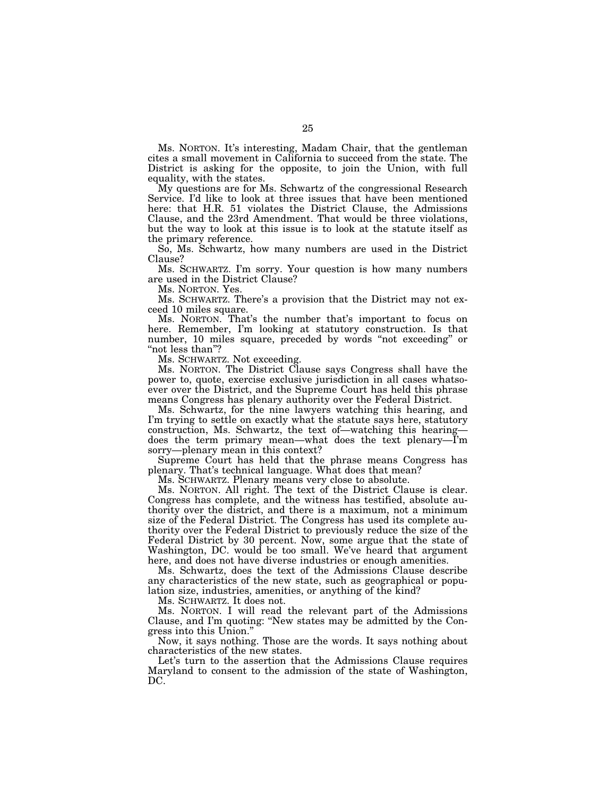Ms. NORTON. It's interesting, Madam Chair, that the gentleman cites a small movement in California to succeed from the state. The District is asking for the opposite, to join the Union, with full equality, with the states.

My questions are for Ms. Schwartz of the congressional Research Service. I'd like to look at three issues that have been mentioned here: that H.R. 51 violates the District Clause, the Admissions Clause, and the 23rd Amendment. That would be three violations, but the way to look at this issue is to look at the statute itself as the primary reference.

So, Ms. Schwartz, how many numbers are used in the District Clause?

Ms. SCHWARTZ. I'm sorry. Your question is how many numbers are used in the District Clause?

Ms. NORTON. Yes.

Ms. SCHWARTZ. There's a provision that the District may not exceed 10 miles square.

Ms. NORTON. That's the number that's important to focus on here. Remember, I'm looking at statutory construction. Is that number, 10 miles square, preceded by words "not exceeding" or "not less than"?

Ms. SCHWARTZ. Not exceeding.

Ms. NORTON. The District Clause says Congress shall have the power to, quote, exercise exclusive jurisdiction in all cases whatsoever over the District, and the Supreme Court has held this phrase means Congress has plenary authority over the Federal District.

Ms. Schwartz, for the nine lawyers watching this hearing, and I'm trying to settle on exactly what the statute says here, statutory construction, Ms. Schwartz, the text of—watching this hearing does the term primary mean—what does the text plenary—I'm sorry—plenary mean in this context?

Supreme Court has held that the phrase means Congress has plenary. That's technical language. What does that mean?

Ms. SCHWARTZ. Plenary means very close to absolute.

Ms. NORTON. All right. The text of the District Clause is clear. Congress has complete, and the witness has testified, absolute authority over the district, and there is a maximum, not a minimum size of the Federal District. The Congress has used its complete authority over the Federal District to previously reduce the size of the Federal District by 30 percent. Now, some argue that the state of Washington, DC. would be too small. We've heard that argument here, and does not have diverse industries or enough amenities.

Ms. Schwartz, does the text of the Admissions Clause describe any characteristics of the new state, such as geographical or population size, industries, amenities, or anything of the kind?

Ms. SCHWARTZ. It does not.

Ms. NORTON. I will read the relevant part of the Admissions Clause, and I'm quoting: ''New states may be admitted by the Congress into this Union.''

Now, it says nothing. Those are the words. It says nothing about characteristics of the new states.

Let's turn to the assertion that the Admissions Clause requires Maryland to consent to the admission of the state of Washington, DC.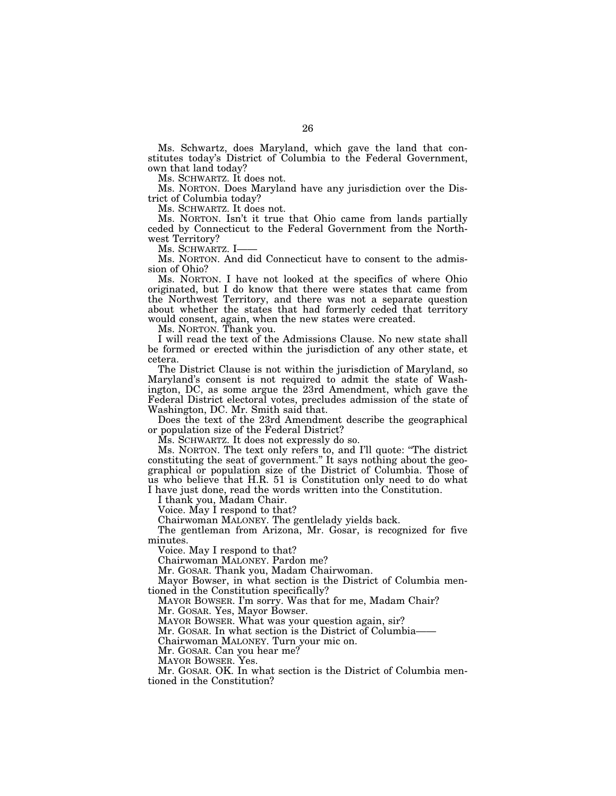Ms. Schwartz, does Maryland, which gave the land that constitutes today's District of Columbia to the Federal Government, own that land today?

Ms. SCHWARTZ. It does not.

Ms. NORTON. Does Maryland have any jurisdiction over the District of Columbia today?

Ms. SCHWARTZ. It does not.

Ms. NORTON. Isn't it true that Ohio came from lands partially ceded by Connecticut to the Federal Government from the Northwest Territory?

Ms. SCHWARTZ. I-

Ms. NORTON. And did Connecticut have to consent to the admission of Ohio?

Ms. NORTON. I have not looked at the specifics of where Ohio originated, but I do know that there were states that came from the Northwest Territory, and there was not a separate question about whether the states that had formerly ceded that territory would consent, again, when the new states were created.

Ms. NORTON. Thank you.

I will read the text of the Admissions Clause. No new state shall be formed or erected within the jurisdiction of any other state, et cetera.

The District Clause is not within the jurisdiction of Maryland, so Maryland's consent is not required to admit the state of Washington, DC, as some argue the 23rd Amendment, which gave the Federal District electoral votes, precludes admission of the state of Washington, DC. Mr. Smith said that.

Does the text of the 23rd Amendment describe the geographical or population size of the Federal District?

Ms. SCHWARTZ. It does not expressly do so.

Ms. NORTON. The text only refers to, and I'll quote: ''The district constituting the seat of government." It says nothing about the geographical or population size of the District of Columbia. Those of us who believe that H.R. 51 is Constitution only need to do what I have just done, read the words written into the Constitution.

I thank you, Madam Chair.

Voice. May I respond to that?

Chairwoman MALONEY. The gentlelady yields back.

The gentleman from Arizona, Mr. Gosar, is recognized for five minutes.

Voice. May I respond to that?

Chairwoman MALONEY. Pardon me?

Mr. GOSAR. Thank you, Madam Chairwoman.

Mayor Bowser, in what section is the District of Columbia mentioned in the Constitution specifically?

MAYOR BOWSER. I'm sorry. Was that for me, Madam Chair?

Mr. GOSAR. Yes, Mayor Bowser.

MAYOR BOWSER. What was your question again, sir?

Mr. GOSAR. In what section is the District of Columbia——

Chairwoman MALONEY. Turn your mic on.

Mr. GOSAR. Can you hear me?

MAYOR BOWSER. Yes.

Mr. GOSAR. OK. In what section is the District of Columbia mentioned in the Constitution?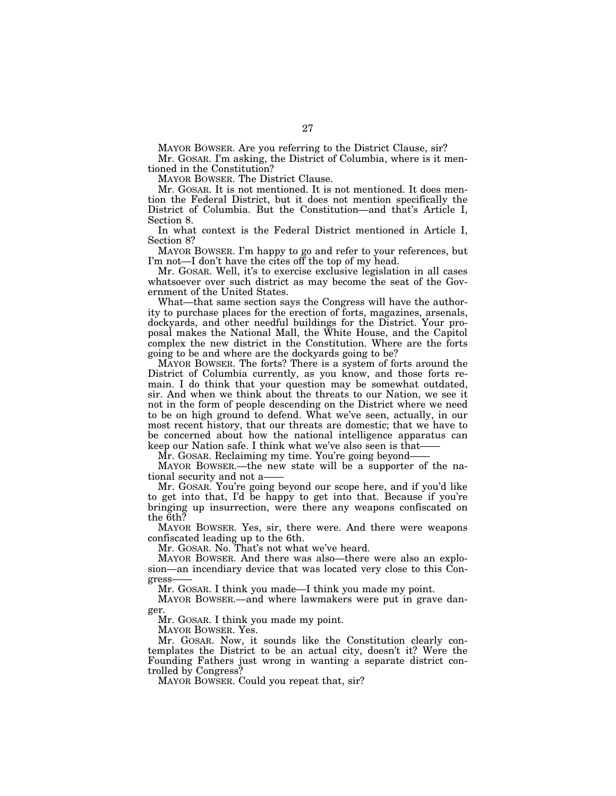MAYOR BOWSER. Are you referring to the District Clause, sir? Mr. GOSAR. I'm asking, the District of Columbia, where is it men-

tioned in the Constitution?

MAYOR BOWSER. The District Clause.

Mr. GOSAR. It is not mentioned. It is not mentioned. It does mention the Federal District, but it does not mention specifically the District of Columbia. But the Constitution—and that's Article I, Section 8.

In what context is the Federal District mentioned in Article I, Section 8?

MAYOR BOWSER. I'm happy to go and refer to your references, but I'm not—I don't have the cites off the top of my head.

Mr. GOSAR. Well, it's to exercise exclusive legislation in all cases whatsoever over such district as may become the seat of the Government of the United States.

What—that same section says the Congress will have the authority to purchase places for the erection of forts, magazines, arsenals, dockyards, and other needful buildings for the District. Your proposal makes the National Mall, the White House, and the Capitol complex the new district in the Constitution. Where are the forts going to be and where are the dockyards going to be?

MAYOR BOWSER. The forts? There is a system of forts around the District of Columbia currently, as you know, and those forts remain. I do think that your question may be somewhat outdated, sir. And when we think about the threats to our Nation, we see it not in the form of people descending on the District where we need to be on high ground to defend. What we've seen, actually, in our most recent history, that our threats are domestic; that we have to be concerned about how the national intelligence apparatus can keep our Nation safe. I think what we've also seen is that——

Mr. GOSAR. Reclaiming my time. You're going beyond——

MAYOR BOWSER.—the new state will be a supporter of the national security and not a

Mr. GOSAR. You're going beyond our scope here, and if you'd like to get into that, I'd be happy to get into that. Because if you're bringing up insurrection, were there any weapons confiscated on the 6th?

MAYOR BOWSER. Yes, sir, there were. And there were weapons confiscated leading up to the 6th.

Mr. GOSAR. No. That's not what we've heard.

MAYOR BOWSER. And there was also—there were also an explosion—an incendiary device that was located very close to this Congress——

Mr. GOSAR. I think you made—I think you made my point.

MAYOR BOWSER.—and where lawmakers were put in grave danger.

Mr. GOSAR. I think you made my point.

MAYOR BOWSER. Yes.

Mr. GOSAR. Now, it sounds like the Constitution clearly contemplates the District to be an actual city, doesn't it? Were the Founding Fathers just wrong in wanting a separate district controlled by Congress?

MAYOR BOWSER. Could you repeat that, sir?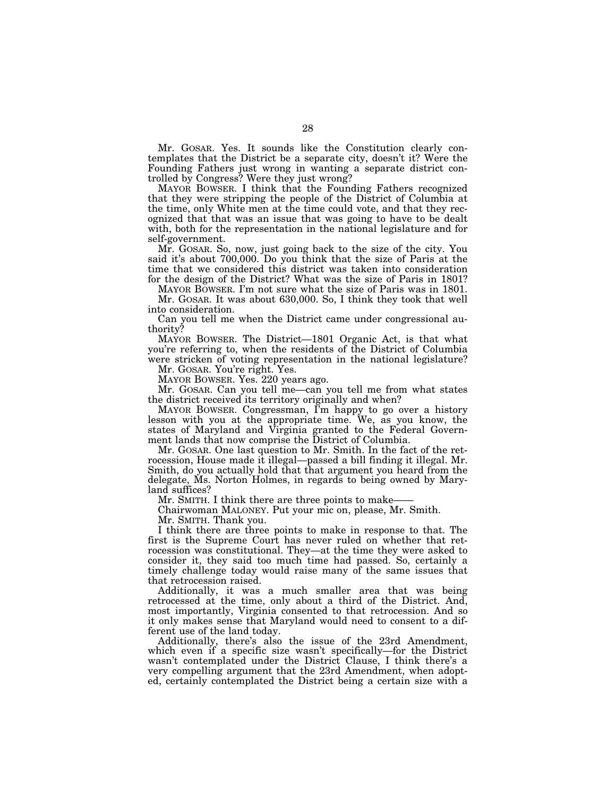Mr. GOSAR. Yes. It sounds like the Constitution clearly contemplates that the District be a separate city, doesn't it? Were the Founding Fathers just wrong in wanting a separate district controlled by Congress? Were they just wrong?

MAYOR BOWSER. I think that the Founding Fathers recognized that they were stripping the people of the District of Columbia at the time, only White men at the time could vote, and that they recognized that that was an issue that was going to have to be dealt with, both for the representation in the national legislature and for self-government.

Mr. GOSAR. So, now, just going back to the size of the city. You said it's about 700,000. Do you think that the size of Paris at the time that we considered this district was taken into consideration for the design of the District? What was the size of Paris in 1801?

MAYOR BOWSER. I'm not sure what the size of Paris was in 1801. Mr. GOSAR. It was about 630,000. So, I think they took that well into consideration.

Can you tell me when the District came under congressional authority?

MAYOR BOWSER. The District—1801 Organic Act, is that what you're referring to, when the residents of the District of Columbia were stricken of voting representation in the national legislature?

Mr. GOSAR. You're right. Yes.

MAYOR BOWSER. Yes. 220 years ago.

Mr. GOSAR. Can you tell me—can you tell me from what states the district received its territory originally and when?

MAYOR BOWSER. Congressman, I'm happy to go over a history lesson with you at the appropriate time. We, as you know, the states of Maryland and Virginia granted to the Federal Government lands that now comprise the District of Columbia.

Mr. GOSAR. One last question to Mr. Smith. In the fact of the retrocession, House made it illegal—passed a bill finding it illegal. Mr. Smith, do you actually hold that that argument you heard from the delegate, Ms. Norton Holmes, in regards to being owned by Maryland suffices?

Mr. SMITH. I think there are three points to make-

Chairwoman MALONEY. Put your mic on, please, Mr. Smith.

Mr. SMITH. Thank you.

I think there are three points to make in response to that. The first is the Supreme Court has never ruled on whether that retrocession was constitutional. They—at the time they were asked to consider it, they said too much time had passed. So, certainly a timely challenge today would raise many of the same issues that that retrocession raised.

Additionally, it was a much smaller area that was being retrocessed at the time, only about a third of the District. And, most importantly, Virginia consented to that retrocession. And so it only makes sense that Maryland would need to consent to a different use of the land today.

Additionally, there's also the issue of the 23rd Amendment, which even if a specific size wasn't specifically—for the District wasn't contemplated under the District Clause, I think there's a very compelling argument that the 23rd Amendment, when adopted, certainly contemplated the District being a certain size with a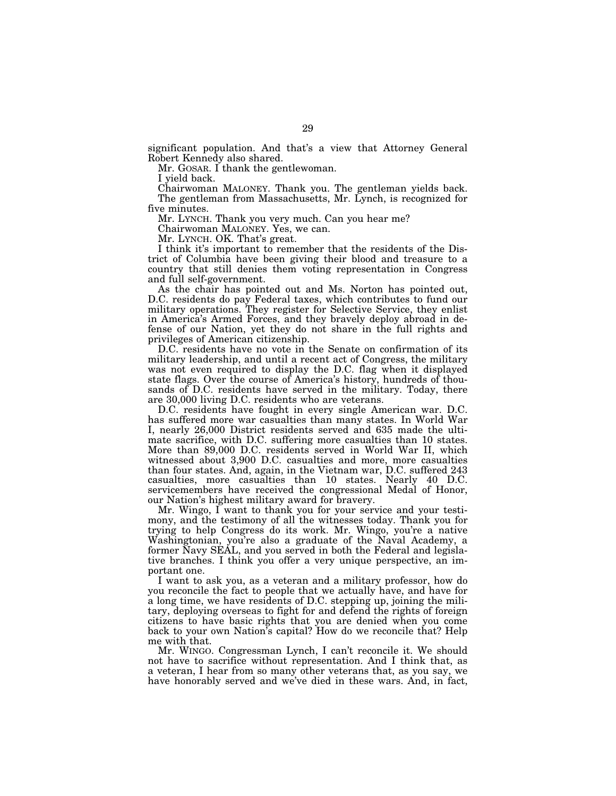significant population. And that's a view that Attorney General Robert Kennedy also shared.

Mr. GOSAR. I thank the gentlewoman.

I yield back.

Chairwoman MALONEY. Thank you. The gentleman yields back. The gentleman from Massachusetts, Mr. Lynch, is recognized for five minutes.

Mr. LYNCH. Thank you very much. Can you hear me?

Chairwoman MALONEY. Yes, we can.

Mr. LYNCH. OK. That's great.

I think it's important to remember that the residents of the District of Columbia have been giving their blood and treasure to a country that still denies them voting representation in Congress and full self-government.

As the chair has pointed out and Ms. Norton has pointed out, D.C. residents do pay Federal taxes, which contributes to fund our military operations. They register for Selective Service, they enlist in America's Armed Forces, and they bravely deploy abroad in defense of our Nation, yet they do not share in the full rights and privileges of American citizenship.

D.C. residents have no vote in the Senate on confirmation of its military leadership, and until a recent act of Congress, the military was not even required to display the D.C. flag when it displayed state flags. Over the course of America's history, hundreds of thousands of D.C. residents have served in the military. Today, there are 30,000 living D.C. residents who are veterans.

D.C. residents have fought in every single American war. D.C. has suffered more war casualties than many states. In World War I, nearly 26,000 District residents served and 635 made the ultimate sacrifice, with D.C. suffering more casualties than 10 states. More than 89,000 D.C. residents served in World War II, which witnessed about 3,900 D.C. casualties and more, more casualties than four states. And, again, in the Vietnam war, D.C. suffered 243 casualties, more casualties than 10 states. Nearly 40 D.C. servicemembers have received the congressional Medal of Honor, our Nation's highest military award for bravery.

Mr. Wingo, I want to thank you for your service and your testimony, and the testimony of all the witnesses today. Thank you for trying to help Congress do its work. Mr. Wingo, you're a native Washingtonian, you're also a graduate of the Naval Academy, a former Navy SEAL, and you served in both the Federal and legislative branches. I think you offer a very unique perspective, an important one.

I want to ask you, as a veteran and a military professor, how do you reconcile the fact to people that we actually have, and have for a long time, we have residents of D.C. stepping up, joining the military, deploying overseas to fight for and defend the rights of foreign citizens to have basic rights that you are denied when you come back to your own Nation's capital? How do we reconcile that? Help me with that.

Mr. WINGO. Congressman Lynch, I can't reconcile it. We should not have to sacrifice without representation. And I think that, as a veteran, I hear from so many other veterans that, as you say, we have honorably served and we've died in these wars. And, in fact,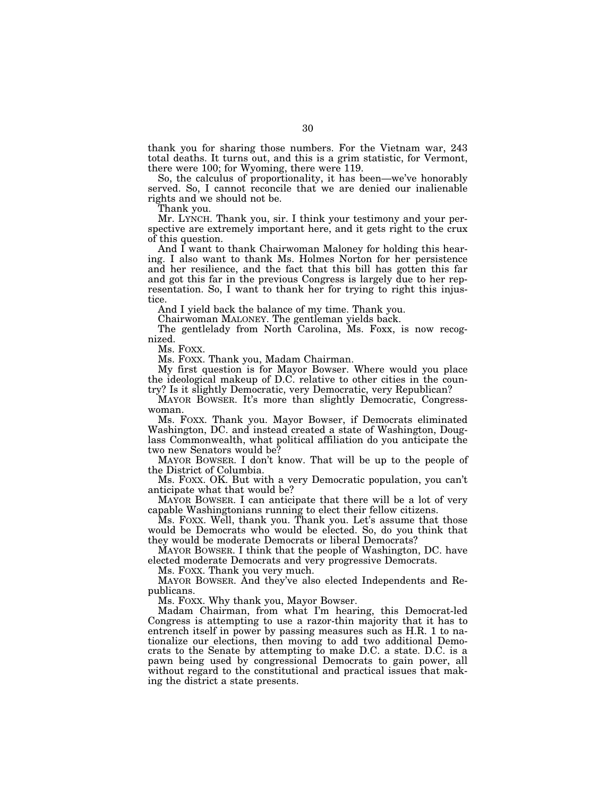thank you for sharing those numbers. For the Vietnam war, 243 total deaths. It turns out, and this is a grim statistic, for Vermont, there were 100; for Wyoming, there were 119.

So, the calculus of proportionality, it has been—we've honorably served. So, I cannot reconcile that we are denied our inalienable rights and we should not be.

Thank you.

Mr. LYNCH. Thank you, sir. I think your testimony and your perspective are extremely important here, and it gets right to the crux of this question.

And I want to thank Chairwoman Maloney for holding this hearing. I also want to thank Ms. Holmes Norton for her persistence and her resilience, and the fact that this bill has gotten this far and got this far in the previous Congress is largely due to her representation. So, I want to thank her for trying to right this injustice.

And I yield back the balance of my time. Thank you.

Chairwoman MALONEY. The gentleman yields back.

The gentlelady from North Carolina, Ms. Foxx, is now recognized.<br>Ms. Foxx.

Ms. FOXX. Thank you, Madam Chairman.

My first question is for Mayor Bowser. Where would you place the ideological makeup of D.C. relative to other cities in the country? Is it slightly Democratic, very Democratic, very Republican?

MAYOR BOWSER. It's more than slightly Democratic, Congresswoman.

Ms. FOXX. Thank you. Mayor Bowser, if Democrats eliminated Washington, DC. and instead created a state of Washington, Douglass Commonwealth, what political affiliation do you anticipate the two new Senators would be?

MAYOR BOWSER. I don't know. That will be up to the people of the District of Columbia.

Ms. FOXX. OK. But with a very Democratic population, you can't anticipate what that would be?

MAYOR BOWSER. I can anticipate that there will be a lot of very capable Washingtonians running to elect their fellow citizens.

Ms. FOXX. Well, thank you. Thank you. Let's assume that those would be Democrats who would be elected. So, do you think that they would be moderate Democrats or liberal Democrats?

MAYOR BOWSER. I think that the people of Washington, DC. have elected moderate Democrats and very progressive Democrats.

Ms. FOXX. Thank you very much.

MAYOR BOWSER. And they've also elected Independents and Republicans.

Ms. FOXX. Why thank you, Mayor Bowser.

Madam Chairman, from what I'm hearing, this Democrat-led Congress is attempting to use a razor-thin majority that it has to entrench itself in power by passing measures such as H.R. 1 to nationalize our elections, then moving to add two additional Democrats to the Senate by attempting to make D.C. a state. D.C. is a pawn being used by congressional Democrats to gain power, all without regard to the constitutional and practical issues that making the district a state presents.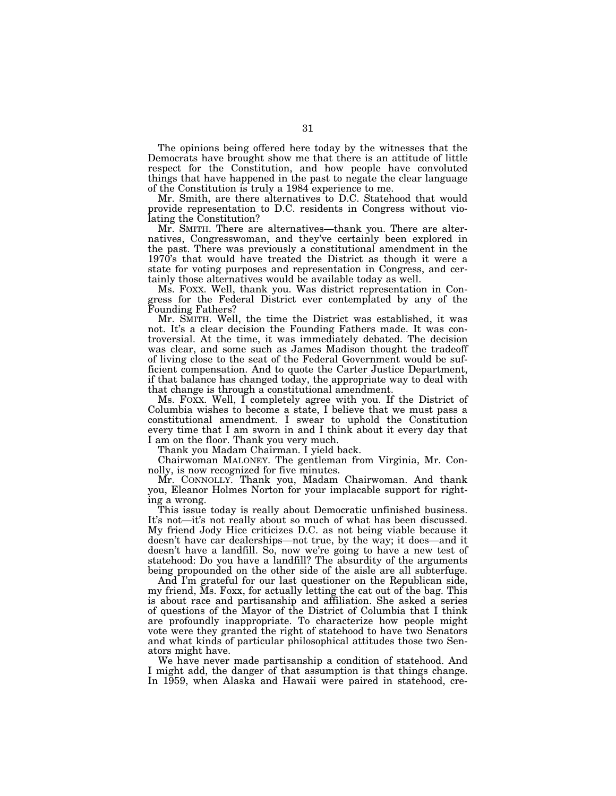The opinions being offered here today by the witnesses that the Democrats have brought show me that there is an attitude of little respect for the Constitution, and how people have convoluted things that have happened in the past to negate the clear language of the Constitution is truly a 1984 experience to me.

Mr. Smith, are there alternatives to D.C. Statehood that would provide representation to D.C. residents in Congress without violating the Constitution?

Mr. SMITH. There are alternatives—thank you. There are alternatives, Congresswoman, and they've certainly been explored in the past. There was previously a constitutional amendment in the 1970's that would have treated the District as though it were a state for voting purposes and representation in Congress, and certainly those alternatives would be available today as well.

Ms. FOXX. Well, thank you. Was district representation in Congress for the Federal District ever contemplated by any of the Founding Fathers?

Mr. SMITH. Well, the time the District was established, it was not. It's a clear decision the Founding Fathers made. It was controversial. At the time, it was immediately debated. The decision was clear, and some such as James Madison thought the tradeoff of living close to the seat of the Federal Government would be sufficient compensation. And to quote the Carter Justice Department, if that balance has changed today, the appropriate way to deal with that change is through a constitutional amendment.

Ms. FOXX. Well, I completely agree with you. If the District of Columbia wishes to become a state, I believe that we must pass a constitutional amendment. I swear to uphold the Constitution every time that I am sworn in and I think about it every day that I am on the floor. Thank you very much.

Thank you Madam Chairman. I yield back.

Chairwoman MALONEY. The gentleman from Virginia, Mr. Connolly, is now recognized for five minutes.

Mr. CONNOLLY. Thank you, Madam Chairwoman. And thank you, Eleanor Holmes Norton for your implacable support for righting a wrong.

This issue today is really about Democratic unfinished business. It's not—it's not really about so much of what has been discussed. My friend Jody Hice criticizes D.C. as not being viable because it doesn't have car dealerships—not true, by the way; it does—and it doesn't have a landfill. So, now we're going to have a new test of statehood: Do you have a landfill? The absurdity of the arguments being propounded on the other side of the aisle are all subterfuge.

And I'm grateful for our last questioner on the Republican side, my friend, Ms. Foxx, for actually letting the cat out of the bag. This is about race and partisanship and affiliation. She asked a series of questions of the Mayor of the District of Columbia that I think are profoundly inappropriate. To characterize how people might vote were they granted the right of statehood to have two Senators and what kinds of particular philosophical attitudes those two Senators might have.

We have never made partisanship a condition of statehood. And I might add, the danger of that assumption is that things change. In 1959, when Alaska and Hawaii were paired in statehood, cre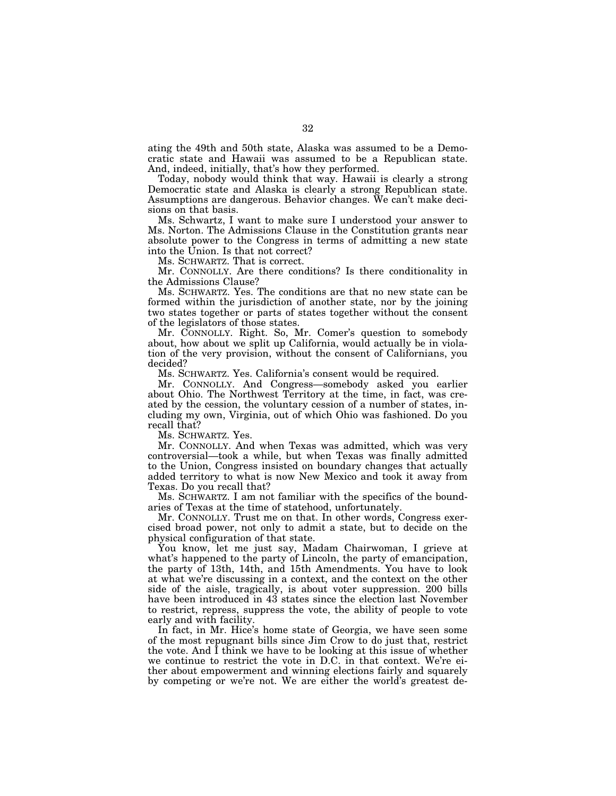ating the 49th and 50th state, Alaska was assumed to be a Democratic state and Hawaii was assumed to be a Republican state. And, indeed, initially, that's how they performed.

Today, nobody would think that way. Hawaii is clearly a strong Democratic state and Alaska is clearly a strong Republican state. Assumptions are dangerous. Behavior changes. We can't make decisions on that basis.

Ms. Schwartz, I want to make sure I understood your answer to Ms. Norton. The Admissions Clause in the Constitution grants near absolute power to the Congress in terms of admitting a new state into the Union. Is that not correct?

Ms. SCHWARTZ. That is correct.

Mr. CONNOLLY. Are there conditions? Is there conditionality in the Admissions Clause?

Ms. SCHWARTZ. Yes. The conditions are that no new state can be formed within the jurisdiction of another state, nor by the joining two states together or parts of states together without the consent of the legislators of those states.

Mr. CONNOLLY. Right. So, Mr. Comer's question to somebody about, how about we split up California, would actually be in violation of the very provision, without the consent of Californians, you decided?

Ms. SCHWARTZ. Yes. California's consent would be required.

Mr. CONNOLLY. And Congress—somebody asked you earlier about Ohio. The Northwest Territory at the time, in fact, was created by the cession, the voluntary cession of a number of states, including my own, Virginia, out of which Ohio was fashioned. Do you recall that?

Ms. SCHWARTZ. Yes.

Mr. CONNOLLY. And when Texas was admitted, which was very controversial—took a while, but when Texas was finally admitted to the Union, Congress insisted on boundary changes that actually added territory to what is now New Mexico and took it away from Texas. Do you recall that?

Ms. SCHWARTZ. I am not familiar with the specifics of the boundaries of Texas at the time of statehood, unfortunately.

Mr. CONNOLLY. Trust me on that. In other words, Congress exercised broad power, not only to admit a state, but to decide on the physical configuration of that state.

You know, let me just say, Madam Chairwoman, I grieve at what's happened to the party of Lincoln, the party of emancipation, the party of 13th, 14th, and 15th Amendments. You have to look at what we're discussing in a context, and the context on the other side of the aisle, tragically, is about voter suppression. 200 bills have been introduced in 43 states since the election last November to restrict, repress, suppress the vote, the ability of people to vote early and with facility.

In fact, in Mr. Hice's home state of Georgia, we have seen some of the most repugnant bills since Jim Crow to do just that, restrict the vote. And  $\overline{I}$  think we have to be looking at this issue of whether we continue to restrict the vote in D.C. in that context. We're either about empowerment and winning elections fairly and squarely by competing or we're not. We are either the world's greatest de-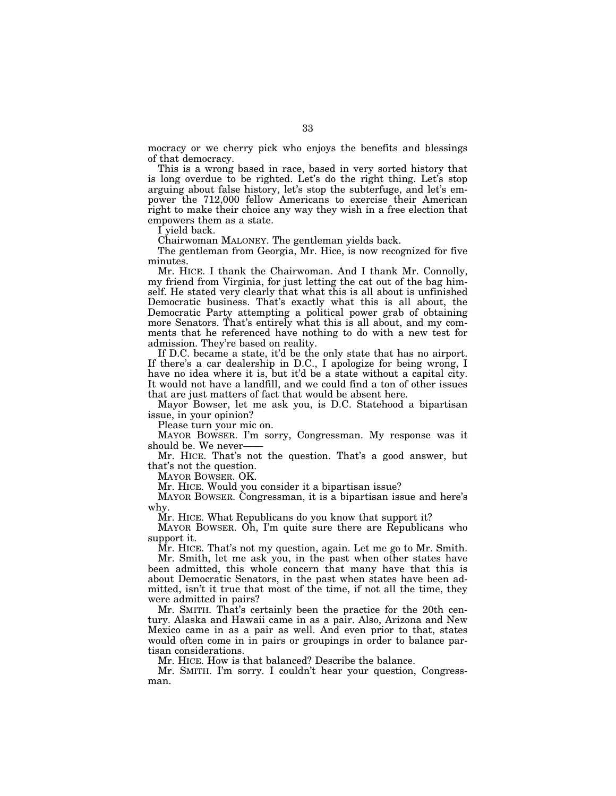mocracy or we cherry pick who enjoys the benefits and blessings of that democracy.

This is a wrong based in race, based in very sorted history that is long overdue to be righted. Let's do the right thing. Let's stop arguing about false history, let's stop the subterfuge, and let's empower the 712,000 fellow Americans to exercise their American right to make their choice any way they wish in a free election that empowers them as a state.

I yield back.

Chairwoman MALONEY. The gentleman yields back.

The gentleman from Georgia, Mr. Hice, is now recognized for five minutes.

Mr. HICE. I thank the Chairwoman. And I thank Mr. Connolly, my friend from Virginia, for just letting the cat out of the bag himself. He stated very clearly that what this is all about is unfinished Democratic business. That's exactly what this is all about, the Democratic Party attempting a political power grab of obtaining more Senators. That's entirely what this is all about, and my comments that he referenced have nothing to do with a new test for admission. They're based on reality.

If D.C. became a state, it'd be the only state that has no airport. If there's a car dealership in D.C., I apologize for being wrong, I have no idea where it is, but it'd be a state without a capital city. It would not have a landfill, and we could find a ton of other issues that are just matters of fact that would be absent here.

Mayor Bowser, let me ask you, is D.C. Statehood a bipartisan issue, in your opinion?

Please turn your mic on.

MAYOR BOWSER. I'm sorry, Congressman. My response was it should be. We never-

Mr. HICE. That's not the question. That's a good answer, but that's not the question.

MAYOR BOWSER. OK.

Mr. HICE. Would you consider it a bipartisan issue?

MAYOR BOWSER. Congressman, it is a bipartisan issue and here's why.

Mr. HICE. What Republicans do you know that support it?

MAYOR BOWSER. Oh, I'm quite sure there are Republicans who support it.

Mr. HICE. That's not my question, again. Let me go to Mr. Smith. Mr. Smith, let me ask you, in the past when other states have been admitted, this whole concern that many have that this is

about Democratic Senators, in the past when states have been admitted, isn't it true that most of the time, if not all the time, they were admitted in pairs?

Mr. SMITH. That's certainly been the practice for the 20th century. Alaska and Hawaii came in as a pair. Also, Arizona and New Mexico came in as a pair as well. And even prior to that, states would often come in in pairs or groupings in order to balance partisan considerations.

Mr. HICE. How is that balanced? Describe the balance.

Mr. SMITH. I'm sorry. I couldn't hear your question, Congressman.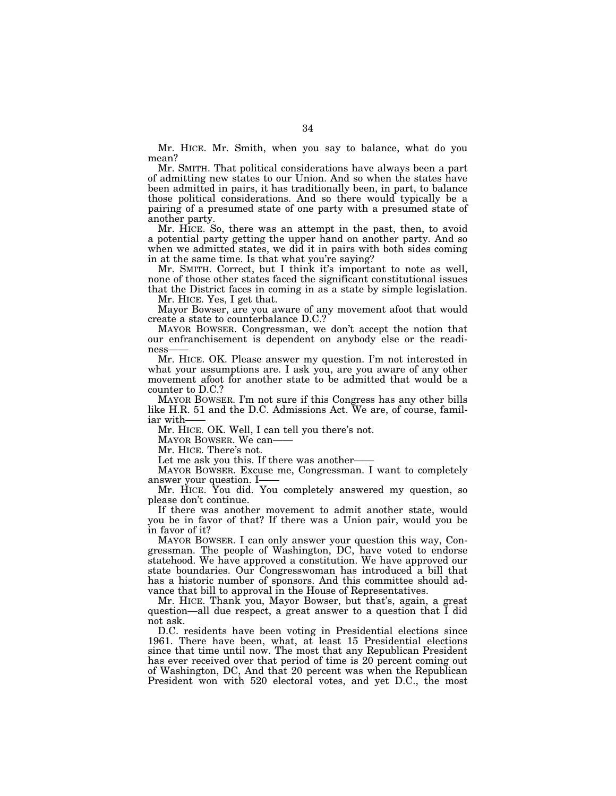Mr. HICE. Mr. Smith, when you say to balance, what do you mean?

Mr. SMITH. That political considerations have always been a part of admitting new states to our Union. And so when the states have been admitted in pairs, it has traditionally been, in part, to balance those political considerations. And so there would typically be a pairing of a presumed state of one party with a presumed state of another party.

Mr. HICE. So, there was an attempt in the past, then, to avoid a potential party getting the upper hand on another party. And so when we admitted states, we did it in pairs with both sides coming in at the same time. Is that what you're saying?

Mr. SMITH. Correct, but I think it's important to note as well, none of those other states faced the significant constitutional issues that the District faces in coming in as a state by simple legislation.

Mr. HICE. Yes, I get that.

Mayor Bowser, are you aware of any movement afoot that would create a state to counterbalance D.C.?

MAYOR BOWSER. Congressman, we don't accept the notion that our enfranchisement is dependent on anybody else or the readiness

Mr. HICE. OK. Please answer my question. I'm not interested in what your assumptions are. I ask you, are you aware of any other movement afoot for another state to be admitted that would be a counter to D.C.?

MAYOR BOWSER. I'm not sure if this Congress has any other bills like H.R. 51 and the D.C. Admissions Act. We are, of course, familiar with-

Mr. HICE. OK. Well, I can tell you there's not.

MAYOR BOWSER. We can-

Mr. HICE. There's not.

Let me ask you this. If there was another-

MAYOR BOWSER. Excuse me, Congressman. I want to completely answer your question. I-

Mr. HICE. You did. You completely answered my question, so please don't continue.

If there was another movement to admit another state, would you be in favor of that? If there was a Union pair, would you be in favor of it?

MAYOR BOWSER. I can only answer your question this way, Congressman. The people of Washington, DC, have voted to endorse statehood. We have approved a constitution. We have approved our state boundaries. Our Congresswoman has introduced a bill that has a historic number of sponsors. And this committee should advance that bill to approval in the House of Representatives.

Mr. HICE. Thank you, Mayor Bowser, but that's, again, a great question—all due respect, a great answer to a question that I did not ask.

D.C. residents have been voting in Presidential elections since 1961. There have been, what, at least 15 Presidential elections since that time until now. The most that any Republican President has ever received over that period of time is 20 percent coming out of Washington, DC, And that 20 percent was when the Republican President won with 520 electoral votes, and yet D.C., the most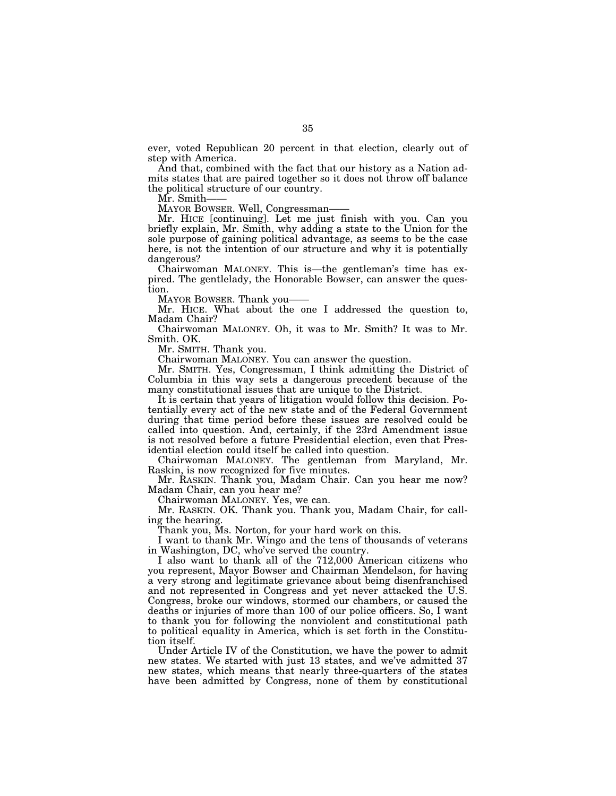ever, voted Republican 20 percent in that election, clearly out of step with America.

And that, combined with the fact that our history as a Nation admits states that are paired together so it does not throw off balance the political structure of our country.

Mr. Smith-

MAYOR BOWSER. Well, Congressman——

Mr. HICE [continuing]. Let me just finish with you. Can you briefly explain, Mr. Smith, why adding a state to the Union for the sole purpose of gaining political advantage, as seems to be the case here, is not the intention of our structure and why it is potentially dangerous?

Chairwoman MALONEY. This is—the gentleman's time has expired. The gentlelady, the Honorable Bowser, can answer the question.

MAYOR BOWSER. Thank you——

Mr. HICE. What about the one I addressed the question to, Madam Chair?

Chairwoman MALONEY. Oh, it was to Mr. Smith? It was to Mr. Smith. OK.

Mr. SMITH. Thank you.

Chairwoman MALONEY. You can answer the question.

Mr. SMITH. Yes, Congressman, I think admitting the District of Columbia in this way sets a dangerous precedent because of the many constitutional issues that are unique to the District.

It is certain that years of litigation would follow this decision. Potentially every act of the new state and of the Federal Government during that time period before these issues are resolved could be called into question. And, certainly, if the 23rd Amendment issue is not resolved before a future Presidential election, even that Presidential election could itself be called into question.

Chairwoman MALONEY. The gentleman from Maryland, Mr. Raskin, is now recognized for five minutes.

Mr. RASKIN. Thank you, Madam Chair. Can you hear me now? Madam Chair, can you hear me?

Chairwoman MALONEY. Yes, we can.

Mr. RASKIN. OK. Thank you. Thank you, Madam Chair, for calling the hearing.

Thank you, Ms. Norton, for your hard work on this.

I want to thank Mr. Wingo and the tens of thousands of veterans in Washington, DC, who've served the country.

I also want to thank all of the 712,000 American citizens who you represent, Mayor Bowser and Chairman Mendelson, for having a very strong and legitimate grievance about being disenfranchised and not represented in Congress and yet never attacked the U.S. Congress, broke our windows, stormed our chambers, or caused the deaths or injuries of more than 100 of our police officers. So, I want to thank you for following the nonviolent and constitutional path to political equality in America, which is set forth in the Constitution itself.

Under Article IV of the Constitution, we have the power to admit new states. We started with just 13 states, and we've admitted 37 new states, which means that nearly three-quarters of the states have been admitted by Congress, none of them by constitutional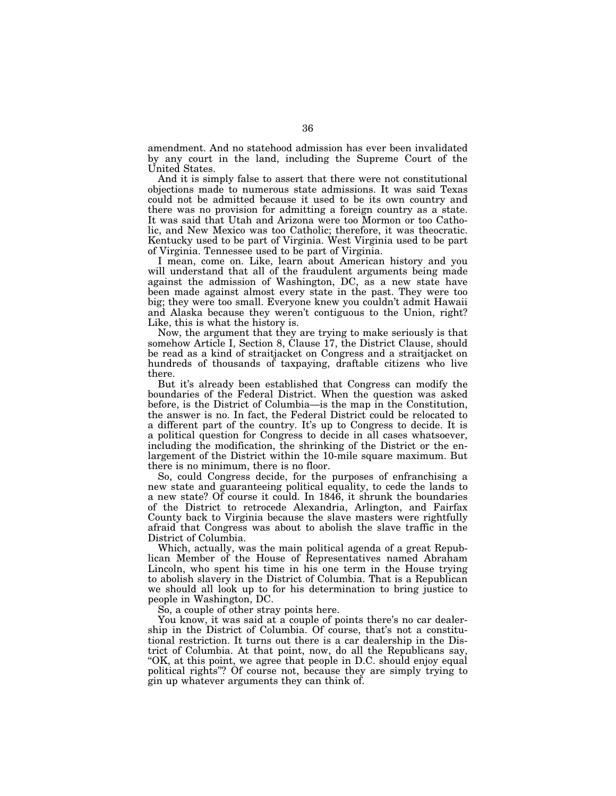amendment. And no statehood admission has ever been invalidated by any court in the land, including the Supreme Court of the United States.

And it is simply false to assert that there were not constitutional objections made to numerous state admissions. It was said Texas could not be admitted because it used to be its own country and there was no provision for admitting a foreign country as a state. It was said that Utah and Arizona were too Mormon or too Catholic, and New Mexico was too Catholic; therefore, it was theocratic. Kentucky used to be part of Virginia. West Virginia used to be part of Virginia. Tennessee used to be part of Virginia.

I mean, come on. Like, learn about American history and you will understand that all of the fraudulent arguments being made against the admission of Washington, DC, as a new state have been made against almost every state in the past. They were too big; they were too small. Everyone knew you couldn't admit Hawaii and Alaska because they weren't contiguous to the Union, right? Like, this is what the history is.

Now, the argument that they are trying to make seriously is that somehow Article I, Section 8, Clause 17, the District Clause, should be read as a kind of straitjacket on Congress and a straitjacket on hundreds of thousands of taxpaying, draftable citizens who live there.

But it's already been established that Congress can modify the boundaries of the Federal District. When the question was asked before, is the District of Columbia—is the map in the Constitution, the answer is no. In fact, the Federal District could be relocated to a different part of the country. It's up to Congress to decide. It is a political question for Congress to decide in all cases whatsoever, including the modification, the shrinking of the District or the enlargement of the District within the 10-mile square maximum. But there is no minimum, there is no floor.

So, could Congress decide, for the purposes of enfranchising a new state and guaranteeing political equality, to cede the lands to a new state? Of course it could. In 1846, it shrunk the boundaries of the District to retrocede Alexandria, Arlington, and Fairfax County back to Virginia because the slave masters were rightfully afraid that Congress was about to abolish the slave traffic in the District of Columbia.

Which, actually, was the main political agenda of a great Republican Member of the House of Representatives named Abraham Lincoln, who spent his time in his one term in the House trying to abolish slavery in the District of Columbia. That is a Republican we should all look up to for his determination to bring justice to people in Washington, DC.

So, a couple of other stray points here.

You know, it was said at a couple of points there's no car dealership in the District of Columbia. Of course, that's not a constitutional restriction. It turns out there is a car dealership in the District of Columbia. At that point, now, do all the Republicans say, "OK, at this point, we agree that people in D.C. should enjoy equal political rights''? Of course not, because they are simply trying to gin up whatever arguments they can think of.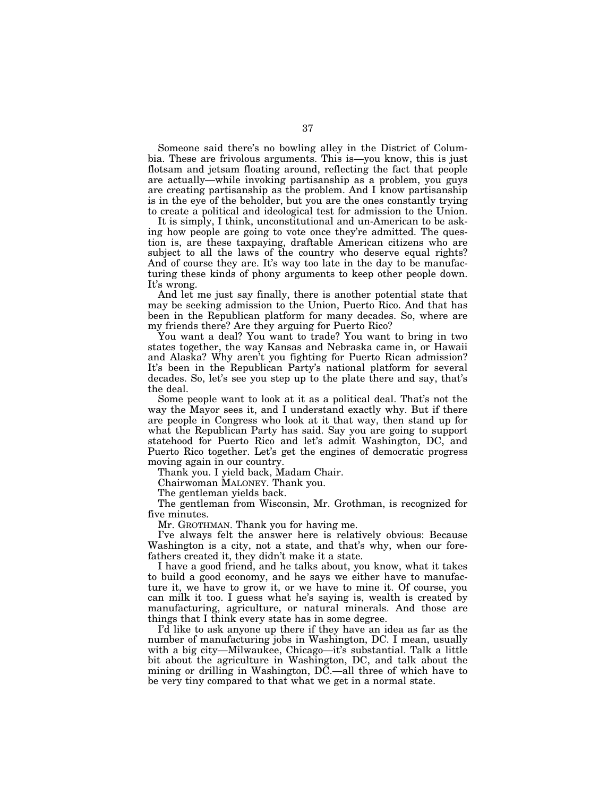Someone said there's no bowling alley in the District of Columbia. These are frivolous arguments. This is—you know, this is just flotsam and jetsam floating around, reflecting the fact that people are actually—while invoking partisanship as a problem, you guys are creating partisanship as the problem. And I know partisanship is in the eye of the beholder, but you are the ones constantly trying to create a political and ideological test for admission to the Union.

It is simply, I think, unconstitutional and un-American to be asking how people are going to vote once they're admitted. The question is, are these taxpaying, draftable American citizens who are subject to all the laws of the country who deserve equal rights? And of course they are. It's way too late in the day to be manufacturing these kinds of phony arguments to keep other people down. It's wrong.

And let me just say finally, there is another potential state that may be seeking admission to the Union, Puerto Rico. And that has been in the Republican platform for many decades. So, where are my friends there? Are they arguing for Puerto Rico?

You want a deal? You want to trade? You want to bring in two states together, the way Kansas and Nebraska came in, or Hawaii and Alaska? Why aren't you fighting for Puerto Rican admission? It's been in the Republican Party's national platform for several decades. So, let's see you step up to the plate there and say, that's the deal.

Some people want to look at it as a political deal. That's not the way the Mayor sees it, and I understand exactly why. But if there are people in Congress who look at it that way, then stand up for what the Republican Party has said. Say you are going to support statehood for Puerto Rico and let's admit Washington, DC, and Puerto Rico together. Let's get the engines of democratic progress moving again in our country.

Thank you. I yield back, Madam Chair.

Chairwoman MALONEY. Thank you.

The gentleman yields back.

The gentleman from Wisconsin, Mr. Grothman, is recognized for five minutes.

Mr. GROTHMAN. Thank you for having me.

I've always felt the answer here is relatively obvious: Because Washington is a city, not a state, and that's why, when our forefathers created it, they didn't make it a state.

I have a good friend, and he talks about, you know, what it takes to build a good economy, and he says we either have to manufacture it, we have to grow it, or we have to mine it. Of course, you can milk it too. I guess what he's saying is, wealth is created by manufacturing, agriculture, or natural minerals. And those are things that I think every state has in some degree.

I'd like to ask anyone up there if they have an idea as far as the number of manufacturing jobs in Washington, DC. I mean, usually with a big city—Milwaukee, Chicago—it's substantial. Talk a little bit about the agriculture in Washington, DC, and talk about the mining or drilling in Washington, DC.—all three of which have to be very tiny compared to that what we get in a normal state.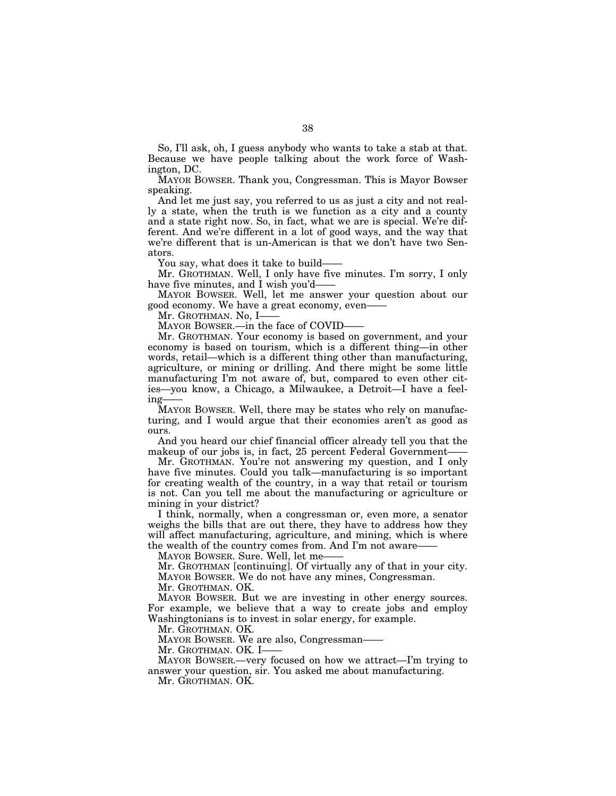So, I'll ask, oh, I guess anybody who wants to take a stab at that. Because we have people talking about the work force of Washington, DC.

MAYOR BOWSER. Thank you, Congressman. This is Mayor Bowser speaking.

And let me just say, you referred to us as just a city and not really a state, when the truth is we function as a city and a county and a state right now. So, in fact, what we are is special. We're different. And we're different in a lot of good ways, and the way that we're different that is un-American is that we don't have two Senators.

You say, what does it take to build-

Mr. GROTHMAN. Well, I only have five minutes. I'm sorry, I only have five minutes, and I wish you'd-

MAYOR BOWSER. Well, let me answer your question about our good economy. We have a great economy, even——

Mr. GROTHMAN. No, I-

MAYOR BOWSER.—in the face of COVID——

Mr. GROTHMAN. Your economy is based on government, and your economy is based on tourism, which is a different thing—in other words, retail—which is a different thing other than manufacturing, agriculture, or mining or drilling. And there might be some little manufacturing I'm not aware of, but, compared to even other cities—you know, a Chicago, a Milwaukee, a Detroit—I have a feeling-

MAYOR BOWSER. Well, there may be states who rely on manufacturing, and I would argue that their economies aren't as good as ours.

And you heard our chief financial officer already tell you that the makeup of our jobs is, in fact, 25 percent Federal Government-

Mr. GROTHMAN. You're not answering my question, and I only have five minutes. Could you talk—manufacturing is so important for creating wealth of the country, in a way that retail or tourism is not. Can you tell me about the manufacturing or agriculture or mining in your district?

I think, normally, when a congressman or, even more, a senator weighs the bills that are out there, they have to address how they will affect manufacturing, agriculture, and mining, which is where the wealth of the country comes from. And I'm not aware-

MAYOR BOWSER. Sure. Well, let me-

Mr. GROTHMAN [continuing]. Of virtually any of that in your city. MAYOR BOWSER. We do not have any mines, Congressman.

Mr. GROTHMAN. OK.

MAYOR BOWSER. But we are investing in other energy sources. For example, we believe that a way to create jobs and employ Washingtonians is to invest in solar energy, for example.

Mr. GROTHMAN. OK.

MAYOR BOWSER. We are also, Congressman——

Mr. GROTHMAN. OK. I-

MAYOR BOWSER.—very focused on how we attract—I'm trying to answer your question, sir. You asked me about manufacturing.

Mr. GROTHMAN. OK.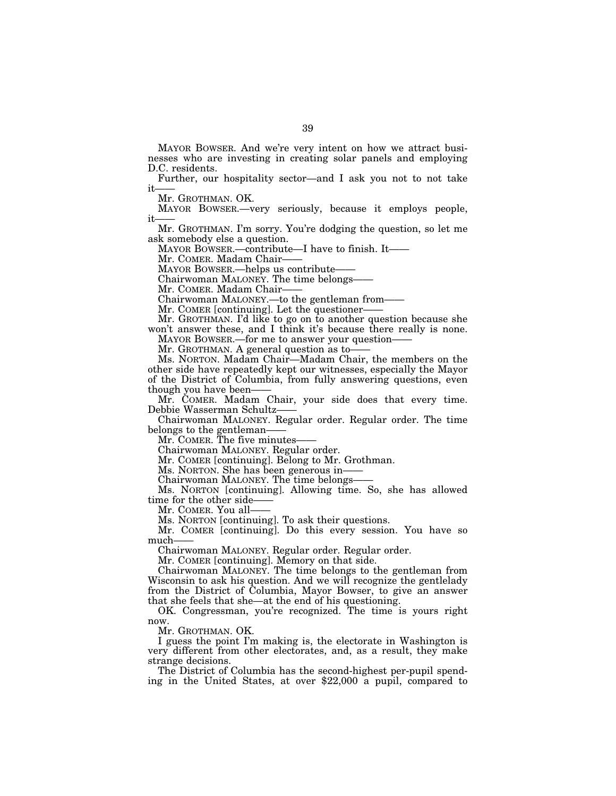MAYOR BOWSER. And we're very intent on how we attract businesses who are investing in creating solar panels and employing D.C. residents.

Further, our hospitality sector—and I ask you not to not take it

Mr. GROTHMAN. OK.

MAYOR BOWSER.—very seriously, because it employs people, it

Mr. GROTHMAN. I'm sorry. You're dodging the question, so let me ask somebody else a question.

MAYOR BOWSER.—contribute—I have to finish. It——

Mr. COMER. Madam Chair——

MAYOR BOWSER.—helps us contribute-

Chairwoman MALONEY. The time belongs——

Mr. COMER. Madam Chair-

Chairwoman MALONEY.—to the gentleman from——

Mr. COMER [continuing]. Let the questioner-

Mr. GROTHMAN. I'd like to go on to another question because she won't answer these, and I think it's because there really is none. MAYOR BOWSER.—for me to answer your question——

Mr. GROTHMAN. A general question as to——

Ms. NORTON. Madam Chair—Madam Chair, the members on the other side have repeatedly kept our witnesses, especially the Mayor of the District of Columbia, from fully answering questions, even though you have been——

Mr. COMER. Madam Chair, your side does that every time. Debbie Wasserman Schultz——

Chairwoman MALONEY. Regular order. Regular order. The time belongs to the gentleman——

Mr. COMER. The five minutes——

Chairwoman MALONEY. Regular order.

Mr. COMER [continuing]. Belong to Mr. Grothman.

Ms. NORTON. She has been generous in-

Chairwoman MALONEY. The time belongs——

Ms. NORTON [continuing]. Allowing time. So, she has allowed time for the other side-

Mr. COMER. You all-

Ms. NORTON [continuing]. To ask their questions.

Mr. COMER [continuing]. Do this every session. You have so much-

Chairwoman MALONEY. Regular order. Regular order.

Mr. COMER [continuing]. Memory on that side.

Chairwoman MALONEY. The time belongs to the gentleman from Wisconsin to ask his question. And we will recognize the gentlelady from the District of Columbia, Mayor Bowser, to give an answer that she feels that she—at the end of his questioning.

OK. Congressman, you're recognized. The time is yours right now.

Mr. GROTHMAN. OK.

I guess the point I'm making is, the electorate in Washington is very different from other electorates, and, as a result, they make strange decisions.<br>The District of Columbia has the second-highest per-pupil spend-

ing in the United States, at over  $$22,000$  a pupil, compared to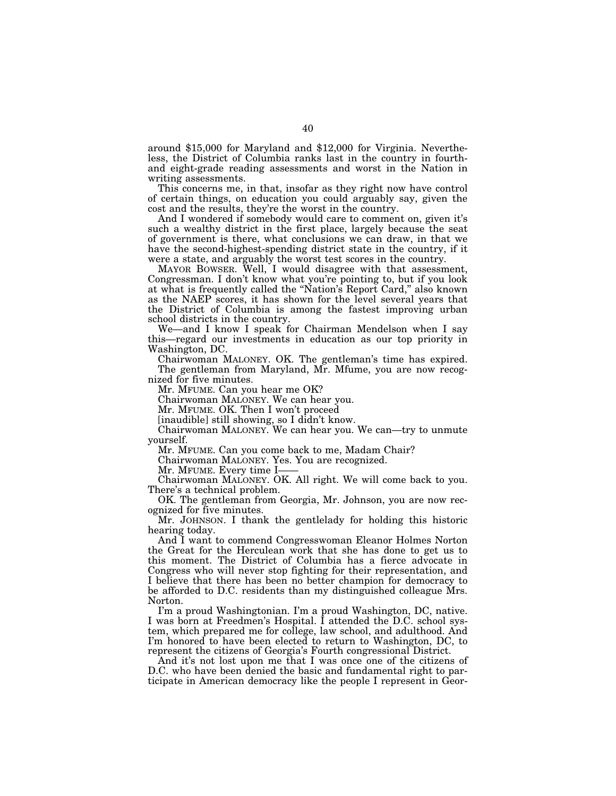around \$15,000 for Maryland and \$12,000 for Virginia. Nevertheless, the District of Columbia ranks last in the country in fourthand eight-grade reading assessments and worst in the Nation in writing assessments.

This concerns me, in that, insofar as they right now have control of certain things, on education you could arguably say, given the cost and the results, they're the worst in the country.

And I wondered if somebody would care to comment on, given it's such a wealthy district in the first place, largely because the seat of government is there, what conclusions we can draw, in that we have the second-highest-spending district state in the country, if it were a state, and arguably the worst test scores in the country.

MAYOR BOWSER. Well, I would disagree with that assessment, Congressman. I don't know what you're pointing to, but if you look at what is frequently called the ''Nation's Report Card,'' also known as the NAEP scores, it has shown for the level several years that the District of Columbia is among the fastest improving urban school districts in the country.

We—and I know I speak for Chairman Mendelson when I say this—regard our investments in education as our top priority in Washington, DC.

Chairwoman MALONEY. OK. The gentleman's time has expired. The gentleman from Maryland, Mr. Mfume, you are now recognized for five minutes.

Mr. MFUME. Can you hear me OK?

Chairwoman MALONEY. We can hear you.

Mr. MFUME. OK. Then I won't proceed

[inaudible] still showing, so I didn't know.

Chairwoman MALONEY. We can hear you. We can—try to unmute yourself.

Mr. MFUME. Can you come back to me, Madam Chair?

Chairwoman MALONEY. Yes. You are recognized.

Mr. MFUME. Every time I-

Chairwoman MALONEY. OK. All right. We will come back to you. There's a technical problem.

OK. The gentleman from Georgia, Mr. Johnson, you are now recognized for five minutes.

Mr. JOHNSON. I thank the gentlelady for holding this historic hearing today.

And I want to commend Congresswoman Eleanor Holmes Norton the Great for the Herculean work that she has done to get us to this moment. The District of Columbia has a fierce advocate in Congress who will never stop fighting for their representation, and I believe that there has been no better champion for democracy to be afforded to D.C. residents than my distinguished colleague Mrs. Norton.

I'm a proud Washingtonian. I'm a proud Washington, DC, native. I was born at Freedmen's Hospital. I attended the D.C. school system, which prepared me for college, law school, and adulthood. And I'm honored to have been elected to return to Washington, DC, to represent the citizens of Georgia's Fourth congressional District.

And it's not lost upon me that I was once one of the citizens of D.C. who have been denied the basic and fundamental right to participate in American democracy like the people I represent in Geor-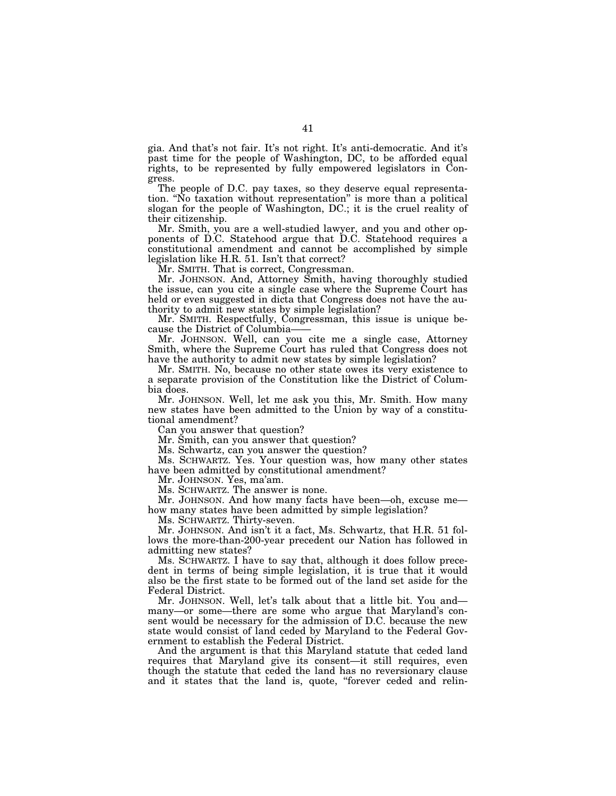gia. And that's not fair. It's not right. It's anti-democratic. And it's past time for the people of Washington, DC, to be afforded equal rights, to be represented by fully empowered legislators in Congress.

The people of D.C. pay taxes, so they deserve equal representation. ''No taxation without representation'' is more than a political slogan for the people of Washington, DC.; it is the cruel reality of their citizenship.

Mr. Smith, you are a well-studied lawyer, and you and other opponents of D.C. Statehood argue that D.C. Statehood requires a constitutional amendment and cannot be accomplished by simple legislation like H.R. 51. Isn't that correct?

Mr. SMITH. That is correct, Congressman.

Mr. JOHNSON. And, Attorney Smith, having thoroughly studied the issue, can you cite a single case where the Supreme Court has held or even suggested in dicta that Congress does not have the authority to admit new states by simple legislation?

Mr. SMITH. Respectfully, Congressman, this issue is unique because the District of Columbia——

Mr. JOHNSON. Well, can you cite me a single case, Attorney Smith, where the Supreme Court has ruled that Congress does not have the authority to admit new states by simple legislation?

Mr. SMITH. No, because no other state owes its very existence to a separate provision of the Constitution like the District of Columbia does.

Mr. JOHNSON. Well, let me ask you this, Mr. Smith. How many new states have been admitted to the Union by way of a constitutional amendment?

Can you answer that question?

Mr. Smith, can you answer that question?

Ms. Schwartz, can you answer the question?

Ms. SCHWARTZ. Yes. Your question was, how many other states have been admitted by constitutional amendment?

Mr. JOHNSON. Yes, ma'am.

Ms. SCHWARTZ. The answer is none.

Mr. JOHNSON. And how many facts have been—oh, excuse me how many states have been admitted by simple legislation?

Ms. SCHWARTZ. Thirty-seven.

Mr. JOHNSON. And isn't it a fact, Ms. Schwartz, that H.R. 51 follows the more-than-200-year precedent our Nation has followed in admitting new states?

Ms. SCHWARTZ. I have to say that, although it does follow precedent in terms of being simple legislation, it is true that it would also be the first state to be formed out of the land set aside for the Federal District.

Mr. JOHNSON. Well, let's talk about that a little bit. You and many—or some—there are some who argue that Maryland's consent would be necessary for the admission of D.C. because the new state would consist of land ceded by Maryland to the Federal Government to establish the Federal District.

And the argument is that this Maryland statute that ceded land requires that Maryland give its consent—it still requires, even though the statute that ceded the land has no reversionary clause and it states that the land is, quote, ''forever ceded and relin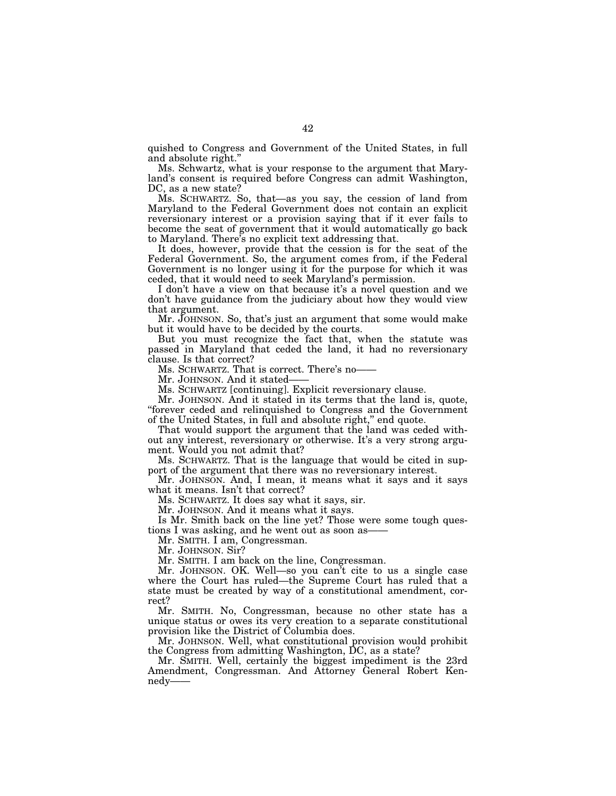quished to Congress and Government of the United States, in full and absolute right.''

Ms. Schwartz, what is your response to the argument that Maryland's consent is required before Congress can admit Washington, DC, as a new state?

Ms. SCHWARTZ. So, that—as you say, the cession of land from Maryland to the Federal Government does not contain an explicit reversionary interest or a provision saying that if it ever fails to become the seat of government that it would automatically go back to Maryland. There's no explicit text addressing that.

It does, however, provide that the cession is for the seat of the Federal Government. So, the argument comes from, if the Federal Government is no longer using it for the purpose for which it was ceded, that it would need to seek Maryland's permission.

I don't have a view on that because it's a novel question and we don't have guidance from the judiciary about how they would view that argument.

Mr. JOHNSON. So, that's just an argument that some would make but it would have to be decided by the courts.

But you must recognize the fact that, when the statute was passed in Maryland that ceded the land, it had no reversionary clause. Is that correct?

Ms. SCHWARTZ. That is correct. There's no——

Mr. JOHNSON. And it stated-

Ms. SCHWARTZ [continuing]. Explicit reversionary clause.

Mr. JOHNSON. And it stated in its terms that the land is, quote, ''forever ceded and relinquished to Congress and the Government of the United States, in full and absolute right,'' end quote.

That would support the argument that the land was ceded without any interest, reversionary or otherwise. It's a very strong argument. Would you not admit that?

Ms. SCHWARTZ. That is the language that would be cited in support of the argument that there was no reversionary interest.

Mr. JOHNSON. And, I mean, it means what it says and it says what it means. Isn't that correct?

Ms. SCHWARTZ. It does say what it says, sir.

Mr. JOHNSON. And it means what it says.

Is Mr. Smith back on the line yet? Those were some tough questions I was asking, and he went out as soon as——

Mr. SMITH. I am, Congressman.

Mr. JOHNSON. Sir?

Mr. SMITH. I am back on the line, Congressman.

Mr. JOHNSON. OK. Well—so you can't cite to us a single case where the Court has ruled—the Supreme Court has ruled that a state must be created by way of a constitutional amendment, correct?

Mr. SMITH. No, Congressman, because no other state has a unique status or owes its very creation to a separate constitutional provision like the District of Columbia does.

Mr. JOHNSON. Well, what constitutional provision would prohibit the Congress from admitting Washington, DC, as a state?

Mr. SMITH. Well, certainly the biggest impediment is the 23rd Amendment, Congressman. And Attorney General Robert Kennedy–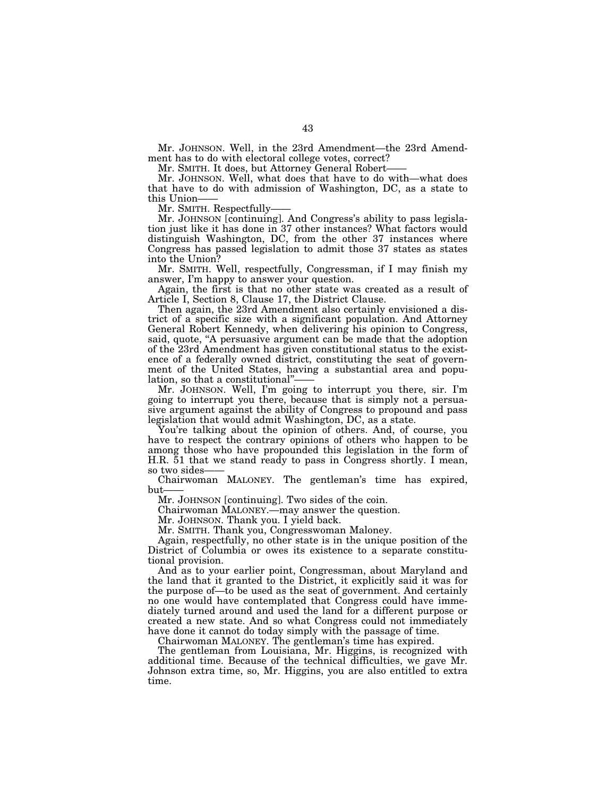Mr. JOHNSON. Well, in the 23rd Amendment—the 23rd Amendment has to do with electoral college votes, correct?

Mr. SMITH. It does, but Attorney General Robert-

Mr. JOHNSON. Well, what does that have to do with—what does that have to do with admission of Washington, DC, as a state to this Union-

Mr. SMITH. Respectfully-

Mr. JOHNSON [continuing]. And Congress's ability to pass legislation just like it has done in 37 other instances? What factors would distinguish Washington, DC, from the other 37 instances where Congress has passed legislation to admit those 37 states as states into the Union?

Mr. SMITH. Well, respectfully, Congressman, if I may finish my answer, I'm happy to answer your question.

Again, the first is that no other state was created as a result of Article I, Section 8, Clause 17, the District Clause.

Then again, the 23rd Amendment also certainly envisioned a district of a specific size with a significant population. And Attorney General Robert Kennedy, when delivering his opinion to Congress, said, quote, "A persuasive argument can be made that the adoption of the 23rd Amendment has given constitutional status to the existence of a federally owned district, constituting the seat of government of the United States, having a substantial area and population, so that a constitutional"

Mr. JOHNSON. Well, I'm going to interrupt you there, sir. I'm going to interrupt you there, because that is simply not a persuasive argument against the ability of Congress to propound and pass legislation that would admit Washington, DC, as a state.

You're talking about the opinion of others. And, of course, you have to respect the contrary opinions of others who happen to be among those who have propounded this legislation in the form of H.R. 51 that we stand ready to pass in Congress shortly. I mean, so two sides-

Chairwoman MALONEY. The gentleman's time has expired,  $_{\rm{but}}$ 

Mr. JOHNSON [continuing]. Two sides of the coin.

Chairwoman MALONEY.—may answer the question.

Mr. JOHNSON. Thank you. I yield back.

Mr. SMITH. Thank you, Congresswoman Maloney.

Again, respectfully, no other state is in the unique position of the District of Columbia or owes its existence to a separate constitutional provision.

And as to your earlier point, Congressman, about Maryland and the land that it granted to the District, it explicitly said it was for the purpose of—to be used as the seat of government. And certainly no one would have contemplated that Congress could have immediately turned around and used the land for a different purpose or created a new state. And so what Congress could not immediately have done it cannot do today simply with the passage of time.

Chairwoman MALONEY. The gentleman's time has expired.

The gentleman from Louisiana, Mr. Higgins, is recognized with additional time. Because of the technical difficulties, we gave Mr. Johnson extra time, so, Mr. Higgins, you are also entitled to extra time.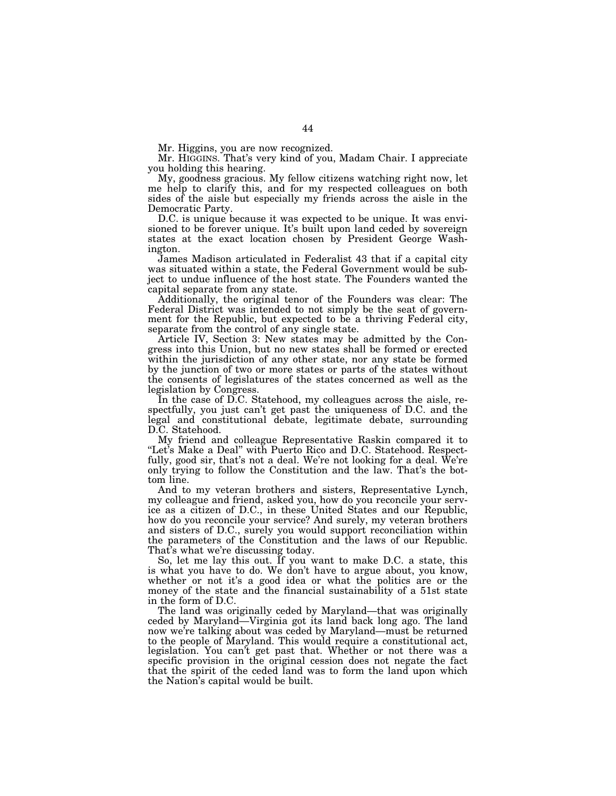Mr. Higgins, you are now recognized.

Mr. HIGGINS. That's very kind of you, Madam Chair. I appreciate you holding this hearing.

My, goodness gracious. My fellow citizens watching right now, let me help to clarify this, and for my respected colleagues on both sides of the aisle but especially my friends across the aisle in the Democratic Party.

D.C. is unique because it was expected to be unique. It was envisioned to be forever unique. It's built upon land ceded by sovereign states at the exact location chosen by President George Washington.

James Madison articulated in Federalist 43 that if a capital city was situated within a state, the Federal Government would be subject to undue influence of the host state. The Founders wanted the capital separate from any state.

Additionally, the original tenor of the Founders was clear: The Federal District was intended to not simply be the seat of government for the Republic, but expected to be a thriving Federal city, separate from the control of any single state.

Article IV, Section 3: New states may be admitted by the Congress into this Union, but no new states shall be formed or erected within the jurisdiction of any other state, nor any state be formed by the junction of two or more states or parts of the states without the consents of legislatures of the states concerned as well as the legislation by Congress.

In the case of D.C. Statehood, my colleagues across the aisle, respectfully, you just can't get past the uniqueness of D.C. and the legal and constitutional debate, legitimate debate, surrounding D.C. Statehood.

My friend and colleague Representative Raskin compared it to "Let's Make a Deal" with Puerto Rico and D.C. Statehood. Respectfully, good sir, that's not a deal. We're not looking for a deal. We're only trying to follow the Constitution and the law. That's the bottom line.

And to my veteran brothers and sisters, Representative Lynch, my colleague and friend, asked you, how do you reconcile your service as a citizen of D.C., in these United States and our Republic, how do you reconcile your service? And surely, my veteran brothers and sisters of D.C., surely you would support reconciliation within the parameters of the Constitution and the laws of our Republic. That's what we're discussing today.

So, let me lay this out. If you want to make D.C. a state, this is what you have to do. We don't have to argue about, you know, whether or not it's a good idea or what the politics are or the money of the state and the financial sustainability of a 51st state in the form of D.C.

The land was originally ceded by Maryland—that was originally ceded by Maryland—Virginia got its land back long ago. The land now we're talking about was ceded by Maryland—must be returned to the people of Maryland. This would require a constitutional act, legislation. You can't get past that. Whether or not there was a specific provision in the original cession does not negate the fact that the spirit of the ceded land was to form the land upon which the Nation's capital would be built.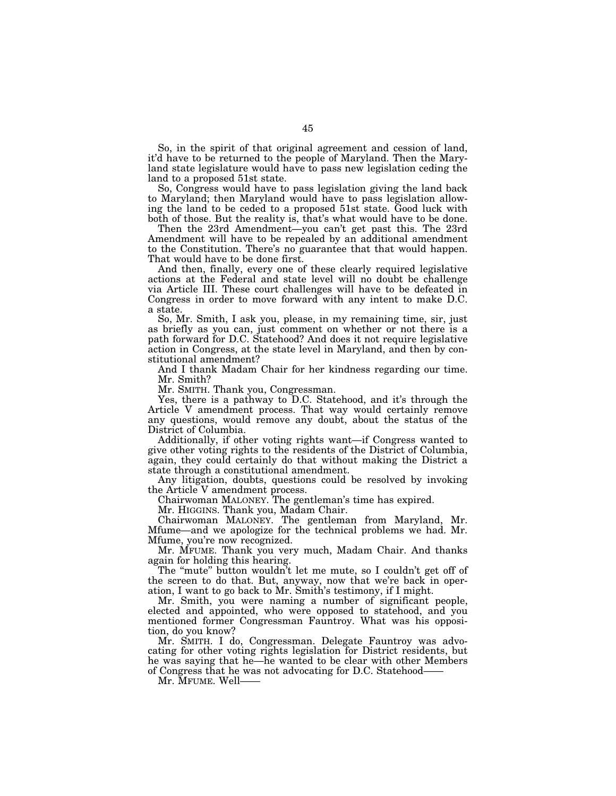So, in the spirit of that original agreement and cession of land, it'd have to be returned to the people of Maryland. Then the Maryland state legislature would have to pass new legislation ceding the land to a proposed 51st state.

So, Congress would have to pass legislation giving the land back to Maryland; then Maryland would have to pass legislation allowing the land to be ceded to a proposed 51st state. Good luck with both of those. But the reality is, that's what would have to be done.

Then the 23rd Amendment—you can't get past this. The 23rd Amendment will have to be repealed by an additional amendment to the Constitution. There's no guarantee that that would happen. That would have to be done first.

And then, finally, every one of these clearly required legislative actions at the Federal and state level will no doubt be challenge via Article III. These court challenges will have to be defeated in Congress in order to move forward with any intent to make D.C. a state.

So, Mr. Smith, I ask you, please, in my remaining time, sir, just as briefly as you can, just comment on whether or not there is a path forward for D.C. Statehood? And does it not require legislative action in Congress, at the state level in Maryland, and then by constitutional amendment?

And I thank Madam Chair for her kindness regarding our time. Mr. Smith?

Mr. SMITH. Thank you, Congressman.

Yes, there is a pathway to D.C. Statehood, and it's through the Article V amendment process. That way would certainly remove any questions, would remove any doubt, about the status of the District of Columbia.

Additionally, if other voting rights want—if Congress wanted to give other voting rights to the residents of the District of Columbia, again, they could certainly do that without making the District a state through a constitutional amendment.

Any litigation, doubts, questions could be resolved by invoking the Article V amendment process.

Chairwoman MALONEY. The gentleman's time has expired.

Mr. HIGGINS. Thank you, Madam Chair.

Chairwoman MALONEY. The gentleman from Maryland, Mr. Mfume—and we apologize for the technical problems we had. Mr. Mfume, you're now recognized.

Mr. MFUME. Thank you very much, Madam Chair. And thanks again for holding this hearing.

The "mute" button wouldn't let me mute, so I couldn't get off of the screen to do that. But, anyway, now that we're back in operation, I want to go back to Mr. Smith's testimony, if I might.

Mr. Smith, you were naming a number of significant people, elected and appointed, who were opposed to statehood, and you mentioned former Congressman Fauntroy. What was his opposition, do you know?

Mr. SMITH. I do, Congressman. Delegate Fauntroy was advocating for other voting rights legislation for District residents, but he was saying that he—he wanted to be clear with other Members of Congress that he was not advocating for D.C. Statehood——

Mr. MFUME. Well——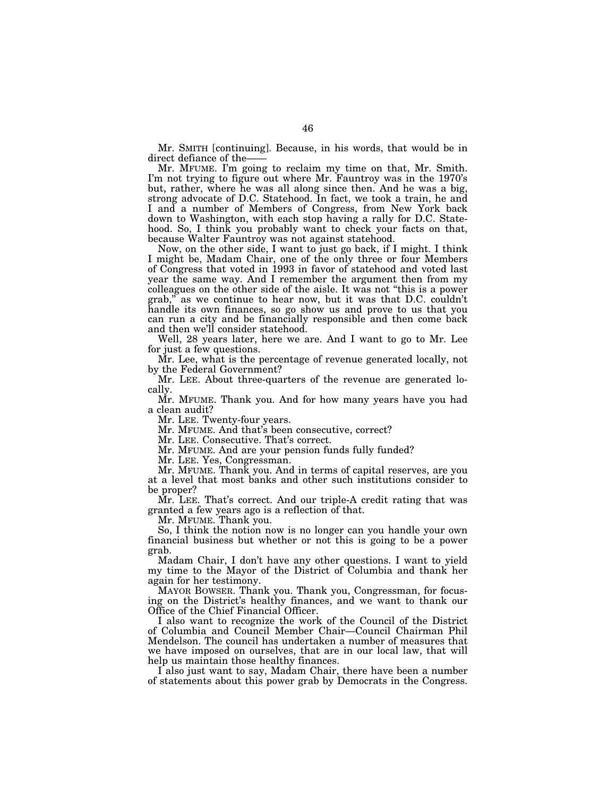Mr. SMITH [continuing]. Because, in his words, that would be in direct defiance of the-

Mr. MFUME. I'm going to reclaim my time on that, Mr. Smith. I'm not trying to figure out where Mr. Fauntroy was in the 1970's but, rather, where he was all along since then. And he was a big, strong advocate of D.C. Statehood. In fact, we took a train, he and I and a number of Members of Congress, from New York back down to Washington, with each stop having a rally for D.C. Statehood. So, I think you probably want to check your facts on that, because Walter Fauntroy was not against statehood.

Now, on the other side, I want to just go back, if I might. I think I might be, Madam Chair, one of the only three or four Members of Congress that voted in 1993 in favor of statehood and voted last year the same way. And I remember the argument then from my colleagues on the other side of the aisle. It was not ''this is a power grab,'' as we continue to hear now, but it was that D.C. couldn't handle its own finances, so go show us and prove to us that you can run a city and be financially responsible and then come back and then we'll consider statehood.

Well, 28 years later, here we are. And I want to go to Mr. Lee for just a few questions.

Mr. Lee, what is the percentage of revenue generated locally, not by the Federal Government?

Mr. LEE. About three-quarters of the revenue are generated locally.

Mr. MFUME. Thank you. And for how many years have you had a clean audit?

Mr. LEE. Twenty-four years.

Mr. MFUME. And that's been consecutive, correct?

Mr. LEE. Consecutive. That's correct.

Mr. MFUME. And are your pension funds fully funded?

Mr. LEE. Yes, Congressman.

Mr. MFUME. Thank you. And in terms of capital reserves, are you at a level that most banks and other such institutions consider to be proper?

Mr. LEE. That's correct. And our triple-A credit rating that was granted a few years ago is a reflection of that.

Mr. MFUME. Thank you.

So, I think the notion now is no longer can you handle your own financial business but whether or not this is going to be a power grab.

Madam Chair, I don't have any other questions. I want to yield my time to the Mayor of the District of Columbia and thank her again for her testimony.

MAYOR BOWSER. Thank you. Thank you, Congressman, for focusing on the District's healthy finances, and we want to thank our Office of the Chief Financial Officer.

I also want to recognize the work of the Council of the District of Columbia and Council Member Chair—Council Chairman Phil Mendelson. The council has undertaken a number of measures that we have imposed on ourselves, that are in our local law, that will help us maintain those healthy finances.

I also just want to say, Madam Chair, there have been a number of statements about this power grab by Democrats in the Congress.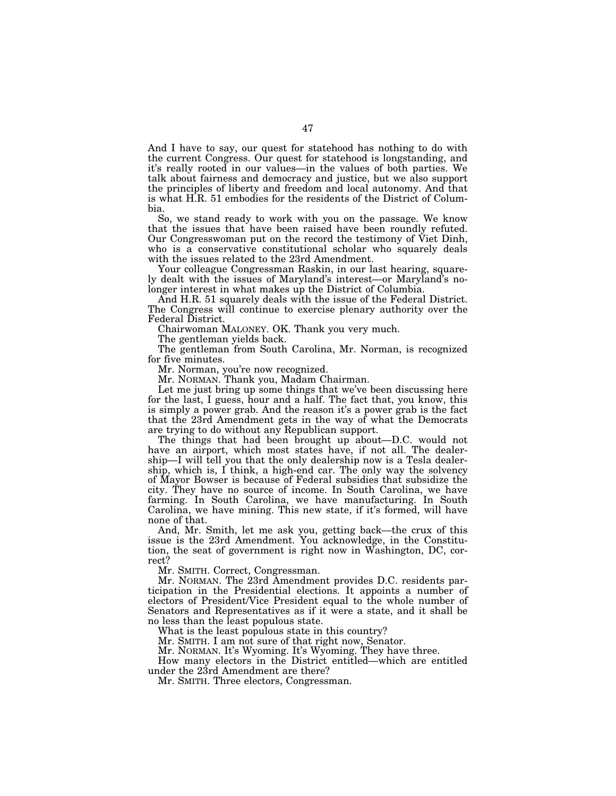And I have to say, our quest for statehood has nothing to do with the current Congress. Our quest for statehood is longstanding, and it's really rooted in our values—in the values of both parties. We talk about fairness and democracy and justice, but we also support the principles of liberty and freedom and local autonomy. And that is what H.R. 51 embodies for the residents of the District of Columbia.

So, we stand ready to work with you on the passage. We know that the issues that have been raised have been roundly refuted. Our Congresswoman put on the record the testimony of Viet Dinh, who is a conservative constitutional scholar who squarely deals with the issues related to the 23rd Amendment.

Your colleague Congressman Raskin, in our last hearing, squarely dealt with the issues of Maryland's interest—or Maryland's nolonger interest in what makes up the District of Columbia.

And H.R. 51 squarely deals with the issue of the Federal District. The Congress will continue to exercise plenary authority over the Federal District.

Chairwoman MALONEY. OK. Thank you very much.

The gentleman yields back.

The gentleman from South Carolina, Mr. Norman, is recognized for five minutes.

Mr. Norman, you're now recognized.

Mr. NORMAN. Thank you, Madam Chairman.

Let me just bring up some things that we've been discussing here for the last, I guess, hour and a half. The fact that, you know, this is simply a power grab. And the reason it's a power grab is the fact that the 23rd Amendment gets in the way of what the Democrats are trying to do without any Republican support.

The things that had been brought up about—D.C. would not have an airport, which most states have, if not all. The dealership—I will tell you that the only dealership now is a Tesla dealership, which is, I think, a high-end car. The only way the solvency of Mayor Bowser is because of Federal subsidies that subsidize the city. They have no source of income. In South Carolina, we have farming. In South Carolina, we have manufacturing. In South Carolina, we have mining. This new state, if it's formed, will have none of that.

And, Mr. Smith, let me ask you, getting back—the crux of this issue is the 23rd Amendment. You acknowledge, in the Constitution, the seat of government is right now in Washington, DC, correct?

Mr. SMITH. Correct, Congressman.

Mr. NORMAN. The 23rd Amendment provides D.C. residents participation in the Presidential elections. It appoints a number of electors of President/Vice President equal to the whole number of Senators and Representatives as if it were a state, and it shall be no less than the least populous state.

What is the least populous state in this country?

Mr. SMITH. I am not sure of that right now, Senator.

Mr. NORMAN. It's Wyoming. It's Wyoming. They have three.

How many electors in the District entitled—which are entitled under the 23rd Amendment are there?

Mr. SMITH. Three electors, Congressman.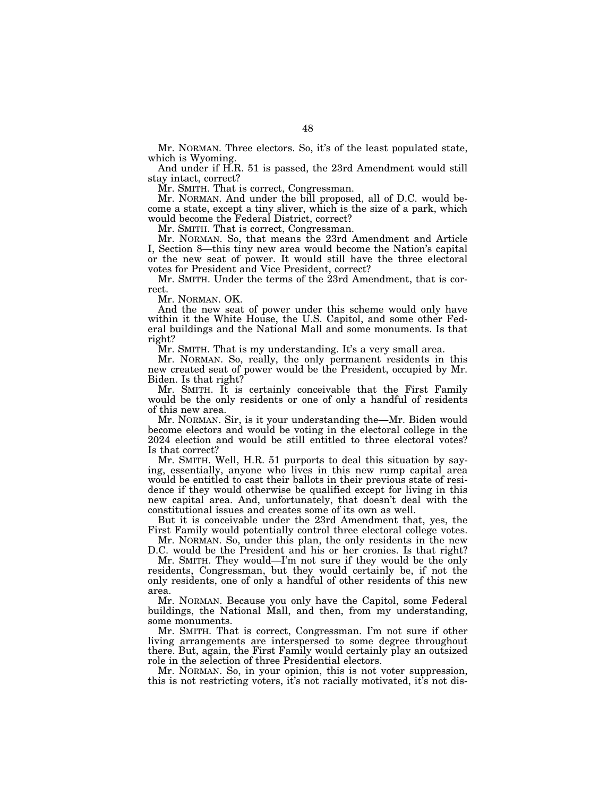Mr. NORMAN. Three electors. So, it's of the least populated state, which is Wyoming.

And under if H.R. 51 is passed, the 23rd Amendment would still stay intact, correct?

Mr. SMITH. That is correct, Congressman.

Mr. NORMAN. And under the bill proposed, all of D.C. would become a state, except a tiny sliver, which is the size of a park, which would become the Federal District, correct?

Mr. SMITH. That is correct, Congressman.

Mr. NORMAN. So, that means the 23rd Amendment and Article I, Section 8—this tiny new area would become the Nation's capital or the new seat of power. It would still have the three electoral votes for President and Vice President, correct?

Mr. SMITH. Under the terms of the 23rd Amendment, that is correct.

Mr. NORMAN. OK.

And the new seat of power under this scheme would only have within it the White House, the U.S. Capitol, and some other Federal buildings and the National Mall and some monuments. Is that right?

Mr. SMITH. That is my understanding. It's a very small area.

Mr. NORMAN. So, really, the only permanent residents in this new created seat of power would be the President, occupied by Mr. Biden. Is that right?

Mr. SMITH. It is certainly conceivable that the First Family would be the only residents or one of only a handful of residents of this new area.

Mr. NORMAN. Sir, is it your understanding the—Mr. Biden would become electors and would be voting in the electoral college in the 2024 election and would be still entitled to three electoral votes? Is that correct?

Mr. SMITH. Well, H.R. 51 purports to deal this situation by saying, essentially, anyone who lives in this new rump capital area would be entitled to cast their ballots in their previous state of residence if they would otherwise be qualified except for living in this new capital area. And, unfortunately, that doesn't deal with the constitutional issues and creates some of its own as well.

But it is conceivable under the 23rd Amendment that, yes, the First Family would potentially control three electoral college votes.

Mr. NORMAN. So, under this plan, the only residents in the new D.C. would be the President and his or her cronies. Is that right?

Mr. SMITH. They would—I'm not sure if they would be the only residents, Congressman, but they would certainly be, if not the only residents, one of only a handful of other residents of this new area.

Mr. NORMAN. Because you only have the Capitol, some Federal buildings, the National Mall, and then, from my understanding, some monuments.

Mr. SMITH. That is correct, Congressman. I'm not sure if other living arrangements are interspersed to some degree throughout there. But, again, the First Family would certainly play an outsized role in the selection of three Presidential electors.

Mr. NORMAN. So, in your opinion, this is not voter suppression, this is not restricting voters, it's not racially motivated, it's not dis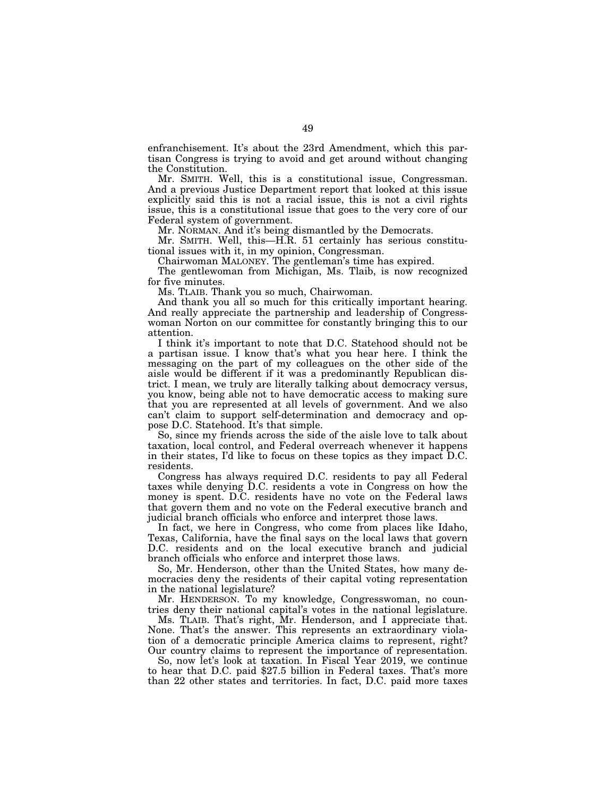enfranchisement. It's about the 23rd Amendment, which this partisan Congress is trying to avoid and get around without changing the Constitution.

Mr. SMITH. Well, this is a constitutional issue, Congressman. And a previous Justice Department report that looked at this issue explicitly said this is not a racial issue, this is not a civil rights issue, this is a constitutional issue that goes to the very core of our Federal system of government.

Mr. NORMAN. And it's being dismantled by the Democrats.

Mr. SMITH. Well, this—H.R. 51 certainly has serious constitutional issues with it, in my opinion, Congressman.

Chairwoman MALONEY. The gentleman's time has expired.

The gentlewoman from Michigan, Ms. Tlaib, is now recognized for five minutes.

Ms. TLAIB. Thank you so much, Chairwoman.

And thank you all so much for this critically important hearing. And really appreciate the partnership and leadership of Congresswoman Norton on our committee for constantly bringing this to our attention.

I think it's important to note that D.C. Statehood should not be a partisan issue. I know that's what you hear here. I think the messaging on the part of my colleagues on the other side of the aisle would be different if it was a predominantly Republican district. I mean, we truly are literally talking about democracy versus, you know, being able not to have democratic access to making sure that you are represented at all levels of government. And we also can't claim to support self-determination and democracy and oppose D.C. Statehood. It's that simple.

So, since my friends across the side of the aisle love to talk about taxation, local control, and Federal overreach whenever it happens in their states, I'd like to focus on these topics as they impact D.C. residents.

Congress has always required D.C. residents to pay all Federal taxes while denying D.C. residents a vote in Congress on how the money is spent. D.C. residents have no vote on the Federal laws that govern them and no vote on the Federal executive branch and judicial branch officials who enforce and interpret those laws.

In fact, we here in Congress, who come from places like Idaho, Texas, California, have the final says on the local laws that govern D.C. residents and on the local executive branch and judicial branch officials who enforce and interpret those laws.

So, Mr. Henderson, other than the United States, how many democracies deny the residents of their capital voting representation in the national legislature?

Mr. HENDERSON. To my knowledge, Congresswoman, no countries deny their national capital's votes in the national legislature.

Ms. TLAIB. That's right, Mr. Henderson, and I appreciate that. None. That's the answer. This represents an extraordinary violation of a democratic principle America claims to represent, right? Our country claims to represent the importance of representation.

So, now let's look at taxation. In Fiscal Year 2019, we continue to hear that D.C. paid \$27.5 billion in Federal taxes. That's more than 22 other states and territories. In fact, D.C. paid more taxes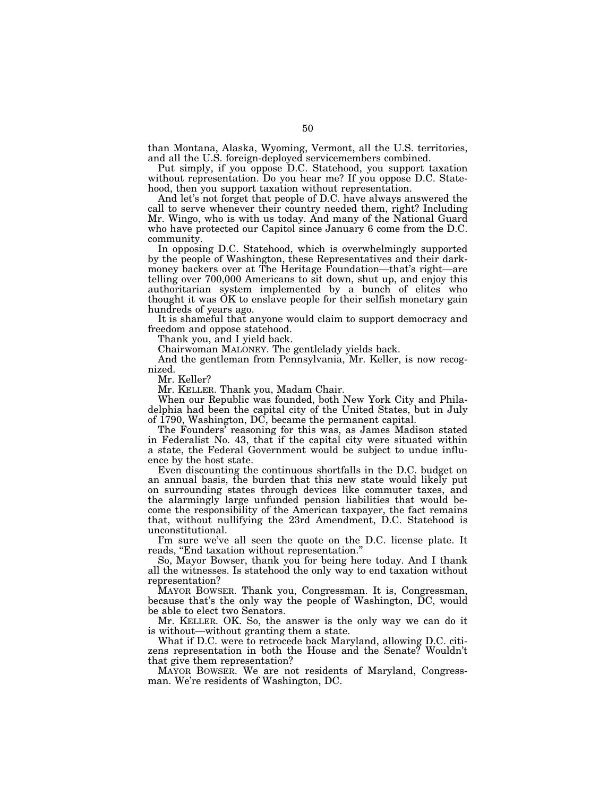than Montana, Alaska, Wyoming, Vermont, all the U.S. territories, and all the U.S. foreign-deployed servicemembers combined.

Put simply, if you oppose D.C. Statehood, you support taxation without representation. Do you hear me? If you oppose D.C. Statehood, then you support taxation without representation.

And let's not forget that people of D.C. have always answered the call to serve whenever their country needed them, right? Including Mr. Wingo, who is with us today. And many of the National Guard who have protected our Capitol since January 6 come from the D.C. community.

In opposing D.C. Statehood, which is overwhelmingly supported by the people of Washington, these Representatives and their darkmoney backers over at The Heritage Foundation—that's right—are telling over 700,000 Americans to sit down, shut up, and enjoy this authoritarian system implemented by a bunch of elites who thought it was OK to enslave people for their selfish monetary gain hundreds of years ago.

It is shameful that anyone would claim to support democracy and freedom and oppose statehood.

Thank you, and I yield back.

Chairwoman MALONEY. The gentlelady yields back.

And the gentleman from Pennsylvania, Mr. Keller, is now recognized.

Mr. Keller?

Mr. KELLER. Thank you, Madam Chair.

When our Republic was founded, both New York City and Philadelphia had been the capital city of the United States, but in July of 1790, Washington, DC, became the permanent capital.

The Founders' reasoning for this was, as James Madison stated in Federalist No. 43, that if the capital city were situated within a state, the Federal Government would be subject to undue influence by the host state.

Even discounting the continuous shortfalls in the D.C. budget on an annual basis, the burden that this new state would likely put on surrounding states through devices like commuter taxes, and the alarmingly large unfunded pension liabilities that would become the responsibility of the American taxpayer, the fact remains that, without nullifying the 23rd Amendment, D.C. Statehood is unconstitutional.

I'm sure we've all seen the quote on the D.C. license plate. It reads, ''End taxation without representation.''

So, Mayor Bowser, thank you for being here today. And I thank all the witnesses. Is statehood the only way to end taxation without representation?

MAYOR BOWSER. Thank you, Congressman. It is, Congressman, because that's the only way the people of Washington, DC, would be able to elect two Senators.

Mr. KELLER. OK. So, the answer is the only way we can do it is without—without granting them a state.

What if D.C. were to retrocede back Maryland, allowing D.C. citizens representation in both the House and the Senate? Wouldn't that give them representation?

MAYOR BOWSER. We are not residents of Maryland, Congressman. We're residents of Washington, DC.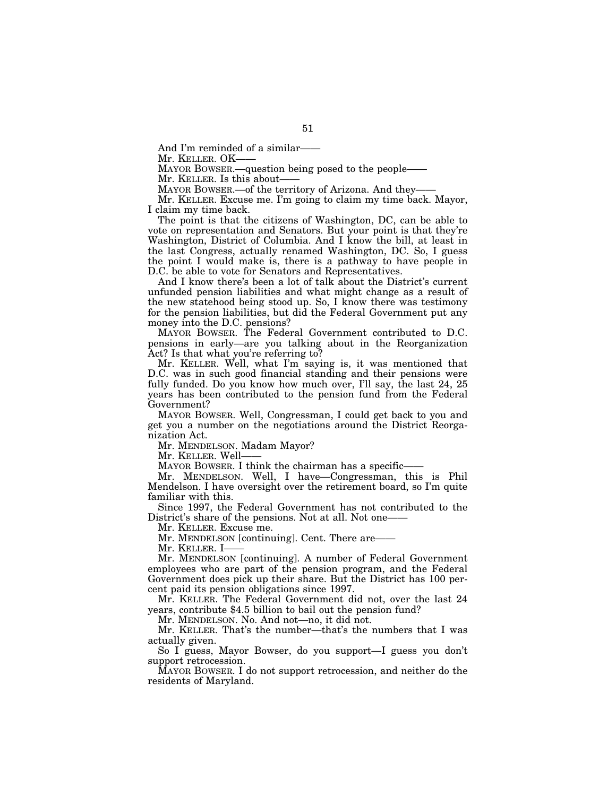And I'm reminded of a similar-

Mr. KELLER. OK-

MAYOR BOWSER.—question being posed to the people—

Mr. KELLER. Is this about-

MAYOR BOWSER.—of the territory of Arizona. And they-

Mr. KELLER. Excuse me. I'm going to claim my time back. Mayor, I claim my time back.

The point is that the citizens of Washington, DC, can be able to vote on representation and Senators. But your point is that they're Washington, District of Columbia. And I know the bill, at least in the last Congress, actually renamed Washington, DC. So, I guess the point I would make is, there is a pathway to have people in D.C. be able to vote for Senators and Representatives.

And I know there's been a lot of talk about the District's current unfunded pension liabilities and what might change as a result of the new statehood being stood up. So, I know there was testimony for the pension liabilities, but did the Federal Government put any money into the D.C. pensions?

MAYOR BOWSER. The Federal Government contributed to D.C. pensions in early—are you talking about in the Reorganization Act? Is that what you're referring to?

Mr. KELLER. Well, what I'm saying is, it was mentioned that D.C. was in such good financial standing and their pensions were fully funded. Do you know how much over, I'll say, the last 24, 25 years has been contributed to the pension fund from the Federal Government?

MAYOR BOWSER. Well, Congressman, I could get back to you and get you a number on the negotiations around the District Reorganization Act.

Mr. MENDELSON. Madam Mayor?

Mr. KELLER. Well-

MAYOR BOWSER. I think the chairman has a specific-

Mr. MENDELSON. Well, I have—Congressman, this is Phil Mendelson. I have oversight over the retirement board, so I'm quite familiar with this.

Since 1997, the Federal Government has not contributed to the District's share of the pensions. Not at all. Not one-

Mr. KELLER. Excuse me.

Mr. MENDELSON [continuing]. Cent. There are—

Mr. Keller. I-

Mr. MENDELSON [continuing]. A number of Federal Government employees who are part of the pension program, and the Federal Government does pick up their share. But the District has 100 percent paid its pension obligations since 1997.

Mr. KELLER. The Federal Government did not, over the last 24 years, contribute \$4.5 billion to bail out the pension fund?

Mr. MENDELSON. No. And not—no, it did not.

Mr. KELLER. That's the number—that's the numbers that I was actually given.

So I guess, Mayor Bowser, do you support—I guess you don't support retrocession.

MAYOR BOWSER. I do not support retrocession, and neither do the residents of Maryland.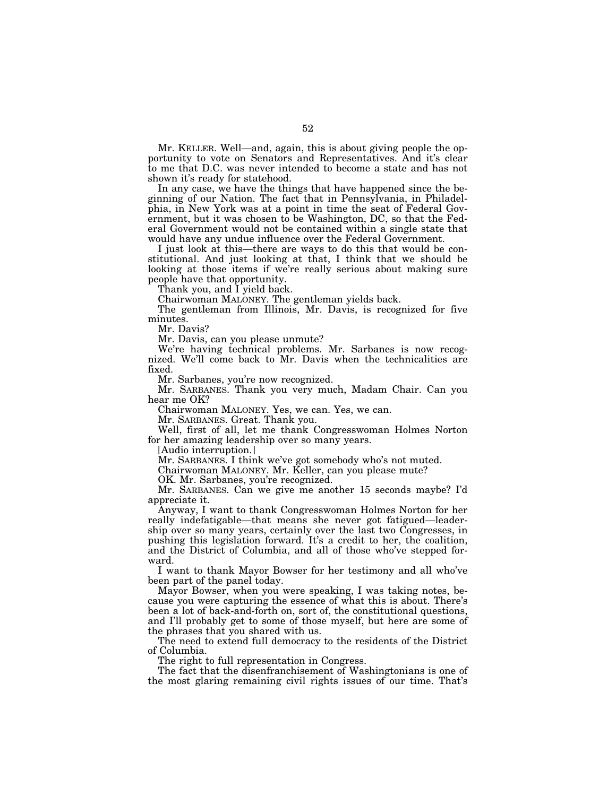Mr. KELLER. Well—and, again, this is about giving people the opportunity to vote on Senators and Representatives. And it's clear to me that D.C. was never intended to become a state and has not shown it's ready for statehood.

In any case, we have the things that have happened since the beginning of our Nation. The fact that in Pennsylvania, in Philadelphia, in New York was at a point in time the seat of Federal Government, but it was chosen to be Washington, DC, so that the Federal Government would not be contained within a single state that would have any undue influence over the Federal Government.

I just look at this—there are ways to do this that would be constitutional. And just looking at that, I think that we should be looking at those items if we're really serious about making sure people have that opportunity.

Thank you, and I yield back.

Chairwoman MALONEY. The gentleman yields back.

The gentleman from Illinois, Mr. Davis, is recognized for five minutes.

Mr. Davis?

Mr. Davis, can you please unmute?

We're having technical problems. Mr. Sarbanes is now recognized. We'll come back to Mr. Davis when the technicalities are fixed.

Mr. Sarbanes, you're now recognized.

Mr. SARBANES. Thank you very much, Madam Chair. Can you hear me OK?

Chairwoman MALONEY. Yes, we can. Yes, we can.

Mr. SARBANES. Great. Thank you.

Well, first of all, let me thank Congresswoman Holmes Norton for her amazing leadership over so many years.

[Audio interruption.]

Mr. SARBANES. I think we've got somebody who's not muted.

Chairwoman MALONEY. Mr. Keller, can you please mute?

OK. Mr. Sarbanes, you're recognized.

Mr. SARBANES. Can we give me another 15 seconds maybe? I'd appreciate it.

Anyway, I want to thank Congresswoman Holmes Norton for her really indefatigable—that means she never got fatigued—leadership over so many years, certainly over the last two Congresses, in pushing this legislation forward. It's a credit to her, the coalition, and the District of Columbia, and all of those who've stepped forward.

I want to thank Mayor Bowser for her testimony and all who've been part of the panel today.

Mayor Bowser, when you were speaking, I was taking notes, because you were capturing the essence of what this is about. There's been a lot of back-and-forth on, sort of, the constitutional questions, and I'll probably get to some of those myself, but here are some of the phrases that you shared with us.

The need to extend full democracy to the residents of the District of Columbia.

The right to full representation in Congress.

The fact that the disenfranchisement of Washingtonians is one of the most glaring remaining civil rights issues of our time. That's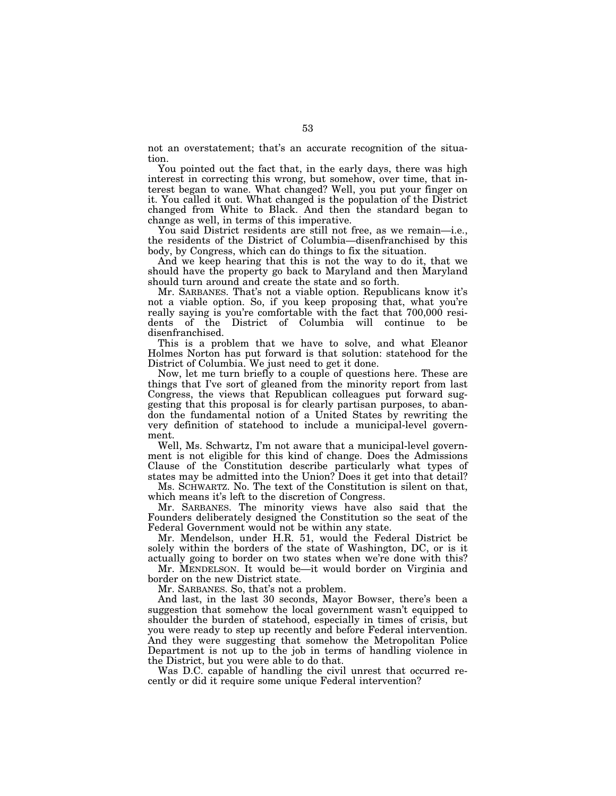not an overstatement; that's an accurate recognition of the situation.

You pointed out the fact that, in the early days, there was high interest in correcting this wrong, but somehow, over time, that interest began to wane. What changed? Well, you put your finger on it. You called it out. What changed is the population of the District changed from White to Black. And then the standard began to change as well, in terms of this imperative.

You said District residents are still not free, as we remain—i.e., the residents of the District of Columbia—disenfranchised by this body, by Congress, which can do things to fix the situation.

And we keep hearing that this is not the way to do it, that we should have the property go back to Maryland and then Maryland should turn around and create the state and so forth.

Mr. SARBANES. That's not a viable option. Republicans know it's not a viable option. So, if you keep proposing that, what you're really saying is you're comfortable with the fact that 700,000 residents of the District of Columbia will continue to be disenfranchised.

This is a problem that we have to solve, and what Eleanor Holmes Norton has put forward is that solution: statehood for the District of Columbia. We just need to get it done.

Now, let me turn briefly to a couple of questions here. These are things that I've sort of gleaned from the minority report from last Congress, the views that Republican colleagues put forward suggesting that this proposal is for clearly partisan purposes, to abandon the fundamental notion of a United States by rewriting the very definition of statehood to include a municipal-level government.

Well, Ms. Schwartz, I'm not aware that a municipal-level government is not eligible for this kind of change. Does the Admissions Clause of the Constitution describe particularly what types of states may be admitted into the Union? Does it get into that detail?

Ms. SCHWARTZ. No. The text of the Constitution is silent on that, which means it's left to the discretion of Congress.

Mr. SARBANES. The minority views have also said that the Founders deliberately designed the Constitution so the seat of the Federal Government would not be within any state.

Mr. Mendelson, under H.R. 51, would the Federal District be solely within the borders of the state of Washington, DC, or is it actually going to border on two states when we're done with this?

Mr. MENDELSON. It would be—it would border on Virginia and border on the new District state.

Mr. SARBANES. So, that's not a problem.

And last, in the last 30 seconds, Mayor Bowser, there's been a suggestion that somehow the local government wasn't equipped to shoulder the burden of statehood, especially in times of crisis, but you were ready to step up recently and before Federal intervention. And they were suggesting that somehow the Metropolitan Police Department is not up to the job in terms of handling violence in the District, but you were able to do that.

Was D.C. capable of handling the civil unrest that occurred recently or did it require some unique Federal intervention?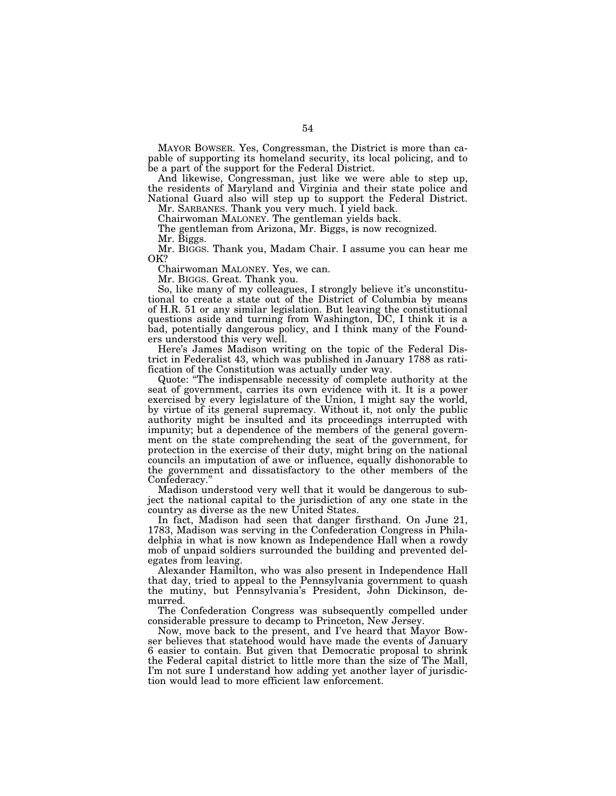MAYOR BOWSER. Yes, Congressman, the District is more than capable of supporting its homeland security, its local policing, and to be a part of the support for the Federal District.

And likewise, Congressman, just like we were able to step up, the residents of Maryland and Virginia and their state police and National Guard also will step up to support the Federal District.

Mr. SARBANES. Thank you very much. I yield back.

Chairwoman MALONEY. The gentleman yields back.

The gentleman from Arizona, Mr. Biggs, is now recognized.

Mr. Biggs.

Mr. BIGGS. Thank you, Madam Chair. I assume you can hear me OK?

Chairwoman MALONEY. Yes, we can.

Mr. BIGGS. Great. Thank you.

So, like many of my colleagues, I strongly believe it's unconstitutional to create a state out of the District of Columbia by means of H.R. 51 or any similar legislation. But leaving the constitutional questions aside and turning from Washington, DC, I think it is a bad, potentially dangerous policy, and I think many of the Founders understood this very well.

Here's James Madison writing on the topic of the Federal District in Federalist 43, which was published in January 1788 as ratification of the Constitution was actually under way.

Quote: ''The indispensable necessity of complete authority at the seat of government, carries its own evidence with it. It is a power exercised by every legislature of the Union, I might say the world, by virtue of its general supremacy. Without it, not only the public authority might be insulted and its proceedings interrupted with impunity; but a dependence of the members of the general government on the state comprehending the seat of the government, for protection in the exercise of their duty, might bring on the national councils an imputation of awe or influence, equally dishonorable to the government and dissatisfactory to the other members of the Confederacy.''

Madison understood very well that it would be dangerous to subject the national capital to the jurisdiction of any one state in the country as diverse as the new United States.

In fact, Madison had seen that danger firsthand. On June 21, 1783, Madison was serving in the Confederation Congress in Philadelphia in what is now known as Independence Hall when a rowdy mob of unpaid soldiers surrounded the building and prevented delegates from leaving.

Alexander Hamilton, who was also present in Independence Hall that day, tried to appeal to the Pennsylvania government to quash the mutiny, but Pennsylvania's President, John Dickinson, demurred.

The Confederation Congress was subsequently compelled under considerable pressure to decamp to Princeton, New Jersey.

Now, move back to the present, and I've heard that Mayor Bowser believes that statehood would have made the events of January 6 easier to contain. But given that Democratic proposal to shrink the Federal capital district to little more than the size of The Mall, I'm not sure I understand how adding yet another layer of jurisdiction would lead to more efficient law enforcement.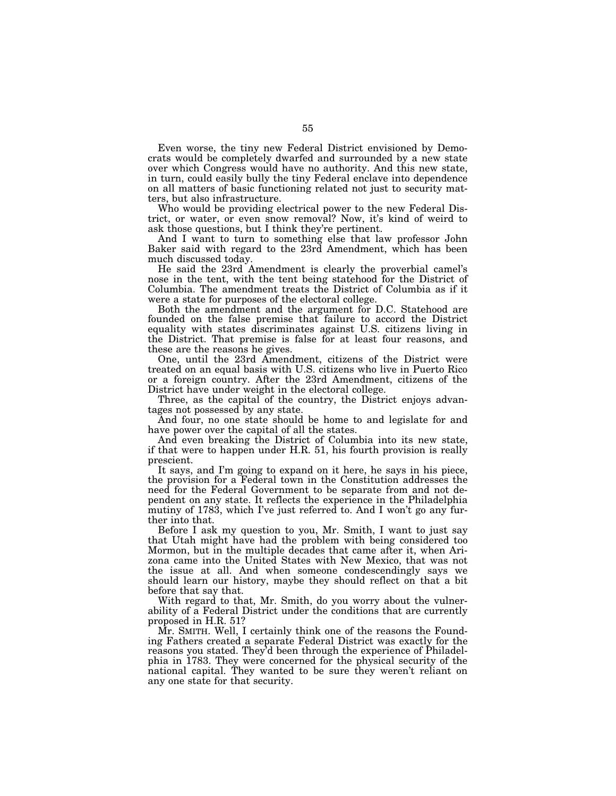Even worse, the tiny new Federal District envisioned by Democrats would be completely dwarfed and surrounded by a new state over which Congress would have no authority. And this new state, in turn, could easily bully the tiny Federal enclave into dependence on all matters of basic functioning related not just to security matters, but also infrastructure.

Who would be providing electrical power to the new Federal District, or water, or even snow removal? Now, it's kind of weird to ask those questions, but I think they're pertinent.

And I want to turn to something else that law professor John Baker said with regard to the 23rd Amendment, which has been much discussed today.

He said the 23rd Amendment is clearly the proverbial camel's nose in the tent, with the tent being statehood for the District of Columbia. The amendment treats the District of Columbia as if it were a state for purposes of the electoral college.

Both the amendment and the argument for D.C. Statehood are founded on the false premise that failure to accord the District equality with states discriminates against U.S. citizens living in the District. That premise is false for at least four reasons, and these are the reasons he gives.

One, until the 23rd Amendment, citizens of the District were treated on an equal basis with U.S. citizens who live in Puerto Rico or a foreign country. After the 23rd Amendment, citizens of the District have under weight in the electoral college.

Three, as the capital of the country, the District enjoys advantages not possessed by any state.

And four, no one state should be home to and legislate for and have power over the capital of all the states.

And even breaking the District of Columbia into its new state, if that were to happen under H.R. 51, his fourth provision is really prescient.

It says, and I'm going to expand on it here, he says in his piece, the provision for a Federal town in the Constitution addresses the need for the Federal Government to be separate from and not dependent on any state. It reflects the experience in the Philadelphia mutiny of 1783, which I've just referred to. And I won't go any further into that.

Before I ask my question to you, Mr. Smith, I want to just say that Utah might have had the problem with being considered too Mormon, but in the multiple decades that came after it, when Arizona came into the United States with New Mexico, that was not the issue at all. And when someone condescendingly says we should learn our history, maybe they should reflect on that a bit before that say that.

With regard to that, Mr. Smith, do you worry about the vulnerability of a Federal District under the conditions that are currently proposed in H.R. 51?

Mr. SMITH. Well, I certainly think one of the reasons the Founding Fathers created a separate Federal District was exactly for the reasons you stated. They'd been through the experience of Philadelphia in 1783. They were concerned for the physical security of the national capital. They wanted to be sure they weren't reliant on any one state for that security.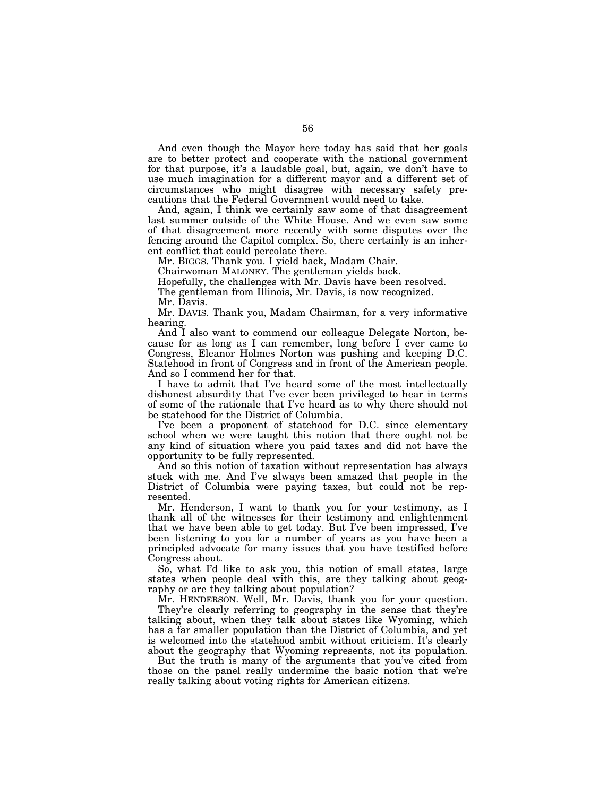And even though the Mayor here today has said that her goals are to better protect and cooperate with the national government for that purpose, it's a laudable goal, but, again, we don't have to use much imagination for a different mayor and a different set of circumstances who might disagree with necessary safety precautions that the Federal Government would need to take.

And, again, I think we certainly saw some of that disagreement last summer outside of the White House. And we even saw some of that disagreement more recently with some disputes over the fencing around the Capitol complex. So, there certainly is an inherent conflict that could percolate there.

Mr. BIGGS. Thank you. I yield back, Madam Chair.

Chairwoman MALONEY. The gentleman yields back.

Hopefully, the challenges with Mr. Davis have been resolved.

The gentleman from Illinois, Mr. Davis, is now recognized.

Mr. Davis.

Mr. DAVIS. Thank you, Madam Chairman, for a very informative hearing.

And I also want to commend our colleague Delegate Norton, because for as long as I can remember, long before I ever came to Congress, Eleanor Holmes Norton was pushing and keeping D.C. Statehood in front of Congress and in front of the American people. And so I commend her for that.

I have to admit that I've heard some of the most intellectually dishonest absurdity that I've ever been privileged to hear in terms of some of the rationale that I've heard as to why there should not be statehood for the District of Columbia.

I've been a proponent of statehood for D.C. since elementary school when we were taught this notion that there ought not be any kind of situation where you paid taxes and did not have the opportunity to be fully represented.

And so this notion of taxation without representation has always stuck with me. And I've always been amazed that people in the District of Columbia were paying taxes, but could not be represented.

Mr. Henderson, I want to thank you for your testimony, as I thank all of the witnesses for their testimony and enlightenment that we have been able to get today. But I've been impressed, I've been listening to you for a number of years as you have been a principled advocate for many issues that you have testified before Congress about.

So, what I'd like to ask you, this notion of small states, large states when people deal with this, are they talking about geography or are they talking about population?

Mr. HENDERSON. Well, Mr. Davis, thank you for your question.

They're clearly referring to geography in the sense that they're talking about, when they talk about states like Wyoming, which has a far smaller population than the District of Columbia, and yet is welcomed into the statehood ambit without criticism. It's clearly about the geography that Wyoming represents, not its population.

But the truth is many of the arguments that you've cited from those on the panel really undermine the basic notion that we're really talking about voting rights for American citizens.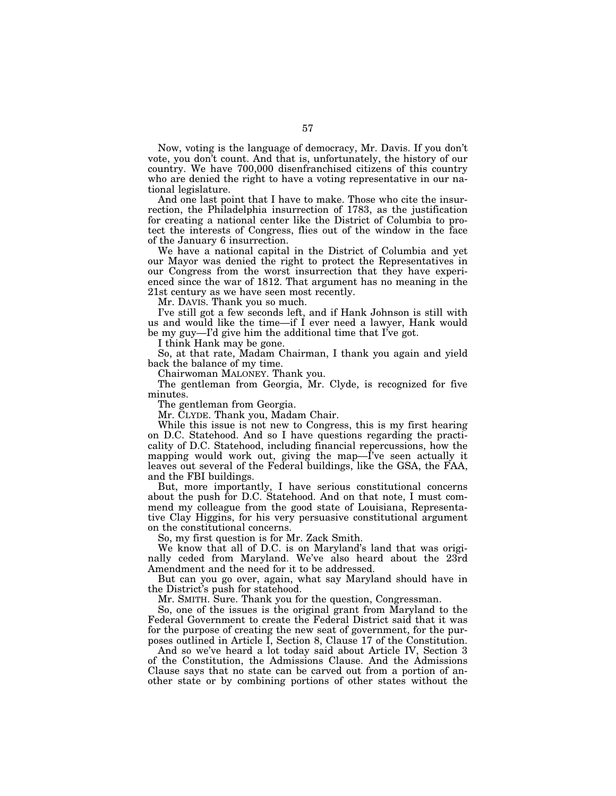Now, voting is the language of democracy, Mr. Davis. If you don't vote, you don't count. And that is, unfortunately, the history of our country. We have 700,000 disenfranchised citizens of this country who are denied the right to have a voting representative in our national legislature.

And one last point that I have to make. Those who cite the insurrection, the Philadelphia insurrection of 1783, as the justification for creating a national center like the District of Columbia to protect the interests of Congress, flies out of the window in the face of the January 6 insurrection.

We have a national capital in the District of Columbia and yet our Mayor was denied the right to protect the Representatives in our Congress from the worst insurrection that they have experienced since the war of 1812. That argument has no meaning in the 21st century as we have seen most recently.

Mr. DAVIS. Thank you so much.

I've still got a few seconds left, and if Hank Johnson is still with us and would like the time—if I ever need a lawyer, Hank would be my guy—I'd give him the additional time that I've got.

I think Hank may be gone.

So, at that rate, Madam Chairman, I thank you again and yield back the balance of my time.

Chairwoman MALONEY. Thank you.

The gentleman from Georgia, Mr. Clyde, is recognized for five minutes.

The gentleman from Georgia.

Mr. CLYDE. Thank you, Madam Chair.

While this issue is not new to Congress, this is my first hearing on D.C. Statehood. And so I have questions regarding the practicality of D.C. Statehood, including financial repercussions, how the mapping would work out, giving the map—I've seen actually it leaves out several of the Federal buildings, like the GSA, the FAA, and the FBI buildings.

But, more importantly, I have serious constitutional concerns about the push for D.C. Statehood. And on that note, I must commend my colleague from the good state of Louisiana, Representative Clay Higgins, for his very persuasive constitutional argument on the constitutional concerns.

So, my first question is for Mr. Zack Smith.

We know that all of D.C. is on Maryland's land that was originally ceded from Maryland. We've also heard about the 23rd Amendment and the need for it to be addressed.

But can you go over, again, what say Maryland should have in the District's push for statehood.

Mr. SMITH. Sure. Thank you for the question, Congressman.

So, one of the issues is the original grant from Maryland to the Federal Government to create the Federal District said that it was for the purpose of creating the new seat of government, for the purposes outlined in Article I, Section 8, Clause 17 of the Constitution.

And so we've heard a lot today said about Article IV, Section 3 of the Constitution, the Admissions Clause. And the Admissions Clause says that no state can be carved out from a portion of another state or by combining portions of other states without the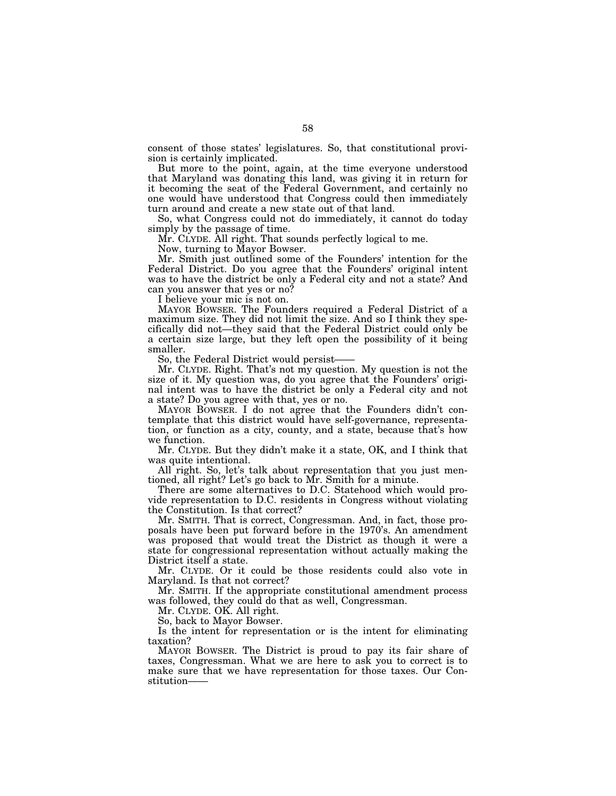consent of those states' legislatures. So, that constitutional provision is certainly implicated.

But more to the point, again, at the time everyone understood that Maryland was donating this land, was giving it in return for it becoming the seat of the Federal Government, and certainly no one would have understood that Congress could then immediately turn around and create a new state out of that land.

So, what Congress could not do immediately, it cannot do today simply by the passage of time.

Mr. CLYDE. All right. That sounds perfectly logical to me.

Now, turning to Mayor Bowser.

Mr. Smith just outlined some of the Founders' intention for the Federal District. Do you agree that the Founders' original intent was to have the district be only a Federal city and not a state? And can you answer that yes or no?

I believe your mic is not on.

MAYOR BOWSER. The Founders required a Federal District of a maximum size. They did not limit the size. And so I think they specifically did not—they said that the Federal District could only be a certain size large, but they left open the possibility of it being smaller.

So, the Federal District would persist-

Mr. CLYDE. Right. That's not my question. My question is not the size of it. My question was, do you agree that the Founders' original intent was to have the district be only a Federal city and not a state? Do you agree with that, yes or no.

MAYOR BOWSER. I do not agree that the Founders didn't contemplate that this district would have self-governance, representation, or function as a city, county, and a state, because that's how we function.

Mr. CLYDE. But they didn't make it a state, OK, and I think that was quite intentional.

All right. So, let's talk about representation that you just mentioned, all right? Let's go back to Mr. Smith for a minute.

There are some alternatives to D.C. Statehood which would provide representation to D.C. residents in Congress without violating the Constitution. Is that correct?

Mr. SMITH. That is correct, Congressman. And, in fact, those proposals have been put forward before in the 1970's. An amendment was proposed that would treat the District as though it were a state for congressional representation without actually making the District itself a state.

Mr. CLYDE. Or it could be those residents could also vote in Maryland. Is that not correct?

Mr. SMITH. If the appropriate constitutional amendment process was followed, they could do that as well, Congressman.

Mr. CLYDE. OK. All right.

So, back to Mayor Bowser.

Is the intent for representation or is the intent for eliminating taxation?

MAYOR BOWSER. The District is proud to pay its fair share of taxes, Congressman. What we are here to ask you to correct is to make sure that we have representation for those taxes. Our Constitution——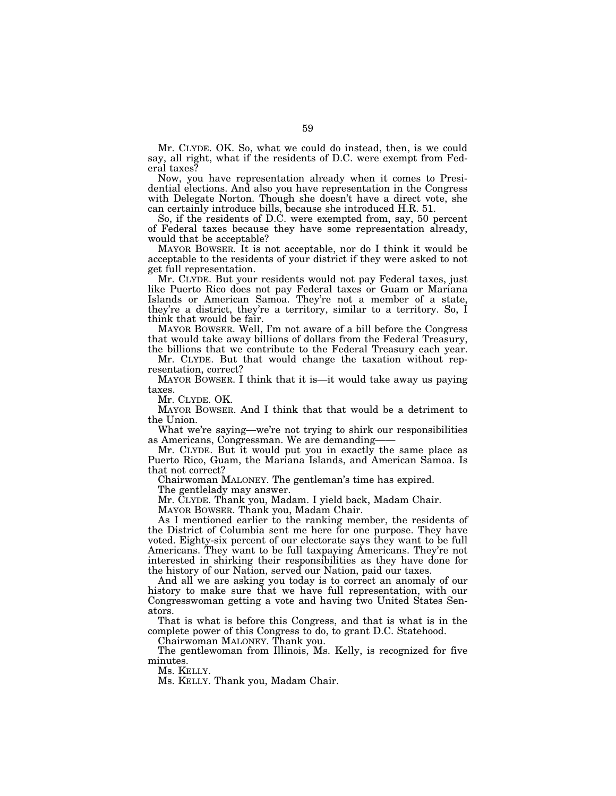Mr. CLYDE. OK. So, what we could do instead, then, is we could say, all right, what if the residents of D.C. were exempt from Federal taxes?

Now, you have representation already when it comes to Presidential elections. And also you have representation in the Congress with Delegate Norton. Though she doesn't have a direct vote, she can certainly introduce bills, because she introduced H.R. 51.

So, if the residents of D.C. were exempted from, say, 50 percent of Federal taxes because they have some representation already, would that be acceptable?

MAYOR BOWSER. It is not acceptable, nor do I think it would be acceptable to the residents of your district if they were asked to not get full representation.

Mr. CLYDE. But your residents would not pay Federal taxes, just like Puerto Rico does not pay Federal taxes or Guam or Mariana Islands or American Samoa. They're not a member of a state, they're a district, they're a territory, similar to a territory. So, I think that would be fair.

MAYOR BOWSER. Well, I'm not aware of a bill before the Congress that would take away billions of dollars from the Federal Treasury, the billions that we contribute to the Federal Treasury each year.

Mr. CLYDE. But that would change the taxation without representation, correct?

MAYOR BOWSER. I think that it is—it would take away us paying taxes.

Mr. CLYDE. OK.

MAYOR BOWSER. And I think that that would be a detriment to the Union.

What we're saying—we're not trying to shirk our responsibilities as Americans, Congressman. We are demanding——

Mr. CLYDE. But it would put you in exactly the same place as Puerto Rico, Guam, the Mariana Islands, and American Samoa. Is that not correct?

Chairwoman MALONEY. The gentleman's time has expired.

The gentlelady may answer.

Mr. CLYDE. Thank you, Madam. I yield back, Madam Chair.

MAYOR BOWSER. Thank you, Madam Chair.

As I mentioned earlier to the ranking member, the residents of the District of Columbia sent me here for one purpose. They have voted. Eighty-six percent of our electorate says they want to be full Americans. They want to be full taxpaying Americans. They're not interested in shirking their responsibilities as they have done for the history of our Nation, served our Nation, paid our taxes.

And all we are asking you today is to correct an anomaly of our history to make sure that we have full representation, with our Congresswoman getting a vote and having two United States Senators.

That is what is before this Congress, and that is what is in the complete power of this Congress to do, to grant D.C. Statehood.

Chairwoman MALONEY. Thank you.

The gentlewoman from Illinois, Ms. Kelly, is recognized for five minutes.

Ms. KELLY.

Ms. KELLY. Thank you, Madam Chair.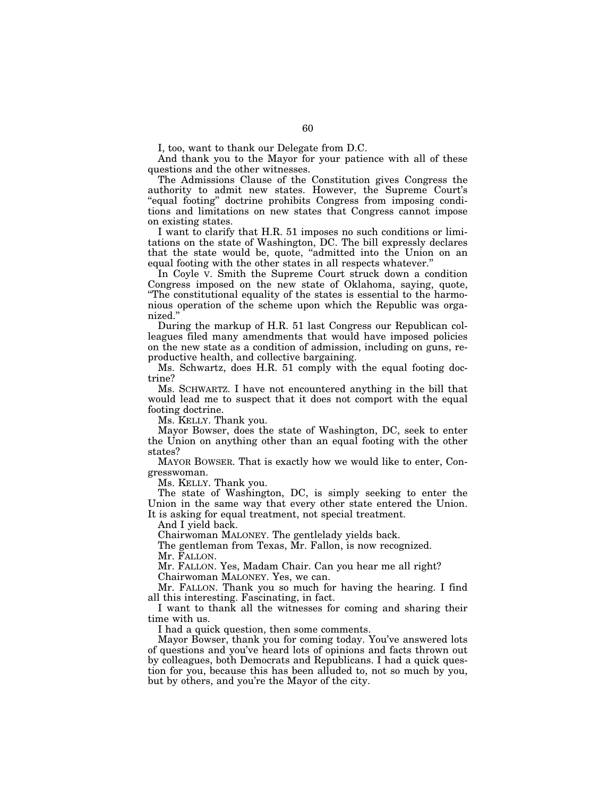I, too, want to thank our Delegate from D.C.

And thank you to the Mayor for your patience with all of these questions and the other witnesses.

The Admissions Clause of the Constitution gives Congress the authority to admit new states. However, the Supreme Court's ''equal footing'' doctrine prohibits Congress from imposing conditions and limitations on new states that Congress cannot impose on existing states.

I want to clarify that H.R. 51 imposes no such conditions or limitations on the state of Washington, DC. The bill expressly declares that the state would be, quote, "admitted into the Union on an equal footing with the other states in all respects whatever.''

In Coyle V. Smith the Supreme Court struck down a condition Congress imposed on the new state of Oklahoma, saying, quote, ''The constitutional equality of the states is essential to the harmonious operation of the scheme upon which the Republic was organized.''

During the markup of H.R. 51 last Congress our Republican colleagues filed many amendments that would have imposed policies on the new state as a condition of admission, including on guns, reproductive health, and collective bargaining.

Ms. Schwartz, does H.R. 51 comply with the equal footing doctrine?

Ms. SCHWARTZ. I have not encountered anything in the bill that would lead me to suspect that it does not comport with the equal footing doctrine.

Ms. KELLY. Thank you.

Mayor Bowser, does the state of Washington, DC, seek to enter the Union on anything other than an equal footing with the other states?

MAYOR BOWSER. That is exactly how we would like to enter, Congresswoman.

Ms. KELLY. Thank you.

The state of Washington, DC, is simply seeking to enter the Union in the same way that every other state entered the Union. It is asking for equal treatment, not special treatment.

And I yield back.

Chairwoman MALONEY. The gentlelady yields back.

The gentleman from Texas, Mr. Fallon, is now recognized. Mr. FALLON.

Mr. FALLON. Yes, Madam Chair. Can you hear me all right? Chairwoman MALONEY. Yes, we can.

Mr. FALLON. Thank you so much for having the hearing. I find all this interesting. Fascinating, in fact.

I want to thank all the witnesses for coming and sharing their time with us.

I had a quick question, then some comments.

Mayor Bowser, thank you for coming today. You've answered lots of questions and you've heard lots of opinions and facts thrown out by colleagues, both Democrats and Republicans. I had a quick question for you, because this has been alluded to, not so much by you, but by others, and you're the Mayor of the city.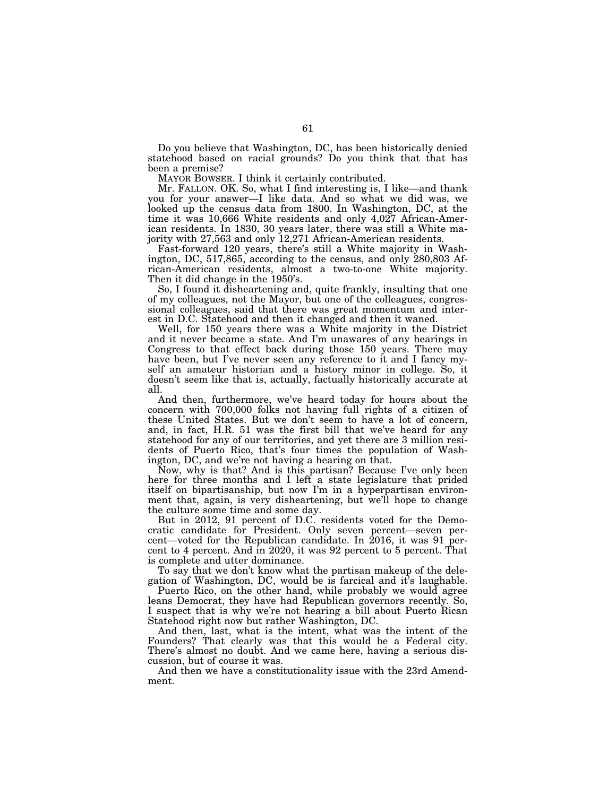Do you believe that Washington, DC, has been historically denied statehood based on racial grounds? Do you think that that has been a premise?

MAYOR BOWSER. I think it certainly contributed.

Mr. FALLON. OK. So, what I find interesting is, I like—and thank you for your answer—I like data. And so what we did was, we looked up the census data from 1800. In Washington, DC, at the time it was 10,666 White residents and only 4,027 African-American residents. In 1830, 30 years later, there was still a White majority with 27,563 and only 12,271 African-American residents.

Fast-forward 120 years, there's still a White majority in Washington, DC, 517,865, according to the census, and only 280,803 African-American residents, almost a two-to-one White majority. Then it did change in the 1950's.

So, I found it disheartening and, quite frankly, insulting that one of my colleagues, not the Mayor, but one of the colleagues, congressional colleagues, said that there was great momentum and interest in D.C. Statehood and then it changed and then it waned.

Well, for 150 years there was a White majority in the District and it never became a state. And I'm unawares of any hearings in Congress to that effect back during those 150 years. There may have been, but I've never seen any reference to it and I fancy myself an amateur historian and a history minor in college. So, it doesn't seem like that is, actually, factually historically accurate at all.

And then, furthermore, we've heard today for hours about the concern with 700,000 folks not having full rights of a citizen of these United States. But we don't seem to have a lot of concern, and, in fact, H.R. 51 was the first bill that we've heard for any statehood for any of our territories, and yet there are 3 million residents of Puerto Rico, that's four times the population of Washington, DC, and we're not having a hearing on that.

Now, why is that? And is this partisan? Because I've only been here for three months and I left a state legislature that prided itself on bipartisanship, but now I'm in a hyperpartisan environment that, again, is very disheartening, but we'll hope to change the culture some time and some day.

But in 2012, 91 percent of D.C. residents voted for the Democratic candidate for President. Only seven percent—seven percent—voted for the Republican candidate. In 2016, it was 91 percent to 4 percent. And in 2020, it was 92 percent to 5 percent. That is complete and utter dominance.

To say that we don't know what the partisan makeup of the delegation of Washington, DC, would be is farcical and it's laughable.

Puerto Rico, on the other hand, while probably we would agree leans Democrat, they have had Republican governors recently. So, I suspect that is why we're not hearing a bill about Puerto Rican Statehood right now but rather Washington, DC.

And then, last, what is the intent, what was the intent of the Founders? That clearly was that this would be a Federal city. There's almost no doubt. And we came here, having a serious discussion, but of course it was.

And then we have a constitutionality issue with the 23rd Amendment.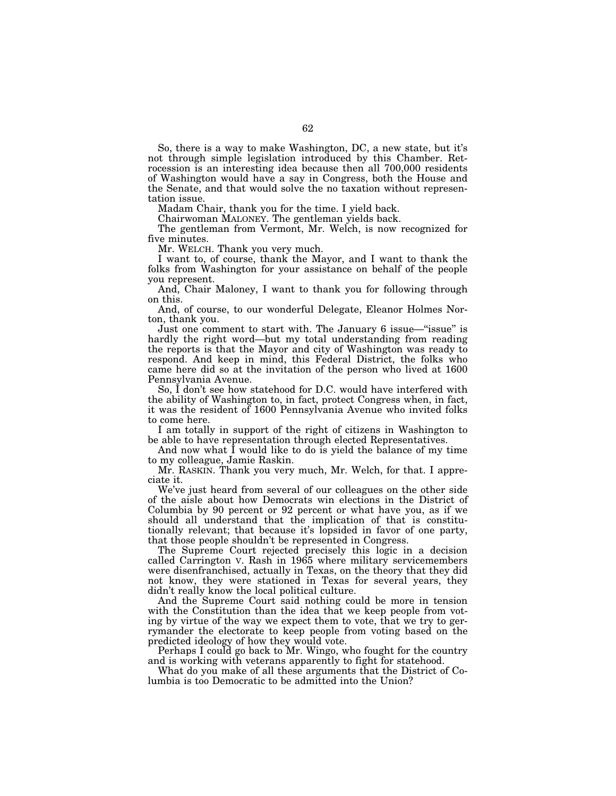So, there is a way to make Washington, DC, a new state, but it's not through simple legislation introduced by this Chamber. Retrocession is an interesting idea because then all 700,000 residents of Washington would have a say in Congress, both the House and the Senate, and that would solve the no taxation without representation issue.

Madam Chair, thank you for the time. I yield back.

Chairwoman MALONEY. The gentleman yields back.

The gentleman from Vermont, Mr. Welch, is now recognized for five minutes.

Mr. WELCH. Thank you very much.

I want to, of course, thank the Mayor, and I want to thank the folks from Washington for your assistance on behalf of the people you represent.

And, Chair Maloney, I want to thank you for following through on this.

And, of course, to our wonderful Delegate, Eleanor Holmes Norton, thank you.

Just one comment to start with. The January 6 issue—''issue'' is hardly the right word—but my total understanding from reading the reports is that the Mayor and city of Washington was ready to respond. And keep in mind, this Federal District, the folks who came here did so at the invitation of the person who lived at 1600 Pennsylvania Avenue.

So, I don't see how statehood for D.C. would have interfered with the ability of Washington to, in fact, protect Congress when, in fact, it was the resident of 1600 Pennsylvania Avenue who invited folks to come here.

I am totally in support of the right of citizens in Washington to be able to have representation through elected Representatives.

And now what I would like to do is yield the balance of my time to my colleague, Jamie Raskin.

Mr. RASKIN. Thank you very much, Mr. Welch, for that. I appreciate it.

We've just heard from several of our colleagues on the other side of the aisle about how Democrats win elections in the District of Columbia by 90 percent or 92 percent or what have you, as if we should all understand that the implication of that is constitutionally relevant; that because it's lopsided in favor of one party, that those people shouldn't be represented in Congress.

The Supreme Court rejected precisely this logic in a decision called Carrington V. Rash in 1965 where military servicemembers were disenfranchised, actually in Texas, on the theory that they did not know, they were stationed in Texas for several years, they didn't really know the local political culture.

And the Supreme Court said nothing could be more in tension with the Constitution than the idea that we keep people from voting by virtue of the way we expect them to vote, that we try to gerrymander the electorate to keep people from voting based on the predicted ideology of how they would vote.

Perhaps I could go back to Mr. Wingo, who fought for the country and is working with veterans apparently to fight for statehood.

What do you make of all these arguments that the District of Columbia is too Democratic to be admitted into the Union?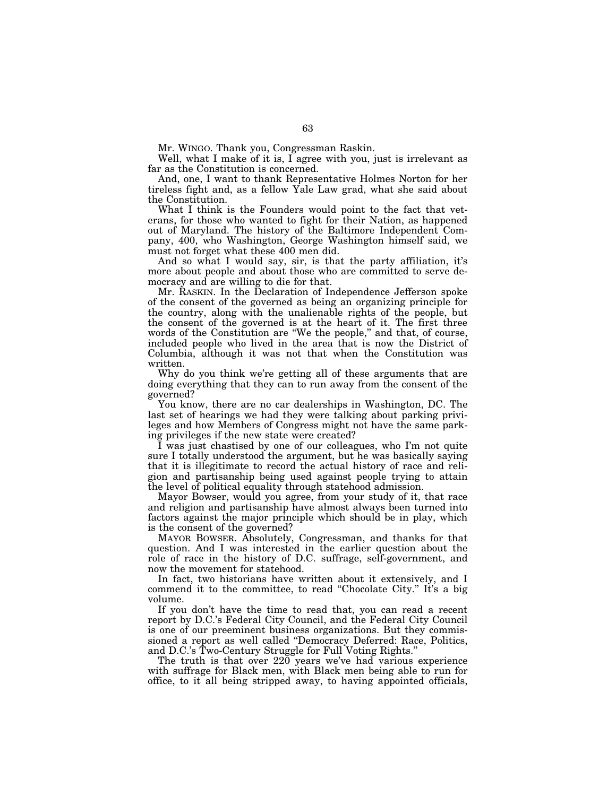Mr. WINGO. Thank you, Congressman Raskin.

Well, what I make of it is, I agree with you, just is irrelevant as far as the Constitution is concerned.

And, one, I want to thank Representative Holmes Norton for her tireless fight and, as a fellow Yale Law grad, what she said about the Constitution.

What I think is the Founders would point to the fact that veterans, for those who wanted to fight for their Nation, as happened out of Maryland. The history of the Baltimore Independent Company, 400, who Washington, George Washington himself said, we must not forget what these 400 men did.

And so what I would say, sir, is that the party affiliation, it's more about people and about those who are committed to serve democracy and are willing to die for that.

Mr. RASKIN. In the Declaration of Independence Jefferson spoke of the consent of the governed as being an organizing principle for the country, along with the unalienable rights of the people, but the consent of the governed is at the heart of it. The first three words of the Constitution are ''We the people,'' and that, of course, included people who lived in the area that is now the District of Columbia, although it was not that when the Constitution was written.

Why do you think we're getting all of these arguments that are doing everything that they can to run away from the consent of the governed?

You know, there are no car dealerships in Washington, DC. The last set of hearings we had they were talking about parking privileges and how Members of Congress might not have the same parking privileges if the new state were created?

I was just chastised by one of our colleagues, who I'm not quite sure I totally understood the argument, but he was basically saying that it is illegitimate to record the actual history of race and religion and partisanship being used against people trying to attain the level of political equality through statehood admission.

Mayor Bowser, would you agree, from your study of it, that race and religion and partisanship have almost always been turned into factors against the major principle which should be in play, which is the consent of the governed?

MAYOR BOWSER. Absolutely, Congressman, and thanks for that question. And I was interested in the earlier question about the role of race in the history of D.C. suffrage, self-government, and now the movement for statehood.

In fact, two historians have written about it extensively, and I commend it to the committee, to read ''Chocolate City.'' It's a big volume.

If you don't have the time to read that, you can read a recent report by D.C.'s Federal City Council, and the Federal City Council is one of our preeminent business organizations. But they commissioned a report as well called ''Democracy Deferred: Race, Politics, and D.C.'s Two-Century Struggle for Full Voting Rights.''

The truth is that over 220 years we've had various experience with suffrage for Black men, with Black men being able to run for office, to it all being stripped away, to having appointed officials,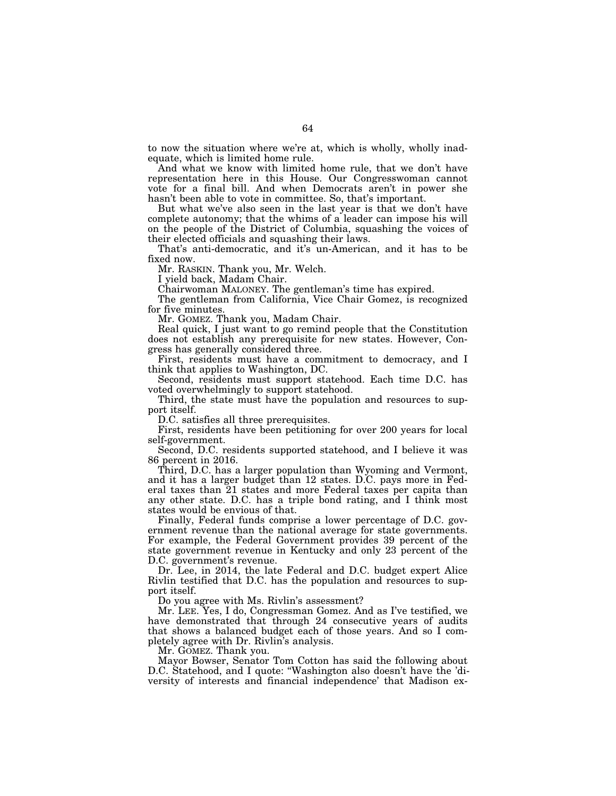to now the situation where we're at, which is wholly, wholly inadequate, which is limited home rule.

And what we know with limited home rule, that we don't have representation here in this House. Our Congresswoman cannot vote for a final bill. And when Democrats aren't in power she hasn't been able to vote in committee. So, that's important.

But what we've also seen in the last year is that we don't have complete autonomy; that the whims of a leader can impose his will on the people of the District of Columbia, squashing the voices of their elected officials and squashing their laws.

That's anti-democratic, and it's un-American, and it has to be fixed now.

Mr. RASKIN. Thank you, Mr. Welch.

I yield back, Madam Chair.

Chairwoman MALONEY. The gentleman's time has expired.

The gentleman from California, Vice Chair Gomez, is recognized for five minutes.

Mr. GOMEZ. Thank you, Madam Chair.

Real quick, I just want to go remind people that the Constitution does not establish any prerequisite for new states. However, Congress has generally considered three.

First, residents must have a commitment to democracy, and I think that applies to Washington, DC.

Second, residents must support statehood. Each time D.C. has voted overwhelmingly to support statehood.

Third, the state must have the population and resources to support itself.

D.C. satisfies all three prerequisites.

First, residents have been petitioning for over 200 years for local self-government.

Second, D.C. residents supported statehood, and I believe it was 86 percent in 2016.

Third, D.C. has a larger population than Wyoming and Vermont, and it has a larger budget than 12 states. D.C. pays more in Federal taxes than 21 states and more Federal taxes per capita than any other state. D.C. has a triple bond rating, and I think most states would be envious of that.

Finally, Federal funds comprise a lower percentage of D.C. government revenue than the national average for state governments. For example, the Federal Government provides 39 percent of the state government revenue in Kentucky and only 23 percent of the D.C. government's revenue.

Dr. Lee, in 2014, the late Federal and D.C. budget expert Alice Rivlin testified that D.C. has the population and resources to support itself.

Do you agree with Ms. Rivlin's assessment?

Mr. LEE. Yes, I do, Congressman Gomez. And as I've testified, we have demonstrated that through 24 consecutive years of audits that shows a balanced budget each of those years. And so I completely agree with Dr. Rivlin's analysis.

Mr. GOMEZ. Thank you.

Mayor Bowser, Senator Tom Cotton has said the following about D.C. Statehood, and I quote: ''Washington also doesn't have the 'diversity of interests and financial independence' that Madison ex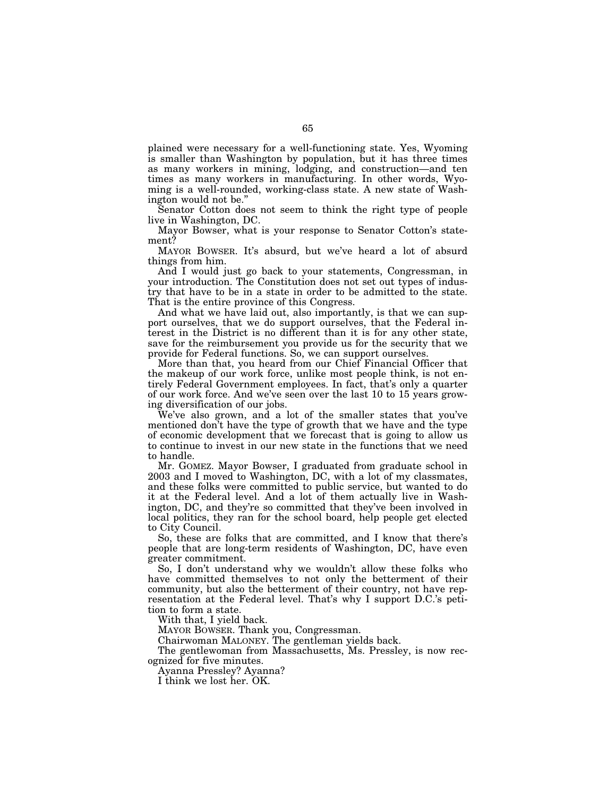plained were necessary for a well-functioning state. Yes, Wyoming is smaller than Washington by population, but it has three times as many workers in mining, lodging, and construction—and ten times as many workers in manufacturing. In other words, Wyoming is a well-rounded, working-class state. A new state of Washington would not be.''

Senator Cotton does not seem to think the right type of people live in Washington, DC.

Mayor Bowser, what is your response to Senator Cotton's statement?

MAYOR BOWSER. It's absurd, but we've heard a lot of absurd things from him.

And I would just go back to your statements, Congressman, in your introduction. The Constitution does not set out types of industry that have to be in a state in order to be admitted to the state. That is the entire province of this Congress.

And what we have laid out, also importantly, is that we can support ourselves, that we do support ourselves, that the Federal interest in the District is no different than it is for any other state, save for the reimbursement you provide us for the security that we provide for Federal functions. So, we can support ourselves.

More than that, you heard from our Chief Financial Officer that the makeup of our work force, unlike most people think, is not entirely Federal Government employees. In fact, that's only a quarter of our work force. And we've seen over the last 10 to 15 years growing diversification of our jobs.

We've also grown, and a lot of the smaller states that you've mentioned don't have the type of growth that we have and the type of economic development that we forecast that is going to allow us to continue to invest in our new state in the functions that we need to handle.

Mr. GOMEZ. Mayor Bowser, I graduated from graduate school in 2003 and I moved to Washington, DC, with a lot of my classmates, and these folks were committed to public service, but wanted to do it at the Federal level. And a lot of them actually live in Washington, DC, and they're so committed that they've been involved in local politics, they ran for the school board, help people get elected to City Council.

So, these are folks that are committed, and I know that there's people that are long-term residents of Washington, DC, have even greater commitment.

So, I don't understand why we wouldn't allow these folks who have committed themselves to not only the betterment of their community, but also the betterment of their country, not have representation at the Federal level. That's why I support D.C.'s petition to form a state.

With that, I yield back.

MAYOR BOWSER. Thank you, Congressman.

Chairwoman MALONEY. The gentleman yields back.

The gentlewoman from Massachusetts, Ms. Pressley, is now recognized for five minutes.

Ayanna Pressley? Ayanna?

I think we lost her. OK.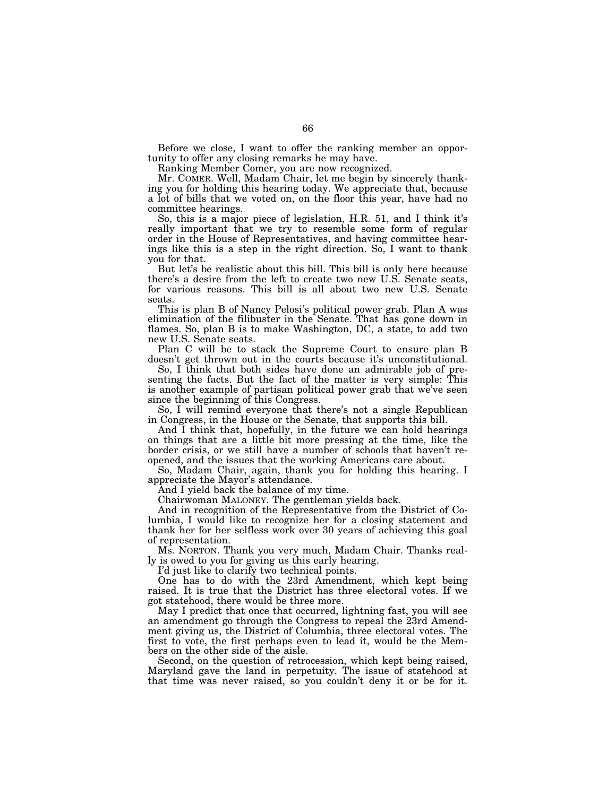Before we close, I want to offer the ranking member an opportunity to offer any closing remarks he may have.

Ranking Member Comer, you are now recognized.

Mr. COMER. Well, Madam Chair, let me begin by sincerely thanking you for holding this hearing today. We appreciate that, because a lot of bills that we voted on, on the floor this year, have had no committee hearings.

So, this is a major piece of legislation, H.R. 51, and I think it's really important that we try to resemble some form of regular order in the House of Representatives, and having committee hearings like this is a step in the right direction. So, I want to thank you for that.

But let's be realistic about this bill. This bill is only here because there's a desire from the left to create two new U.S. Senate seats, for various reasons. This bill is all about two new U.S. Senate seats.

This is plan B of Nancy Pelosi's political power grab. Plan A was elimination of the filibuster in the Senate. That has gone down in flames. So, plan B is to make Washington, DC, a state, to add two new U.S. Senate seats.

Plan C will be to stack the Supreme Court to ensure plan B doesn't get thrown out in the courts because it's unconstitutional.

So, I think that both sides have done an admirable job of presenting the facts. But the fact of the matter is very simple: This is another example of partisan political power grab that we've seen since the beginning of this Congress.

So, I will remind everyone that there's not a single Republican in Congress, in the House or the Senate, that supports this bill.

And I think that, hopefully, in the future we can hold hearings on things that are a little bit more pressing at the time, like the border crisis, or we still have a number of schools that haven't reopened, and the issues that the working Americans care about.

So, Madam Chair, again, thank you for holding this hearing. I appreciate the Mayor's attendance.

And I yield back the balance of my time.

Chairwoman MALONEY. The gentleman yields back.

And in recognition of the Representative from the District of Columbia, I would like to recognize her for a closing statement and thank her for her selfless work over 30 years of achieving this goal of representation.

Ms. NORTON. Thank you very much, Madam Chair. Thanks really is owed to you for giving us this early hearing.

I'd just like to clarify two technical points.

One has to do with the 23rd Amendment, which kept being raised. It is true that the District has three electoral votes. If we got statehood, there would be three more.

May I predict that once that occurred, lightning fast, you will see an amendment go through the Congress to repeal the 23rd Amendment giving us, the District of Columbia, three electoral votes. The first to vote, the first perhaps even to lead it, would be the Members on the other side of the aisle.

Second, on the question of retrocession, which kept being raised, Maryland gave the land in perpetuity. The issue of statehood at that time was never raised, so you couldn't deny it or be for it.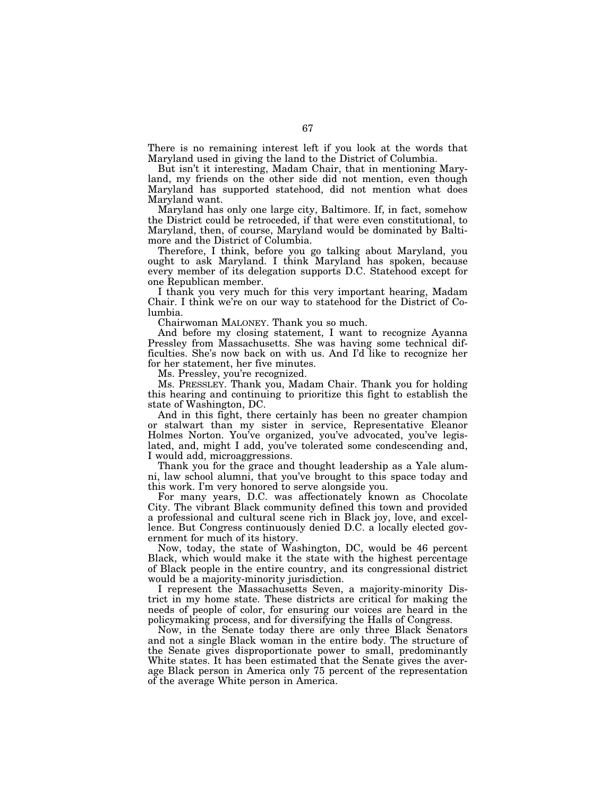There is no remaining interest left if you look at the words that Maryland used in giving the land to the District of Columbia.

But isn't it interesting, Madam Chair, that in mentioning Maryland, my friends on the other side did not mention, even though Maryland has supported statehood, did not mention what does Maryland want.

Maryland has only one large city, Baltimore. If, in fact, somehow the District could be retroceded, if that were even constitutional, to Maryland, then, of course, Maryland would be dominated by Baltimore and the District of Columbia.

Therefore, I think, before you go talking about Maryland, you ought to ask Maryland. I think Maryland has spoken, because every member of its delegation supports D.C. Statehood except for one Republican member.

I thank you very much for this very important hearing, Madam Chair. I think we're on our way to statehood for the District of Columbia.

Chairwoman MALONEY. Thank you so much.

And before my closing statement, I want to recognize Ayanna Pressley from Massachusetts. She was having some technical difficulties. She's now back on with us. And I'd like to recognize her for her statement, her five minutes.

Ms. Pressley, you're recognized.

Ms. PRESSLEY. Thank you, Madam Chair. Thank you for holding this hearing and continuing to prioritize this fight to establish the state of Washington, DC.

And in this fight, there certainly has been no greater champion or stalwart than my sister in service, Representative Eleanor Holmes Norton. You've organized, you've advocated, you've legislated, and, might I add, you've tolerated some condescending and, I would add, microaggressions.

Thank you for the grace and thought leadership as a Yale alumni, law school alumni, that you've brought to this space today and this work. I'm very honored to serve alongside you.

For many years, D.C. was affectionately known as Chocolate City. The vibrant Black community defined this town and provided a professional and cultural scene rich in Black joy, love, and excellence. But Congress continuously denied D.C. a locally elected government for much of its history.

Now, today, the state of Washington, DC, would be 46 percent Black, which would make it the state with the highest percentage of Black people in the entire country, and its congressional district would be a majority-minority jurisdiction.

I represent the Massachusetts Seven, a majority-minority District in my home state. These districts are critical for making the needs of people of color, for ensuring our voices are heard in the policymaking process, and for diversifying the Halls of Congress.

Now, in the Senate today there are only three Black Senators and not a single Black woman in the entire body. The structure of the Senate gives disproportionate power to small, predominantly White states. It has been estimated that the Senate gives the average Black person in America only 75 percent of the representation of the average White person in America.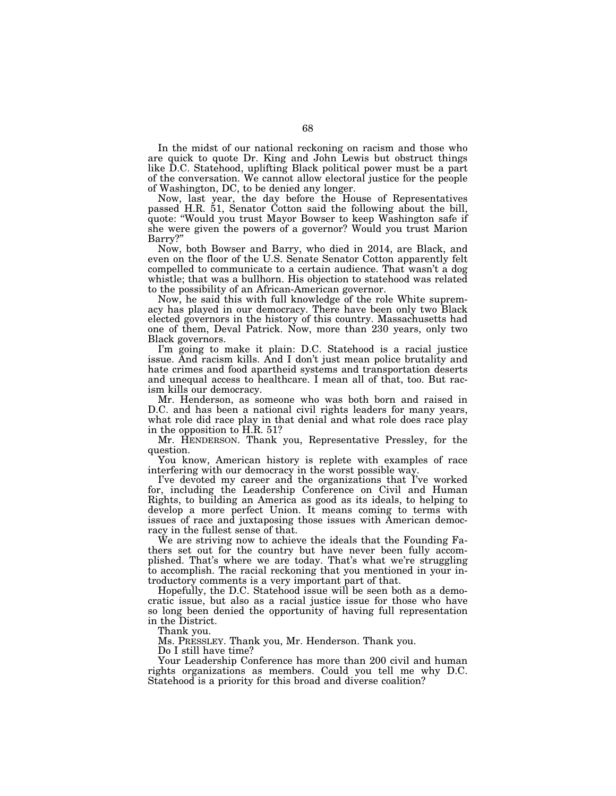In the midst of our national reckoning on racism and those who are quick to quote Dr. King and John Lewis but obstruct things like D.C. Statehood, uplifting Black political power must be a part of the conversation. We cannot allow electoral justice for the people of Washington, DC, to be denied any longer.

Now, last year, the day before the House of Representatives passed H.R. 51, Senator Cotton said the following about the bill, quote: ''Would you trust Mayor Bowser to keep Washington safe if she were given the powers of a governor? Would you trust Marion Barry?''

Now, both Bowser and Barry, who died in 2014, are Black, and even on the floor of the U.S. Senate Senator Cotton apparently felt compelled to communicate to a certain audience. That wasn't a dog whistle; that was a bullhorn. His objection to statehood was related to the possibility of an African-American governor.

Now, he said this with full knowledge of the role White supremacy has played in our democracy. There have been only two Black elected governors in the history of this country. Massachusetts had one of them, Deval Patrick. Now, more than 230 years, only two Black governors.

I'm going to make it plain: D.C. Statehood is a racial justice issue. And racism kills. And I don't just mean police brutality and hate crimes and food apartheid systems and transportation deserts and unequal access to healthcare. I mean all of that, too. But racism kills our democracy.

Mr. Henderson, as someone who was both born and raised in D.C. and has been a national civil rights leaders for many years, what role did race play in that denial and what role does race play in the opposition to H.R. 51?

Mr. HENDERSON. Thank you, Representative Pressley, for the question.

You know, American history is replete with examples of race interfering with our democracy in the worst possible way.

I've devoted my career and the organizations that I've worked for, including the Leadership Conference on Civil and Human Rights, to building an America as good as its ideals, to helping to develop a more perfect Union. It means coming to terms with issues of race and juxtaposing those issues with American democracy in the fullest sense of that.

We are striving now to achieve the ideals that the Founding Fathers set out for the country but have never been fully accomplished. That's where we are today. That's what we're struggling to accomplish. The racial reckoning that you mentioned in your introductory comments is a very important part of that.

Hopefully, the D.C. Statehood issue will be seen both as a democratic issue, but also as a racial justice issue for those who have so long been denied the opportunity of having full representation in the District.

Thank you.

Ms. PRESSLEY. Thank you, Mr. Henderson. Thank you.

Do I still have time?

Your Leadership Conference has more than 200 civil and human rights organizations as members. Could you tell me why D.C. Statehood is a priority for this broad and diverse coalition?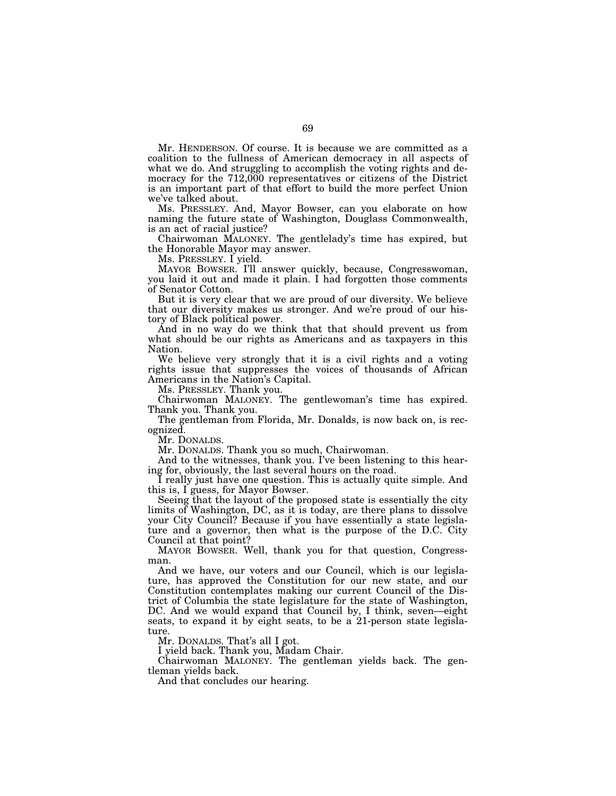Mr. HENDERSON. Of course. It is because we are committed as a coalition to the fullness of American democracy in all aspects of what we do. And struggling to accomplish the voting rights and democracy for the 712,000 representatives or citizens of the District is an important part of that effort to build the more perfect Union we've talked about.

Ms. PRESSLEY. And, Mayor Bowser, can you elaborate on how naming the future state of Washington, Douglass Commonwealth, is an act of racial justice?

Chairwoman MALONEY. The gentlelady's time has expired, but the Honorable Mayor may answer.

Ms. PRESSLEY. I yield.

MAYOR BOWSER. I'll answer quickly, because, Congresswoman, you laid it out and made it plain. I had forgotten those comments of Senator Cotton.

But it is very clear that we are proud of our diversity. We believe that our diversity makes us stronger. And we're proud of our history of Black political power.

And in no way do we think that that should prevent us from what should be our rights as Americans and as taxpayers in this Nation.

We believe very strongly that it is a civil rights and a voting rights issue that suppresses the voices of thousands of African Americans in the Nation's Capital.

Ms. PRESSLEY. Thank you.

Chairwoman MALONEY. The gentlewoman's time has expired. Thank you. Thank you.

The gentleman from Florida, Mr. Donalds, is now back on, is recognized.

Mr. DONALDS.

Mr. DONALDS. Thank you so much, Chairwoman.

And to the witnesses, thank you. I've been listening to this hearing for, obviously, the last several hours on the road.

I really just have one question. This is actually quite simple. And this is, I guess, for Mayor Bowser.

Seeing that the layout of the proposed state is essentially the city limits of Washington, DC, as it is today, are there plans to dissolve your City Council? Because if you have essentially a state legislature and a governor, then what is the purpose of the D.C. City Council at that point?

MAYOR BOWSER. Well, thank you for that question, Congressman.

And we have, our voters and our Council, which is our legislature, has approved the Constitution for our new state, and our Constitution contemplates making our current Council of the District of Columbia the state legislature for the state of Washington, DC. And we would expand that Council by, I think, seven—eight seats, to expand it by eight seats, to be a 21-person state legislature.

Mr. DONALDS. That's all I got.

I yield back. Thank you, Madam Chair.

Chairwoman MALONEY. The gentleman yields back. The gentleman yields back.

And that concludes our hearing.